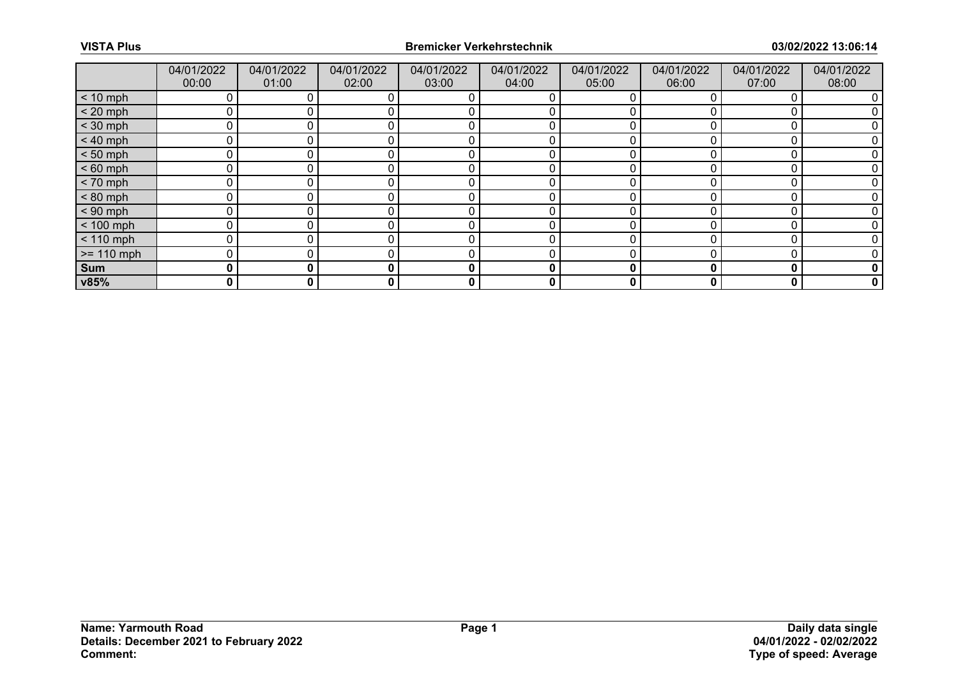|              | 04/01/2022<br>00:00 | 04/01/2022<br>01:00 | 04/01/2022<br>02:00 | 04/01/2022<br>03:00 | 04/01/2022<br>04:00 | 04/01/2022<br>05:00 | 04/01/2022<br>06:00 | 04/01/2022<br>07:00 | 04/01/2022<br>08:00 |
|--------------|---------------------|---------------------|---------------------|---------------------|---------------------|---------------------|---------------------|---------------------|---------------------|
| $< 10$ mph   | 0                   |                     |                     |                     | O                   |                     |                     |                     |                     |
| $< 20$ mph   | 0                   |                     |                     |                     |                     |                     |                     |                     |                     |
| $<$ 30 mph   | 0                   |                     |                     |                     |                     |                     |                     |                     |                     |
| $< 40$ mph   | 0                   | 0                   |                     | r                   | 0                   |                     |                     |                     |                     |
| $< 50$ mph   | 0                   |                     |                     |                     |                     |                     |                     |                     |                     |
| $< 60$ mph   | 0                   |                     |                     |                     |                     |                     |                     |                     |                     |
| $< 70$ mph   | 0                   | 0                   |                     | C                   | 0                   |                     |                     |                     |                     |
| $< 80$ mph   | 0                   |                     |                     |                     |                     |                     |                     |                     |                     |
| $< 90$ mph   | 0                   |                     |                     |                     |                     |                     |                     |                     |                     |
| $< 100$ mph  | 0                   | 0                   |                     | r                   | 0                   | O                   |                     |                     |                     |
| $< 110$ mph  | $\mathbf 0$         |                     |                     |                     |                     |                     |                     |                     |                     |
| $>= 110$ mph | 0                   |                     |                     |                     |                     |                     |                     |                     |                     |
| Sum          | 0                   | 0                   | 0                   | $\bf{0}$            | 0                   | 0                   | Ω                   | 0                   | 0                   |
| v85%         | 0                   | 0                   | 0                   | 0                   | 0                   | 0                   | 0                   | 0                   | 0                   |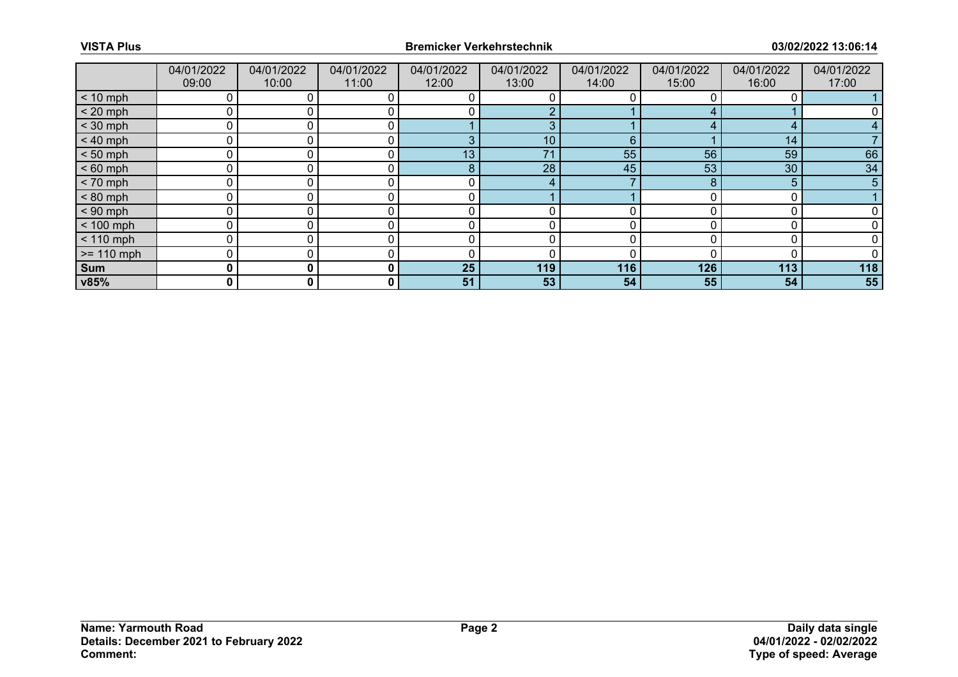|              | 04/01/2022<br>09:00 | 04/01/2022<br>10:00 | 04/01/2022<br>11:00 | 04/01/2022<br>12:00 | 04/01/2022<br>13:00 | 04/01/2022<br>14:00 | 04/01/2022<br>15:00 | 04/01/2022<br>16:00 | 04/01/2022<br>17:00 |
|--------------|---------------------|---------------------|---------------------|---------------------|---------------------|---------------------|---------------------|---------------------|---------------------|
| $< 10$ mph   |                     |                     | 0                   |                     |                     |                     |                     |                     |                     |
| $< 20$ mph   |                     |                     |                     |                     |                     |                     |                     |                     |                     |
| $<$ 30 mph   | $\Omega$            |                     | 0                   |                     | З                   |                     |                     | Д                   |                     |
| $< 40$ mph   | $\mathbf 0$         |                     | 0                   | З                   | 10 <sup>1</sup>     | 6                   |                     | 14                  |                     |
| $< 50$ mph   |                     |                     | 0.                  | 13                  | 74                  | 55                  | 56                  | 59                  | 66                  |
| $< 60$ mph   | ሰ                   |                     | 0                   | 8                   | 28                  | 45                  | 53                  | 30                  | 34                  |
| $< 70$ mph   | $\mathbf 0$         |                     | 0                   | 0                   | 4                   |                     | 8                   | 5                   | 5 <sup>5</sup>      |
| $< 80$ mph   | n                   |                     |                     |                     |                     |                     |                     |                     |                     |
| $< 90$ mph   |                     |                     | 0                   |                     |                     |                     |                     |                     |                     |
| $< 100$ mph  | $\Omega$            |                     | 0                   | 0                   | 0                   |                     |                     | C                   |                     |
| $< 110$ mph  |                     |                     |                     |                     |                     |                     |                     |                     |                     |
| $>= 110$ mph |                     |                     |                     | ſ                   |                     |                     |                     |                     |                     |
| Sum          | 0                   | 0                   | $\mathbf{0}$        | 25                  | 119                 | 116                 | 126                 | 113                 | 118                 |
| v85%         | 0                   | 0                   | 0                   | 51                  | 53                  | 54                  | 55                  | 54                  | 55                  |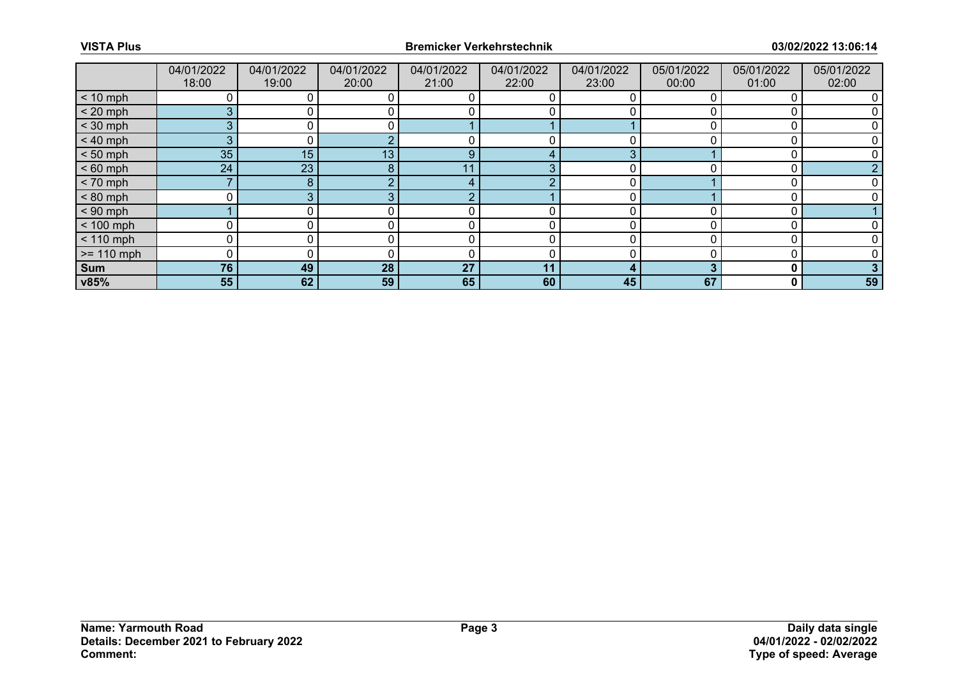|              | 04/01/2022<br>18:00 | 04/01/2022<br>19:00 | 04/01/2022<br>20:00 | 04/01/2022<br>21:00 | 04/01/2022<br>22:00 | 04/01/2022<br>23:00 | 05/01/2022<br>00:00 | 05/01/2022<br>01:00 | 05/01/2022<br>02:00 |
|--------------|---------------------|---------------------|---------------------|---------------------|---------------------|---------------------|---------------------|---------------------|---------------------|
| $< 10$ mph   |                     |                     | 0                   |                     |                     |                     |                     |                     |                     |
| $< 20$ mph   | 3                   |                     | 0                   |                     |                     |                     |                     |                     |                     |
| $<$ 30 mph   | 3 <sup>1</sup>      |                     | 0                   |                     |                     |                     |                     |                     |                     |
| $< 40$ mph   | 3 <sup>1</sup>      | 0.                  |                     | 0                   | 0                   |                     |                     | 0                   |                     |
| $< 50$ mph   | 35 <sub>2</sub>     | 15                  | 13 <sub>1</sub>     | 9                   |                     | З                   |                     |                     |                     |
| $< 60$ mph   | 24                  | 23                  | 8                   | 11                  | З                   |                     |                     |                     | n                   |
| $< 70$ mph   |                     | 8                   | $\Omega$            | 4                   | ◠                   | 0                   |                     | 0                   |                     |
| $< 80$ mph   | <sup>n</sup>        |                     |                     | r                   |                     |                     |                     |                     |                     |
| $< 90$ mph   |                     |                     |                     |                     |                     |                     |                     |                     |                     |
| $< 100$ mph  | 0                   |                     | 0                   | 0                   | 0                   |                     |                     | C                   |                     |
| $< 110$ mph  | 0                   |                     | 0                   | 0                   | 0                   |                     |                     | O                   |                     |
| $>= 110$ mph | $\Omega$            |                     |                     | ſ                   |                     |                     |                     |                     |                     |
| <b>Sum</b>   | 76                  | 49                  | 28                  | 27                  | 11                  | 4                   |                     | 0                   |                     |
| v85%         | 55                  | 62                  | 59                  | 65                  | 60                  | 45                  | 67                  | 0                   | 59                  |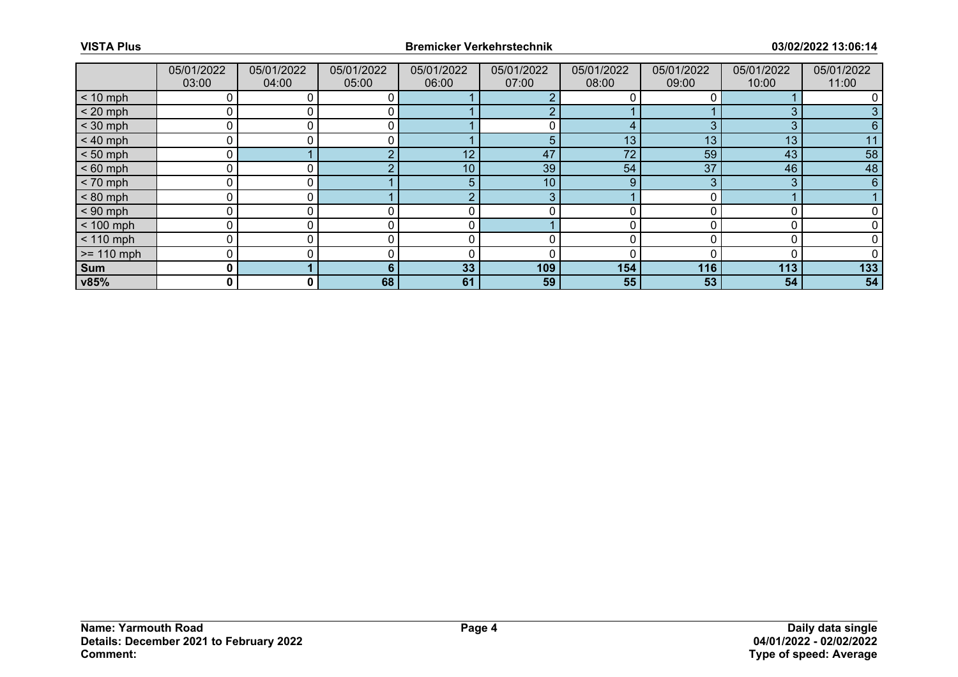|              | 05/01/2022<br>03:00 | 05/01/2022<br>04:00 | 05/01/2022<br>05:00 | 05/01/2022<br>06:00 | 05/01/2022<br>07:00 | 05/01/2022<br>08:00 | 05/01/2022<br>09:00 | 05/01/2022<br>10:00 | 05/01/2022<br>11:00 |
|--------------|---------------------|---------------------|---------------------|---------------------|---------------------|---------------------|---------------------|---------------------|---------------------|
| $< 10$ mph   | 0                   |                     |                     |                     |                     |                     |                     |                     |                     |
| $< 20$ mph   | 0                   |                     |                     |                     | ς                   |                     |                     | 3                   |                     |
| $<$ 30 mph   | 0                   |                     |                     |                     |                     |                     | 3                   | 3                   | 6                   |
| $< 40$ mph   | 0                   | 0                   | 0                   |                     | 5                   | 13                  | 13                  | 13                  | 11                  |
| $< 50$ mph   | 0                   |                     |                     | 12                  | 47                  | 72                  | 59                  | 43                  | 58                  |
| $< 60$ mph   | 0                   |                     |                     | 10                  | 39                  | 54                  | 37                  | 46                  | 48                  |
| $< 70$ mph   | 0                   | 0 I                 |                     | 5                   | 10 <sup>°</sup>     | 9                   | 3                   | 3                   | 6                   |
| $< 80$ mph   | 0                   |                     |                     |                     | 3                   |                     |                     |                     |                     |
| $< 90$ mph   | 0                   |                     |                     |                     |                     |                     |                     |                     |                     |
| $< 100$ mph  | $\mathbf 0$         | 0                   |                     | C                   |                     |                     |                     |                     |                     |
| $< 110$ mph  | 0                   |                     |                     | C                   | 0                   |                     |                     | 0                   |                     |
| $>= 110$ mph | 0                   |                     |                     | r                   |                     |                     |                     |                     |                     |
| Sum          | 0                   |                     | 6                   | 33                  | 109                 | 154                 | 116                 | 113                 | 133                 |
| v85%         | 0                   | 0 I                 | 68                  | 61                  | 59                  | 55                  | 53                  | 54                  | 54                  |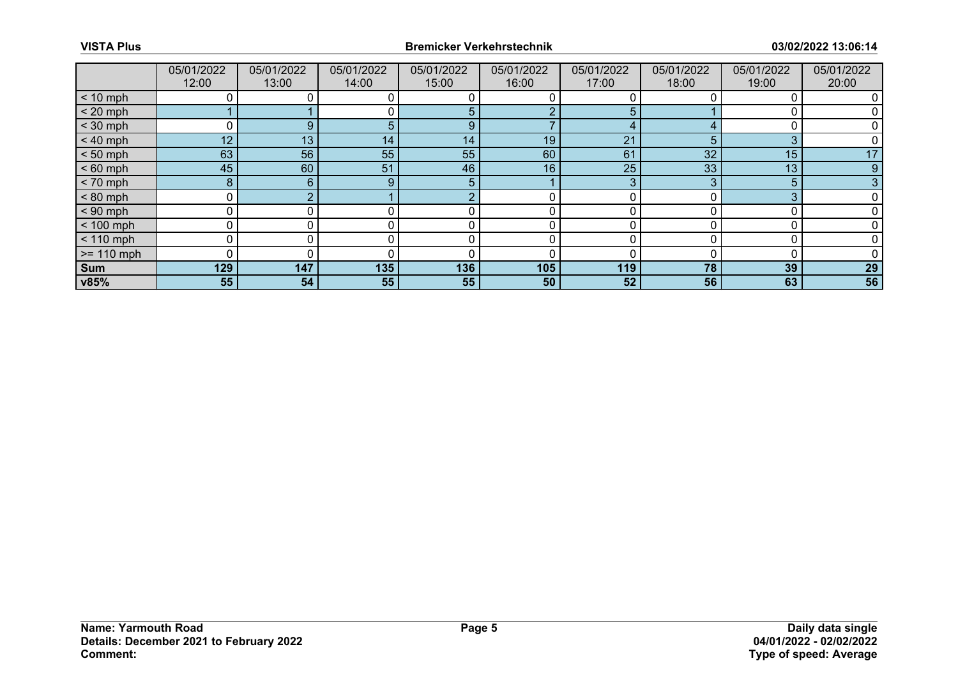|              | 05/01/2022<br>12:00 | 05/01/2022<br>13:00 | 05/01/2022<br>14:00 | 05/01/2022<br>15:00 | 05/01/2022<br>16:00 | 05/01/2022<br>17:00 | 05/01/2022<br>18:00 | 05/01/2022<br>19:00 | 05/01/2022<br>20:00 |
|--------------|---------------------|---------------------|---------------------|---------------------|---------------------|---------------------|---------------------|---------------------|---------------------|
| $< 10$ mph   |                     |                     |                     |                     |                     |                     |                     |                     |                     |
| $< 20$ mph   |                     |                     |                     | 5                   |                     | 5                   |                     |                     |                     |
| $<$ 30 mph   |                     |                     | h                   | 9                   |                     | 4                   |                     |                     |                     |
| $< 40$ mph   | 12                  | 13                  | 14                  | 14                  | 19                  | 21                  | 5                   | 3                   |                     |
| $< 50$ mph   | 63                  | 56                  | 55                  | 55                  | 60                  | 61                  | 32                  | 15                  | 17                  |
| $< 60$ mph   | 45                  | 60                  | 51                  | 46                  | 16                  | 25                  | 33                  | 13                  | 9                   |
| $< 70$ mph   | 8                   | 6                   | 9                   | 5                   |                     | 3                   |                     | 5                   |                     |
| $< 80$ mph   |                     |                     |                     |                     |                     |                     |                     | 3                   |                     |
| $< 90$ mph   |                     |                     |                     |                     |                     |                     |                     |                     |                     |
| $< 100$ mph  | 0                   |                     |                     | 0                   | 0                   | 0                   |                     |                     |                     |
| $< 110$ mph  |                     |                     |                     |                     |                     |                     |                     |                     |                     |
| $>= 110$ mph | $\Omega$            |                     |                     |                     |                     |                     |                     |                     |                     |
| Sum          | 129                 | 147                 | 135                 | 136                 | 105                 | 119                 | 78                  | 39                  | 29                  |
| v85%         | 55                  | 54                  | 55                  | 55                  | 50                  | 52                  | 56                  | 63                  | 56                  |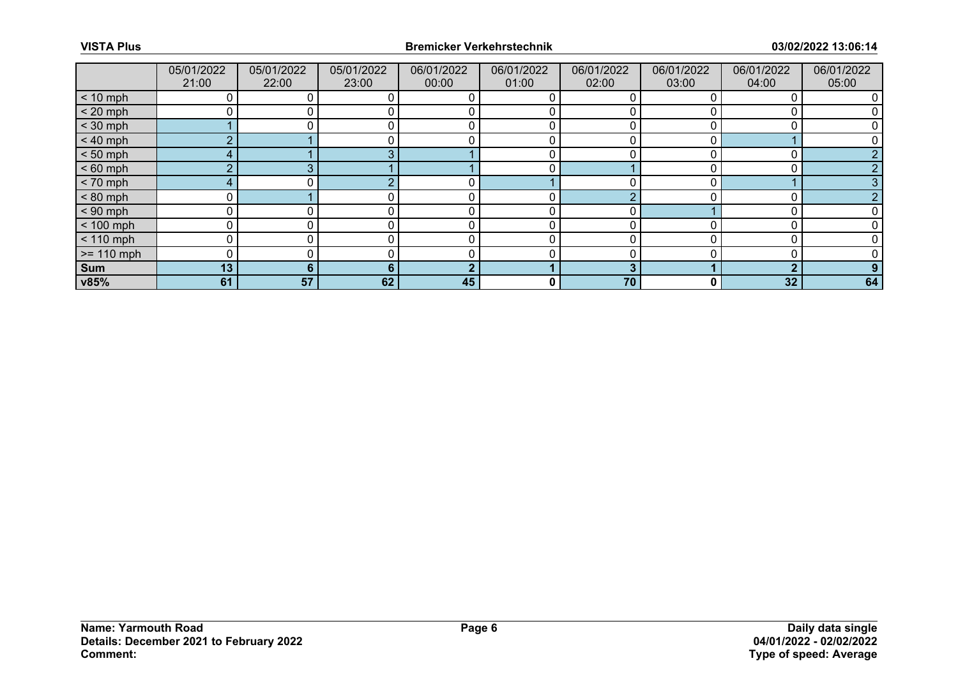|              | 05/01/2022<br>21:00 | 05/01/2022<br>22:00 | 05/01/2022<br>23:00 | 06/01/2022<br>00:00 | 06/01/2022<br>01:00 | 06/01/2022<br>02:00 | 06/01/2022<br>03:00 | 06/01/2022<br>04:00 | 06/01/2022<br>05:00 |
|--------------|---------------------|---------------------|---------------------|---------------------|---------------------|---------------------|---------------------|---------------------|---------------------|
| $< 10$ mph   |                     |                     |                     |                     |                     |                     |                     |                     |                     |
| $< 20$ mph   |                     |                     |                     | 0                   |                     |                     |                     |                     |                     |
| $<$ 30 mph   |                     |                     |                     |                     |                     |                     |                     |                     |                     |
| $< 40$ mph   | <sub>o</sub>        |                     |                     | 0                   | 0                   | 0                   |                     |                     |                     |
| $< 50$ mph   | 4                   |                     |                     |                     |                     |                     |                     |                     |                     |
| $< 60$ mph   | $\sim$              | ◠                   |                     |                     |                     |                     |                     |                     |                     |
| $< 70$ mph   | 4                   |                     |                     | 0                   |                     | 0                   |                     |                     |                     |
| $< 80$ mph   |                     |                     |                     |                     |                     |                     |                     |                     |                     |
| $< 90$ mph   | $\Omega$            |                     |                     |                     |                     | ∩                   |                     |                     |                     |
| $< 100$ mph  | 0                   |                     |                     | 0                   | 0                   | 0                   |                     |                     |                     |
| $< 110$ mph  | 0                   |                     |                     | $\Omega$            | 0                   | <sup>n</sup>        |                     |                     |                     |
| $>= 110$ mph | $\Omega$            |                     |                     |                     |                     |                     |                     |                     |                     |
| <b>Sum</b>   | 13                  | 6                   | 6                   | G                   |                     | 3                   |                     | ◠                   |                     |
| v85%         | 61                  | 57                  | 62                  | 45                  | 0                   | 70                  | 0                   | 32                  | 64                  |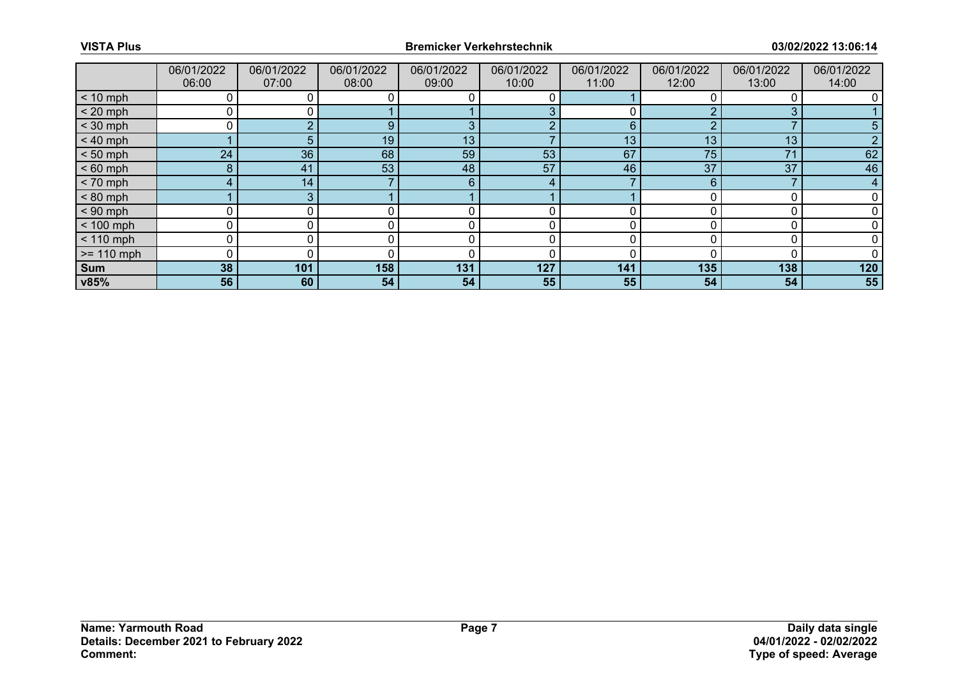|              | 06/01/2022<br>06:00 | 06/01/2022<br>07:00 | 06/01/2022<br>08:00 | 06/01/2022<br>09:00 | 06/01/2022<br>10:00 | 06/01/2022<br>11:00 | 06/01/2022<br>12:00 | 06/01/2022<br>13:00 | 06/01/2022<br>14:00 |
|--------------|---------------------|---------------------|---------------------|---------------------|---------------------|---------------------|---------------------|---------------------|---------------------|
| $< 10$ mph   |                     |                     |                     |                     |                     |                     |                     |                     |                     |
| $< 20$ mph   |                     |                     |                     |                     | 3                   |                     |                     | 3                   |                     |
| $<$ 30 mph   |                     |                     | 9                   | 3                   | റ                   | 6                   |                     |                     |                     |
| $< 40$ mph   |                     | 5                   | 19                  | 13                  |                     | 13                  | 13                  | 13                  |                     |
| $< 50$ mph   | 24                  | 36                  | 68                  | 59                  | 53                  | 67                  | 75                  | 71                  | 62                  |
| $< 60$ mph   | 8                   | 41                  | 53                  | 48                  | 57                  | 46                  | 37                  | 37                  | 46                  |
| $< 70$ mph   | 4                   | 14                  |                     | 6                   | 4                   |                     | 6                   |                     | 4                   |
| $< 80$ mph   |                     | 3                   |                     |                     |                     |                     |                     |                     |                     |
| $< 90$ mph   |                     |                     |                     |                     |                     |                     |                     |                     |                     |
| $< 100$ mph  | 0                   |                     |                     | 0                   | 0                   | 0                   |                     |                     |                     |
| $< 110$ mph  | 0                   |                     |                     |                     |                     |                     |                     |                     |                     |
| $>= 110$ mph |                     |                     |                     |                     |                     |                     |                     |                     |                     |
| <b>Sum</b>   | 38                  | 101                 | 158                 | 131                 | 127                 | 141                 | 135                 | 138                 | 120                 |
| v85%         | 56                  | 60                  | 54                  | 54                  | 55                  | 55                  | 54                  | 54                  | 55                  |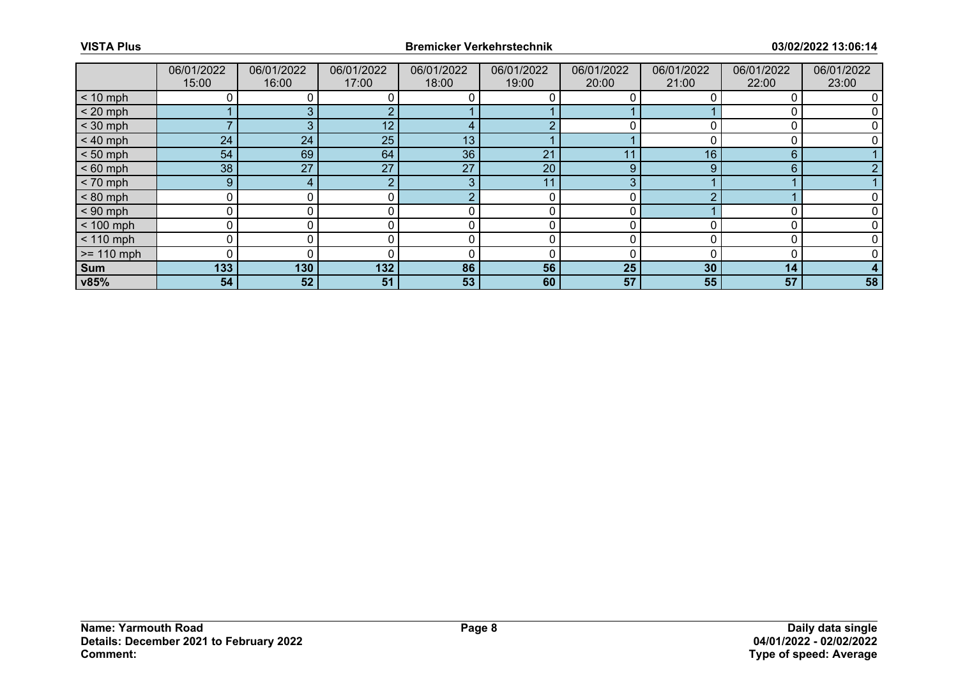|              | 06/01/2022<br>15:00 | 06/01/2022<br>16:00 | 06/01/2022<br>17:00 | 06/01/2022<br>18:00      | 06/01/2022<br>19:00 | 06/01/2022<br>20:00 | 06/01/2022<br>21:00 | 06/01/2022<br>22:00 | 06/01/2022<br>23:00 |
|--------------|---------------------|---------------------|---------------------|--------------------------|---------------------|---------------------|---------------------|---------------------|---------------------|
| $< 10$ mph   |                     |                     |                     |                          |                     |                     |                     |                     |                     |
| $< 20$ mph   |                     |                     |                     |                          |                     |                     |                     |                     |                     |
| $<$ 30 mph   |                     |                     | 12                  | $\overline{\phantom{a}}$ |                     |                     |                     |                     |                     |
| $< 40$ mph   | 24                  | 24                  | 25                  | 13                       |                     |                     |                     |                     |                     |
| $< 50$ mph   | 54                  | 69                  | 64                  | 36                       | 21                  | 11                  | 16                  | 6                   |                     |
| $< 60$ mph   | 38                  | 27                  | 27                  | 27                       | 20                  | 9                   | g                   | 6                   |                     |
| $< 70$ mph   | 9                   | 4                   | ◠                   | 3                        | 11                  | 3                   |                     |                     |                     |
| $< 80$ mph   | U                   |                     |                     |                          |                     | ∩                   |                     |                     |                     |
| $< 90$ mph   |                     |                     |                     |                          |                     |                     |                     |                     |                     |
| $< 100$ mph  | 0                   |                     |                     | 0                        | 0                   | 0                   |                     |                     |                     |
| $< 110$ mph  |                     |                     |                     |                          |                     |                     |                     |                     |                     |
| $>= 110$ mph | $\Omega$            |                     |                     |                          |                     |                     |                     |                     |                     |
| <b>Sum</b>   | 133                 | 130                 | 132                 | 86                       | 56                  | 25                  | 30                  | 14                  |                     |
| v85%         | 54                  | 52                  | 51                  | 53                       | 60                  | 57                  | 55                  | 57                  | 58                  |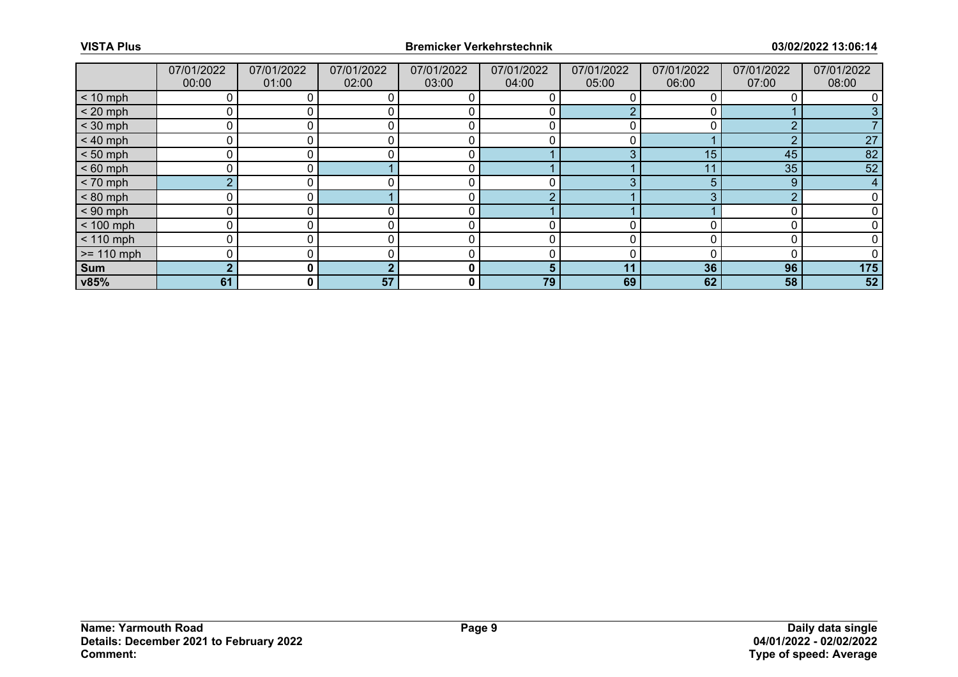|              | 07/01/2022<br>00:00 | 07/01/2022<br>01:00 | 07/01/2022<br>02:00 | 07/01/2022<br>03:00 | 07/01/2022<br>04:00 | 07/01/2022<br>05:00 | 07/01/2022<br>06:00 | 07/01/2022<br>07:00 | 07/01/2022<br>08:00 |
|--------------|---------------------|---------------------|---------------------|---------------------|---------------------|---------------------|---------------------|---------------------|---------------------|
| $< 10$ mph   | 0                   |                     |                     |                     |                     |                     |                     |                     |                     |
| $< 20$ mph   | 0                   |                     |                     |                     |                     |                     |                     |                     |                     |
| $<$ 30 mph   | 0                   |                     |                     |                     |                     |                     |                     | n                   |                     |
| $< 40$ mph   | 0                   | 0                   |                     | 0                   | 0                   | 0                   |                     | ∩                   | 27                  |
| $< 50$ mph   | 0                   |                     |                     | C                   |                     |                     | 15                  | 45                  | 82                  |
| $< 60$ mph   | 0                   |                     |                     | r                   |                     |                     | 11                  | 35                  | 52                  |
| $< 70$ mph   | $\overline{2}$      | 0                   |                     | 0                   | 0                   | 3                   | 5                   | 9                   | 4                   |
| $< 80$ mph   | 0                   |                     |                     | C                   |                     |                     |                     | ◠                   |                     |
| $< 90$ mph   | 0                   |                     |                     |                     |                     |                     |                     |                     |                     |
| $< 100$ mph  | $\mathbf 0$         | 0                   |                     | r                   |                     |                     |                     |                     |                     |
| $< 110$ mph  | 0                   |                     |                     | C                   | 0                   |                     |                     | O                   |                     |
| $>= 110$ mph | 0                   |                     |                     |                     |                     |                     |                     |                     |                     |
| Sum          | $\mathbf{2}$        | 0 I                 |                     | $\bf{0}$            | 5                   | 11                  | 36                  | 96                  | 175                 |
| v85%         | 61                  | $\mathbf{0}$        | 57                  | 0                   | 79                  | 69                  | 62                  | 58                  | 52                  |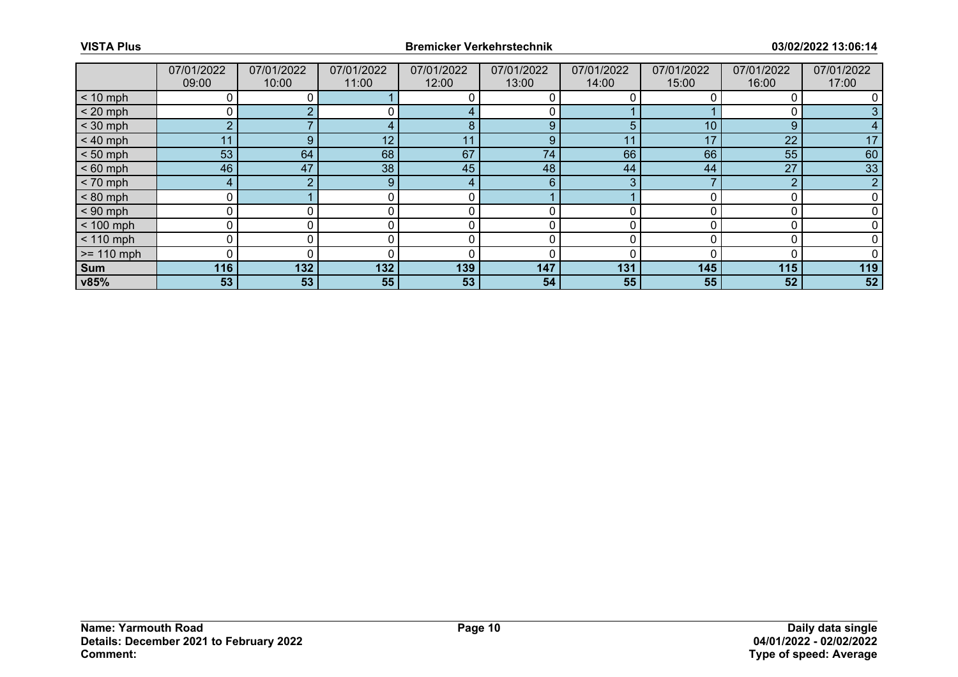|              | 07/01/2022<br>09:00 | 07/01/2022<br>10:00 | 07/01/2022<br>11:00 | 07/01/2022<br>12:00 | 07/01/2022<br>13:00 | 07/01/2022<br>14:00 | 07/01/2022<br>15:00 | 07/01/2022<br>16:00 | 07/01/2022<br>17:00 |
|--------------|---------------------|---------------------|---------------------|---------------------|---------------------|---------------------|---------------------|---------------------|---------------------|
| $< 10$ mph   |                     |                     |                     |                     |                     |                     |                     |                     |                     |
| $< 20$ mph   |                     |                     |                     |                     |                     |                     |                     |                     |                     |
| $<$ 30 mph   | $\sim$              |                     |                     | 8                   | 9                   | 5                   | 10                  | 9                   |                     |
| $< 40$ mph   | 11                  | 9                   | 12                  | 11                  | 9                   | 11                  | 17                  | 22                  | 17                  |
| $< 50$ mph   | 53                  | 64                  | 68                  | 67                  | 74                  | 66                  | 66                  | 55                  | 60                  |
| $< 60$ mph   | 46                  | 47                  | 38                  | 45                  | 48                  | 44                  | 44                  | 27                  | 33                  |
| $< 70$ mph   | 4                   |                     | 9                   | 4                   | 6                   | 3                   |                     | $\Omega$            | $\overline{2}$      |
| $< 80$ mph   |                     |                     |                     |                     |                     |                     |                     |                     |                     |
| $< 90$ mph   |                     |                     |                     |                     |                     |                     |                     |                     |                     |
| $< 100$ mph  | $\Omega$            |                     |                     | 0                   | 0                   | 0                   |                     |                     |                     |
| $< 110$ mph  |                     |                     |                     |                     |                     |                     |                     |                     |                     |
| $>= 110$ mph | $\Omega$            |                     |                     |                     |                     |                     |                     |                     |                     |
| Sum          | 116                 | 132                 | 132                 | 139                 | 147                 | 131                 | 145                 | 115                 | 119                 |
| v85%         | 53                  | 53                  | 55                  | 53                  | 54                  | 55                  | 55                  | 52                  | 52                  |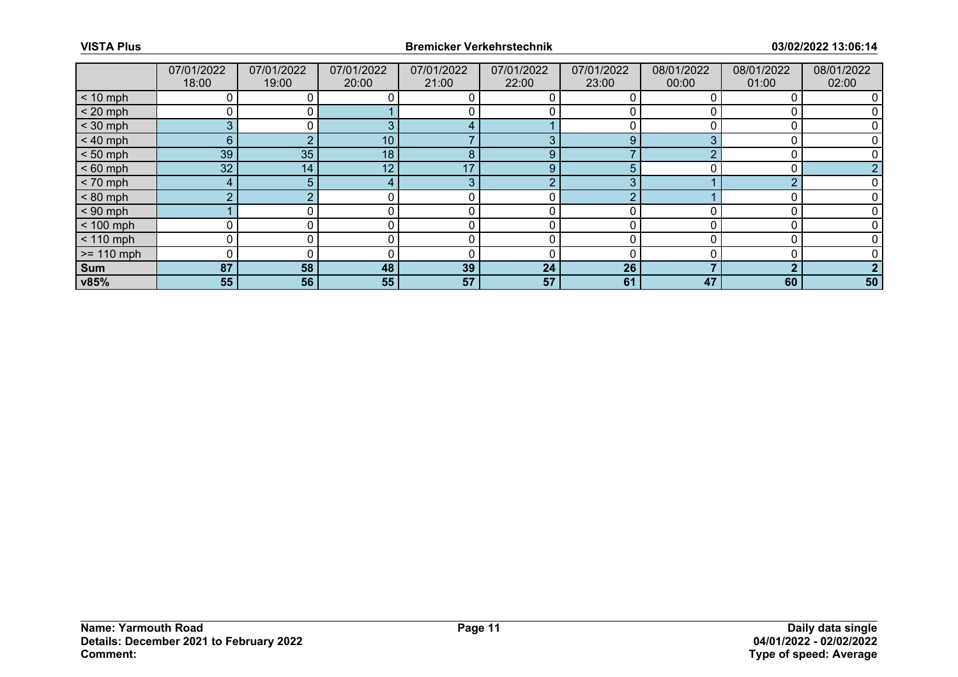|              | 07/01/2022<br>18:00 | 07/01/2022<br>19:00 | 07/01/2022<br>20:00 | 07/01/2022<br>21:00 | 07/01/2022<br>22:00 | 07/01/2022<br>23:00 | 08/01/2022<br>00:00 | 08/01/2022<br>01:00 | 08/01/2022<br>02:00 |
|--------------|---------------------|---------------------|---------------------|---------------------|---------------------|---------------------|---------------------|---------------------|---------------------|
| $< 10$ mph   |                     |                     |                     |                     |                     |                     |                     |                     |                     |
| $< 20$ mph   |                     |                     |                     |                     |                     |                     |                     |                     |                     |
| $<$ 30 mph   | 3                   |                     |                     |                     |                     |                     |                     |                     |                     |
| $< 40$ mph   | 6 <sup>°</sup>      |                     | 10                  |                     | 3                   | 9                   |                     |                     |                     |
| $< 50$ mph   | 39                  | 35                  | 18                  | 8                   | 9                   |                     |                     |                     |                     |
| $< 60$ mph   | 32                  | 14                  | 12                  | 17                  | 9                   | 5                   |                     |                     |                     |
| $< 70$ mph   | 4                   | 5                   |                     | 3                   | $\Omega$            | 3                   |                     | റ                   |                     |
| $< 80$ mph   | $\overline{2}$      |                     |                     |                     | 0                   |                     |                     |                     |                     |
| $< 90$ mph   |                     |                     |                     |                     | 0                   |                     |                     |                     |                     |
| $< 100$ mph  | 0                   |                     |                     | 0                   | 0                   | 0                   |                     |                     |                     |
| $< 110$ mph  |                     |                     |                     |                     |                     |                     |                     |                     |                     |
| $>= 110$ mph |                     |                     |                     |                     |                     |                     |                     |                     |                     |
| <b>Sum</b>   | 87                  | 58                  | 48                  | 39                  | 24                  | 26                  |                     | ◠                   |                     |
| v85%         | 55                  | 56                  | 55                  | 57                  | 57                  | 61                  | 47                  | 60                  | 50                  |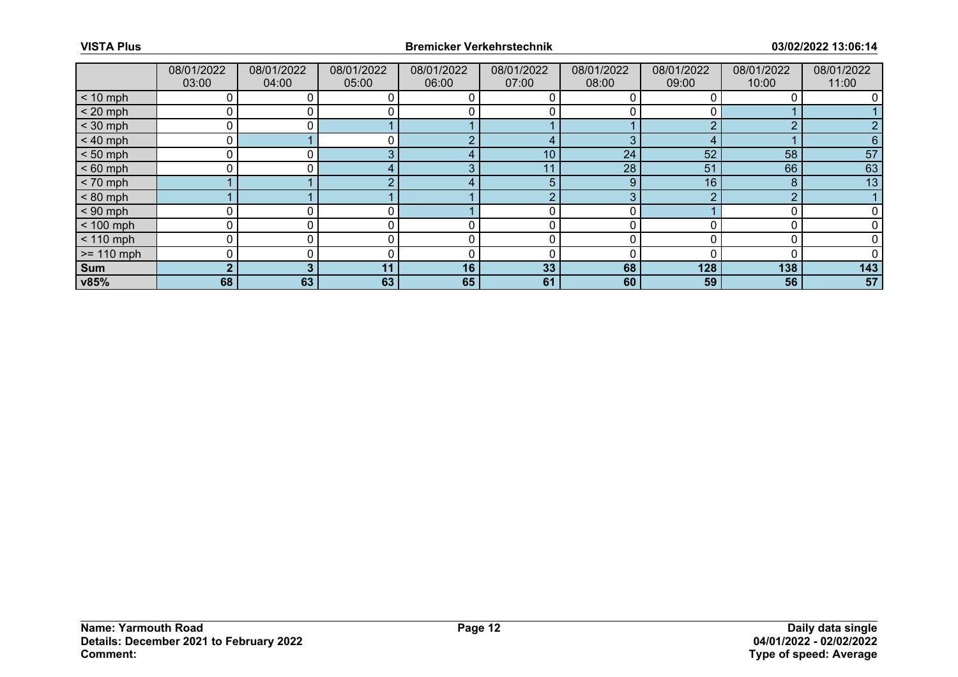|              | 08/01/2022<br>03:00 | 08/01/2022<br>04:00 | 08/01/2022<br>05:00 | 08/01/2022<br>06:00 | 08/01/2022<br>07:00 | 08/01/2022<br>08:00 | 08/01/2022<br>09:00 | 08/01/2022<br>10:00 | 08/01/2022<br>11:00 |
|--------------|---------------------|---------------------|---------------------|---------------------|---------------------|---------------------|---------------------|---------------------|---------------------|
| $< 10$ mph   |                     |                     |                     |                     |                     |                     |                     |                     |                     |
| $< 20$ mph   | 0                   |                     |                     |                     |                     |                     |                     |                     |                     |
| $<$ 30 mph   | 0                   |                     |                     |                     |                     |                     |                     | n                   |                     |
| $< 40$ mph   | 0                   |                     |                     | $\sim$              |                     | 3                   | 4                   |                     | 6                   |
| $< 50$ mph   | 0                   |                     |                     |                     | 10                  | 24                  | 52                  | 58                  | 57                  |
| $< 60$ mph   | 0                   |                     |                     | ◠                   | 11                  | 28                  | 51                  | 66                  | 63                  |
| $< 70$ mph   |                     |                     |                     |                     | 5                   | 9                   | 16                  | 8                   | 13                  |
| $< 80$ mph   |                     |                     |                     |                     | с                   | 3                   |                     | ◠                   |                     |
| $< 90$ mph   | 0                   |                     |                     |                     |                     |                     |                     |                     |                     |
| $< 100$ mph  | 0                   | 0                   |                     | r                   | 0                   | O                   |                     | C                   |                     |
| $< 110$ mph  | 0                   |                     |                     |                     |                     |                     |                     |                     |                     |
| $>= 110$ mph | 0                   |                     |                     |                     |                     |                     |                     |                     |                     |
| Sum          | $\mathbf{2}$        | 3                   | 11                  | 16                  | 33                  | 68                  | 128                 | 138                 | 143                 |
| v85%         | 68                  | 63                  | 63                  | 65                  | 61                  | 60                  | 59                  | 56                  | 57                  |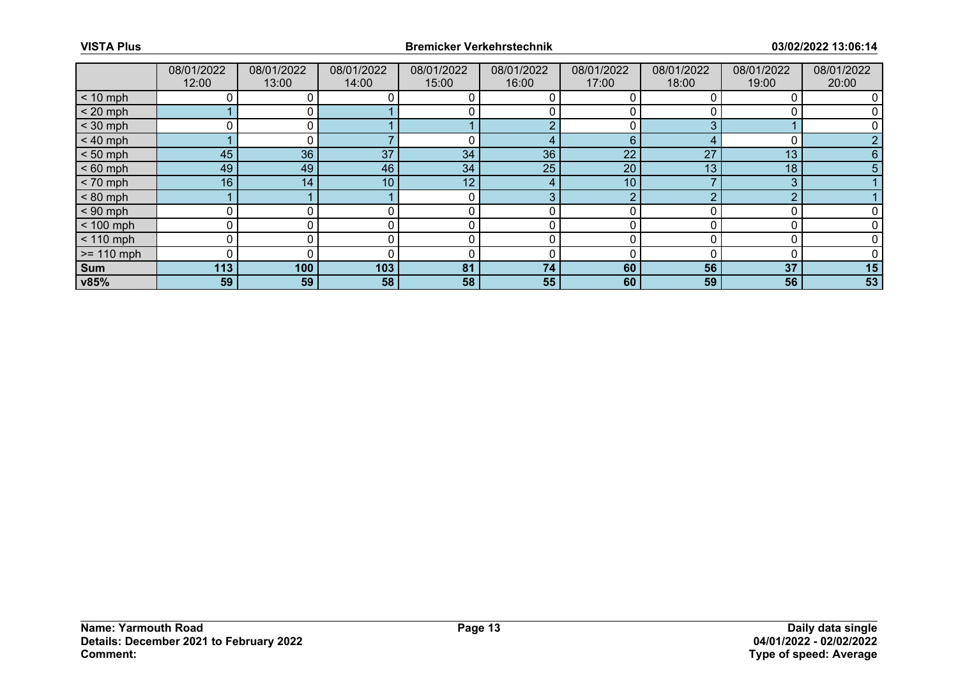|              | 08/01/2022<br>12:00 | 08/01/2022<br>13:00 | 08/01/2022<br>14:00 | 08/01/2022<br>15:00 | 08/01/2022<br>16:00 | 08/01/2022<br>17:00 | 08/01/2022<br>18:00 | 08/01/2022<br>19:00 | 08/01/2022<br>20:00 |
|--------------|---------------------|---------------------|---------------------|---------------------|---------------------|---------------------|---------------------|---------------------|---------------------|
| $< 10$ mph   |                     |                     |                     |                     |                     |                     |                     |                     |                     |
| $< 20$ mph   |                     |                     |                     |                     |                     |                     |                     |                     |                     |
| $<$ 30 mph   |                     |                     |                     |                     | $\bigcap$           |                     |                     |                     |                     |
| $< 40$ mph   |                     |                     |                     | 0                   | 4                   | 6                   |                     |                     |                     |
| $< 50$ mph   | 45                  | 36                  | 37                  | 34                  | 36                  | 22                  | 27                  | 13                  |                     |
| $< 60$ mph   | 49                  | 49                  | 46                  | 34                  | 25                  | 20                  | 13                  | 18                  |                     |
| $< 70$ mph   | 16                  | 14                  | 10                  | 12                  | 4                   | 10 <sup>°</sup>     |                     | 3                   |                     |
| $< 80$ mph   |                     |                     |                     | 0                   | 3                   | ◠                   |                     | ∩                   |                     |
| $< 90$ mph   | $\Omega$            |                     |                     | C                   |                     | ∩                   |                     |                     |                     |
| $< 100$ mph  | 0                   |                     |                     | 0                   | 0                   | $\Omega$            |                     |                     |                     |
| $< 110$ mph  | 0                   |                     |                     | 0                   | 0                   | <sup>0</sup>        |                     |                     |                     |
| $>= 110$ mph | $\Omega$            |                     |                     | C                   | 0                   |                     |                     |                     |                     |
| <b>Sum</b>   | 113                 | 100                 | 103                 | 81                  | 74                  | 60                  | 56                  | 37                  | 15                  |
| v85%         | 59                  | 59                  | 58                  | 58                  | 55                  | 60                  | 59                  | 56                  | 53                  |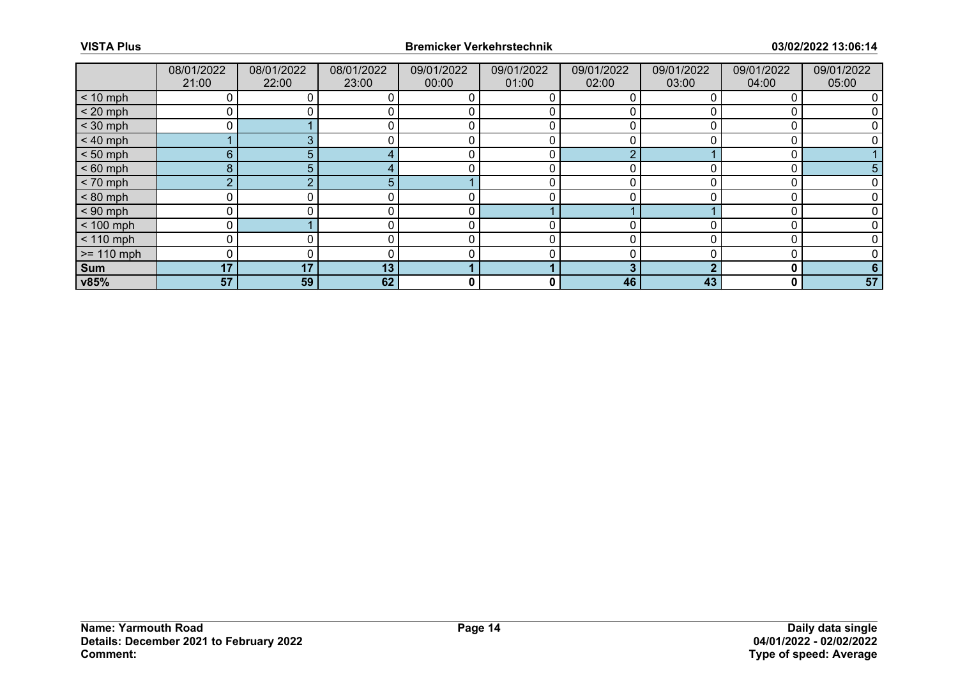|              | 08/01/2022<br>21:00 | 08/01/2022<br>22:00 | 08/01/2022<br>23:00 | 09/01/2022<br>00:00 | 09/01/2022<br>01:00 | 09/01/2022<br>02:00 | 09/01/2022<br>03:00 | 09/01/2022<br>04:00 | 09/01/2022<br>05:00 |
|--------------|---------------------|---------------------|---------------------|---------------------|---------------------|---------------------|---------------------|---------------------|---------------------|
| $< 10$ mph   |                     |                     |                     |                     |                     |                     |                     |                     |                     |
| $< 20$ mph   |                     |                     |                     | $\Omega$            |                     |                     |                     |                     |                     |
| $<$ 30 mph   |                     |                     |                     |                     |                     |                     |                     |                     |                     |
| $< 40$ mph   |                     | ◠                   |                     | 0                   | 0                   | 0                   |                     |                     |                     |
| $< 50$ mph   | $6^{\circ}$         | 5                   |                     |                     | 0                   | $\sqrt{ }$          |                     |                     |                     |
| $< 60$ mph   | 8                   |                     |                     |                     | 0                   |                     |                     |                     |                     |
| $< 70$ mph   | $\overline{2}$      |                     | 5                   |                     | 0                   | 0                   |                     |                     |                     |
| $< 80$ mph   | $\Omega$            |                     |                     |                     |                     | ∩                   |                     |                     |                     |
| $< 90$ mph   | $\Omega$            |                     |                     |                     |                     |                     |                     |                     |                     |
| $< 100$ mph  | 0                   |                     |                     | 0                   | 0                   | 0                   |                     |                     |                     |
| $< 110$ mph  | 0                   |                     |                     | $\Omega$            | 0                   | U                   |                     |                     |                     |
| $>= 110$ mph | <sup>0</sup>        |                     |                     |                     |                     |                     |                     |                     |                     |
| <b>Sum</b>   | 17                  | 17                  | 13                  |                     |                     | 3                   |                     | 0                   |                     |
| v85%         | 57                  | 59                  | 62                  | 0                   | 0                   | 46                  | 43                  | 0                   | 57                  |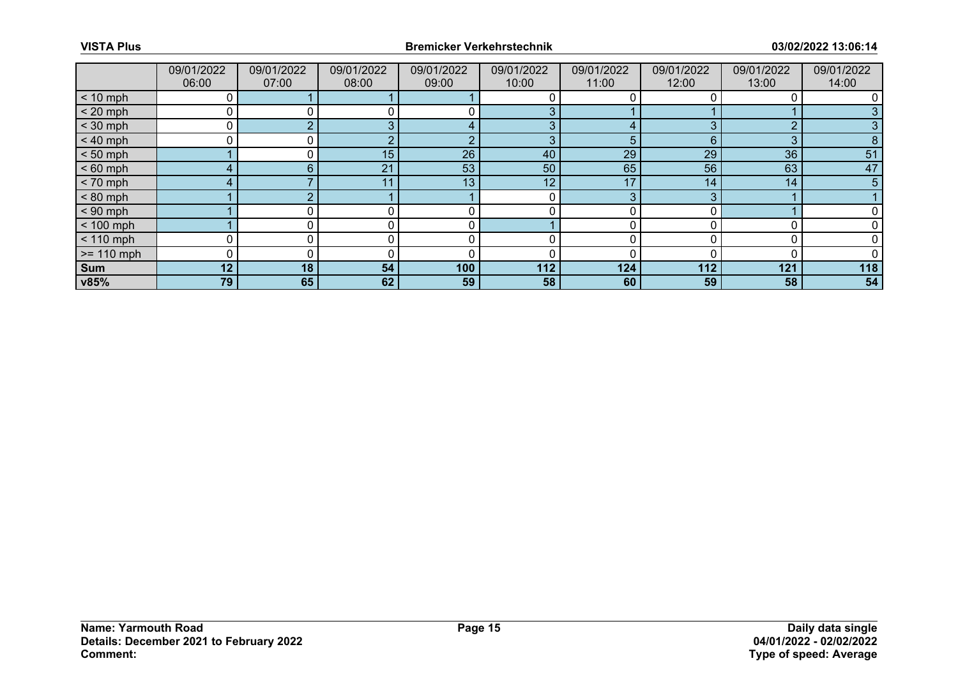|              | 09/01/2022<br>06:00 | 09/01/2022<br>07:00 | 09/01/2022<br>08:00 | 09/01/2022<br>09:00 | 09/01/2022<br>10:00 | 09/01/2022<br>11:00 | 09/01/2022<br>12:00 | 09/01/2022<br>13:00 | 09/01/2022<br>14:00 |
|--------------|---------------------|---------------------|---------------------|---------------------|---------------------|---------------------|---------------------|---------------------|---------------------|
| $< 10$ mph   |                     |                     |                     |                     |                     |                     |                     |                     |                     |
| $< 20$ mph   |                     |                     |                     |                     | 3                   |                     |                     |                     |                     |
| $<$ 30 mph   |                     |                     |                     |                     | 3                   | 4                   |                     | ⌒                   |                     |
| $< 40$ mph   | $\Omega$            |                     |                     | റ                   | 3                   | 5                   | 6                   | 3                   |                     |
| $< 50$ mph   |                     |                     | 15                  | 26                  | 40                  | 29                  | 29                  | 36                  | 51                  |
| $< 60$ mph   | 4                   | 6                   | 21                  | 53                  | 50                  | 65                  | 56                  | 63                  | 47                  |
| $< 70$ mph   | 4                   |                     | 11                  | 13                  | 12 <sub>1</sub>     | 17                  | 14                  | 14                  | 5                   |
| $< 80$ mph   |                     |                     |                     |                     | 0                   | 3                   | 3                   |                     |                     |
| $< 90$ mph   |                     |                     |                     |                     |                     |                     |                     |                     |                     |
| $< 100$ mph  |                     |                     |                     | 0                   |                     | 0                   |                     |                     |                     |
| $< 110$ mph  |                     |                     |                     |                     |                     |                     |                     |                     |                     |
| $>= 110$ mph |                     |                     |                     |                     |                     |                     |                     |                     |                     |
| <b>Sum</b>   | 12 <sup>1</sup>     | 18                  | 54                  | 100                 | 112                 | 124                 | 112                 | 121                 | 118                 |
| v85%         | 79                  | 65                  | 62                  | 59                  | 58                  | 60                  | 59                  | 58                  | 54                  |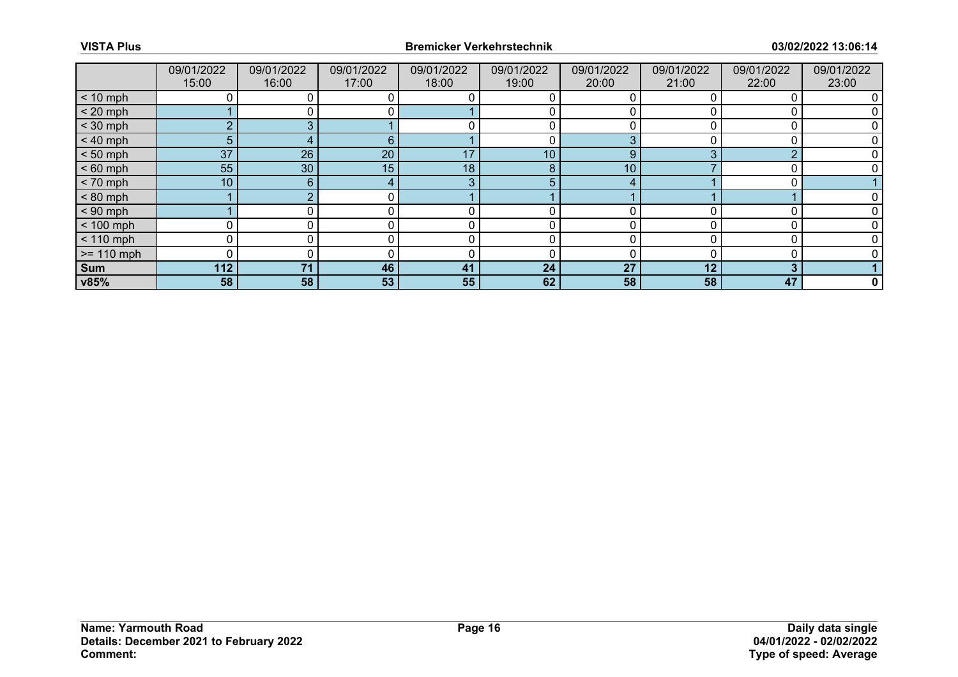|              | 09/01/2022<br>15:00 | 09/01/2022<br>16:00 | 09/01/2022<br>17:00 | 09/01/2022<br>18:00 | 09/01/2022<br>19:00 | 09/01/2022<br>20:00 | 09/01/2022<br>21:00 | 09/01/2022<br>22:00 | 09/01/2022<br>23:00 |
|--------------|---------------------|---------------------|---------------------|---------------------|---------------------|---------------------|---------------------|---------------------|---------------------|
| $< 10$ mph   |                     |                     |                     |                     |                     |                     |                     |                     |                     |
| $< 20$ mph   |                     |                     |                     |                     |                     |                     |                     |                     |                     |
| $<$ 30 mph   | $\overline{2}$      | ◠                   |                     |                     | 0                   |                     |                     |                     |                     |
| $< 40$ mph   | 5                   |                     | 6                   |                     | 0                   | 3                   |                     |                     |                     |
| $< 50$ mph   | 37                  | 26                  | 20                  | 17                  | 10 <sup>°</sup>     | 9                   |                     | ⌒                   |                     |
| $< 60$ mph   | 55                  | 30                  | 15                  | 18                  | 8                   | 10                  |                     |                     |                     |
| $< 70$ mph   | 10                  | 6                   |                     | 3                   | 5 <sup>5</sup>      | 4                   |                     |                     |                     |
| $< 80$ mph   |                     |                     | 0.                  |                     |                     |                     |                     |                     |                     |
| $< 90$ mph   |                     |                     |                     |                     |                     | ∩                   |                     |                     |                     |
| $< 100$ mph  | $\Omega$            |                     |                     | 0                   | 0                   | $\Omega$            |                     |                     |                     |
| $< 110$ mph  | 0                   |                     |                     | 0                   | 0                   | <sup>0</sup>        |                     |                     |                     |
| $>= 110$ mph | $\Omega$            |                     |                     | C                   | 0                   |                     |                     |                     |                     |
| <b>Sum</b>   | 112                 | 71                  | 46                  | 41                  | 24                  | 27                  | 12                  | 3                   |                     |
| v85%         | 58                  | 58                  | 53                  | 55                  | 62                  | 58                  | 58                  | 47                  | 0                   |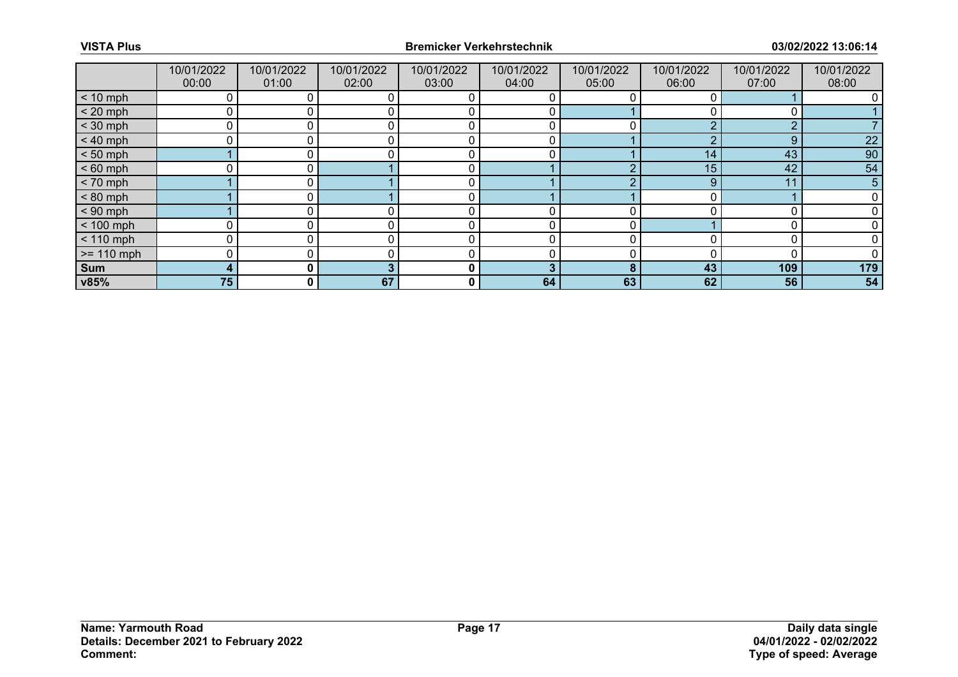|              | 10/01/2022<br>00:00 | 10/01/2022<br>01:00 | 10/01/2022<br>02:00 | 10/01/2022<br>03:00 | 10/01/2022<br>04:00 | 10/01/2022<br>05:00 | 10/01/2022<br>06:00 | 10/01/2022<br>07:00 | 10/01/2022<br>08:00 |
|--------------|---------------------|---------------------|---------------------|---------------------|---------------------|---------------------|---------------------|---------------------|---------------------|
| $< 10$ mph   |                     |                     |                     |                     |                     |                     |                     |                     |                     |
| $< 20$ mph   | 0                   |                     |                     |                     |                     |                     |                     |                     |                     |
| $<$ 30 mph   | Ω                   |                     |                     |                     |                     |                     |                     | ◠                   |                     |
| $< 40$ mph   | 0                   |                     |                     |                     | 0                   |                     |                     | 9                   | 22                  |
| $< 50$ mph   |                     |                     |                     |                     |                     |                     | 14                  | 43                  | 90                  |
| $< 60$ mph   |                     |                     |                     |                     |                     |                     | 15                  | 42                  | 54                  |
| $< 70$ mph   |                     |                     |                     |                     |                     |                     | 9                   | 11                  | 5                   |
| $< 80$ mph   |                     |                     |                     | C                   |                     |                     |                     |                     |                     |
| $< 90$ mph   |                     |                     |                     |                     |                     |                     |                     |                     |                     |
| $< 100$ mph  | 0                   |                     |                     |                     | 0                   |                     |                     |                     |                     |
| $< 110$ mph  | 0                   |                     |                     |                     | 0                   |                     |                     |                     |                     |
| $>= 110$ mph | 0                   |                     |                     |                     |                     |                     |                     |                     |                     |
| Sum          | 4                   | 0 I                 |                     | 0                   | 3                   | 8                   | 43                  | 109                 | 179                 |
| v85%         | 75                  | $\mathbf{0}$        | 67                  | 0                   | 64                  | 63                  | 62                  | 56                  | 54                  |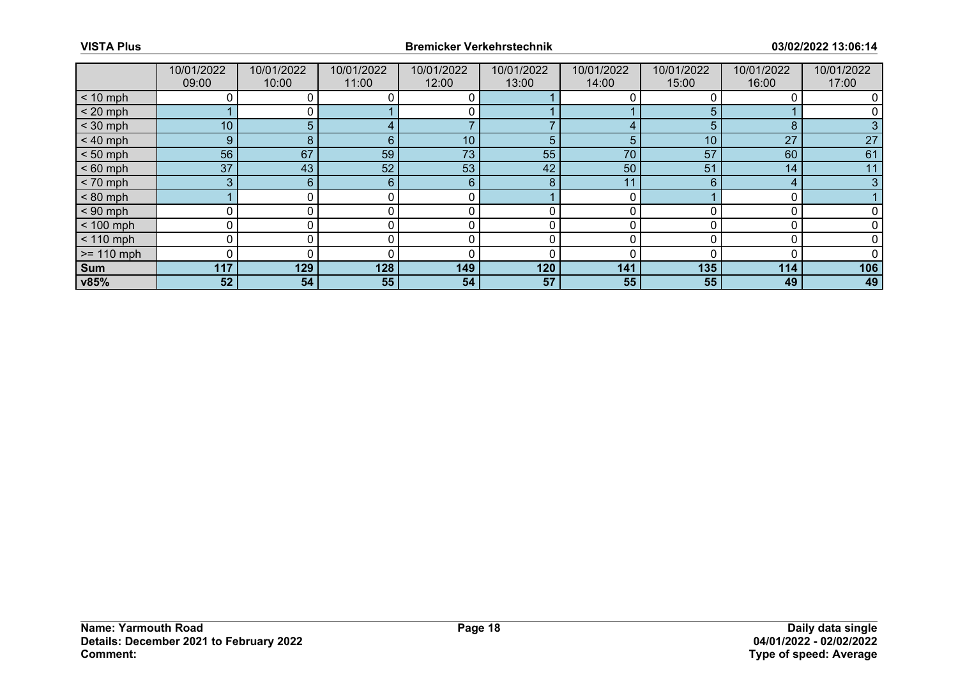|              | 10/01/2022<br>09:00 | 10/01/2022<br>10:00 | 10/01/2022<br>11:00 | 10/01/2022<br>12:00 | 10/01/2022<br>13:00 | 10/01/2022<br>14:00 | 10/01/2022<br>15:00 | 10/01/2022<br>16:00 | 10/01/2022<br>17:00 |
|--------------|---------------------|---------------------|---------------------|---------------------|---------------------|---------------------|---------------------|---------------------|---------------------|
| $< 10$ mph   | 0                   |                     |                     |                     |                     |                     |                     |                     |                     |
| $< 20$ mph   |                     |                     |                     |                     |                     |                     |                     |                     |                     |
| $<$ 30 mph   | 10 <sub>1</sub>     | 5                   |                     |                     |                     |                     | 5                   | 8                   |                     |
| $< 40$ mph   | 9                   | 8                   | 6                   | 10                  | 5                   | 5                   | 10                  | 27                  | 27                  |
| $< 50$ mph   | 56                  | 67                  | 59                  | 73                  | 55                  | 70                  | 57                  | 60                  | 61                  |
| $< 60$ mph   | 37                  | 43                  | 52                  | 53                  | 42                  | 50                  | 51                  | 14                  | 11                  |
| $< 70$ mph   | 3                   | 6                   | $6^{\circ}$         | 6                   | 8                   | 11                  | 6                   | 4                   | 3                   |
| $< 80$ mph   |                     |                     |                     |                     |                     |                     |                     |                     |                     |
| $< 90$ mph   | 0                   |                     |                     |                     |                     |                     |                     |                     |                     |
| $< 100$ mph  | 0                   | 0                   | 0                   | 0                   | 0                   | U                   |                     |                     |                     |
| $< 110$ mph  | 0                   |                     |                     |                     |                     |                     |                     |                     |                     |
| $>= 110$ mph | 0                   |                     |                     | C                   |                     |                     |                     |                     |                     |
| Sum          | 117                 | 129                 | 128                 | 149                 | 120                 | 141                 | 135                 | 114                 | 106                 |
| v85%         | 52                  | 54                  | 55                  | 54                  | 57                  | 55                  | 55                  | 49                  | 49                  |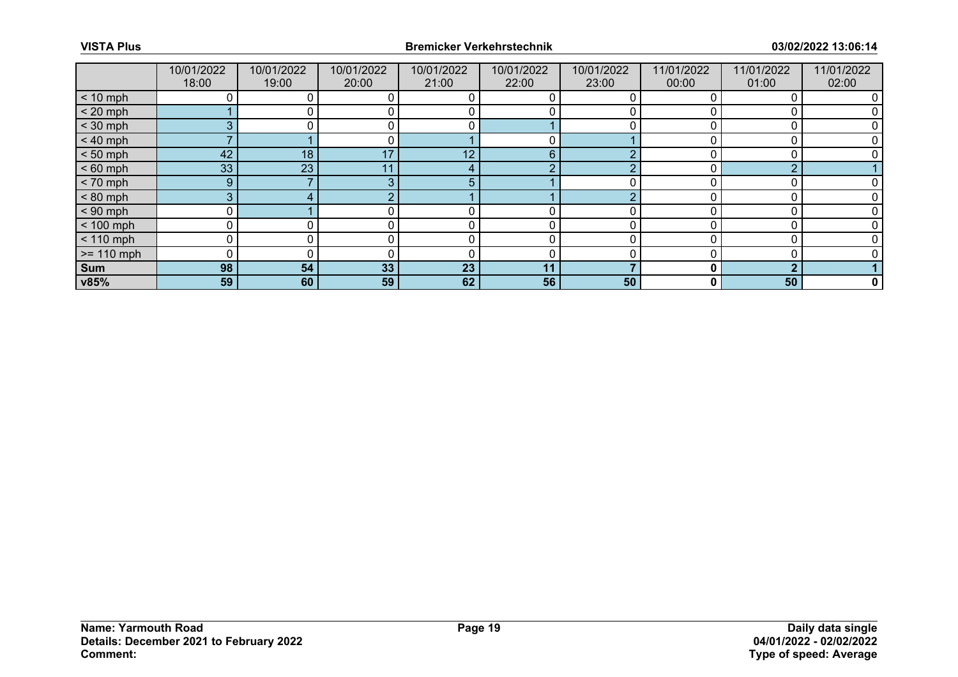|              | 10/01/2022<br>18:00 | 10/01/2022<br>19:00 | 10/01/2022<br>20:00 | 10/01/2022<br>21:00 | 10/01/2022<br>22:00 | 10/01/2022<br>23:00 | 11/01/2022<br>00:00 | 11/01/2022<br>01:00 | 11/01/2022<br>02:00 |
|--------------|---------------------|---------------------|---------------------|---------------------|---------------------|---------------------|---------------------|---------------------|---------------------|
| $< 10$ mph   |                     |                     |                     |                     |                     |                     |                     |                     |                     |
| $< 20$ mph   |                     |                     |                     | 0                   |                     |                     |                     |                     |                     |
| $<$ 30 mph   | 3                   |                     |                     |                     |                     |                     |                     |                     |                     |
| $< 40$ mph   | ⇁                   |                     | $\mathbf{0}$        |                     | 0                   |                     |                     | n                   |                     |
| $< 50$ mph   | 42                  | 18                  | 17                  | 12                  | 6                   |                     |                     |                     |                     |
| $< 60$ mph   | 33                  | 23                  |                     | $\epsilon$          | $\sqrt{2}$          | ◠                   |                     | ∩                   |                     |
| $< 70$ mph   | 9 <sup>°</sup>      |                     | 3                   | 5                   |                     | 0                   |                     |                     |                     |
| $< 80$ mph   | 3                   |                     |                     |                     |                     |                     |                     |                     |                     |
| $< 90$ mph   | 0                   |                     |                     |                     |                     |                     |                     |                     |                     |
| $< 100$ mph  | 0                   |                     |                     | 0                   | 0                   | $\Omega$            |                     |                     |                     |
| $< 110$ mph  | 0                   |                     |                     | 0                   | 0                   | <sup>0</sup>        |                     |                     |                     |
| $>= 110$ mph | $\Omega$            |                     |                     | C                   | 0                   |                     |                     |                     |                     |
| <b>Sum</b>   | 98                  | 54                  | 33                  | 23                  | 11                  |                     |                     | ◠                   |                     |
| v85%         | 59                  | 60                  | 59                  | 62                  | 56                  | 50                  | 0                   | 50                  | 0                   |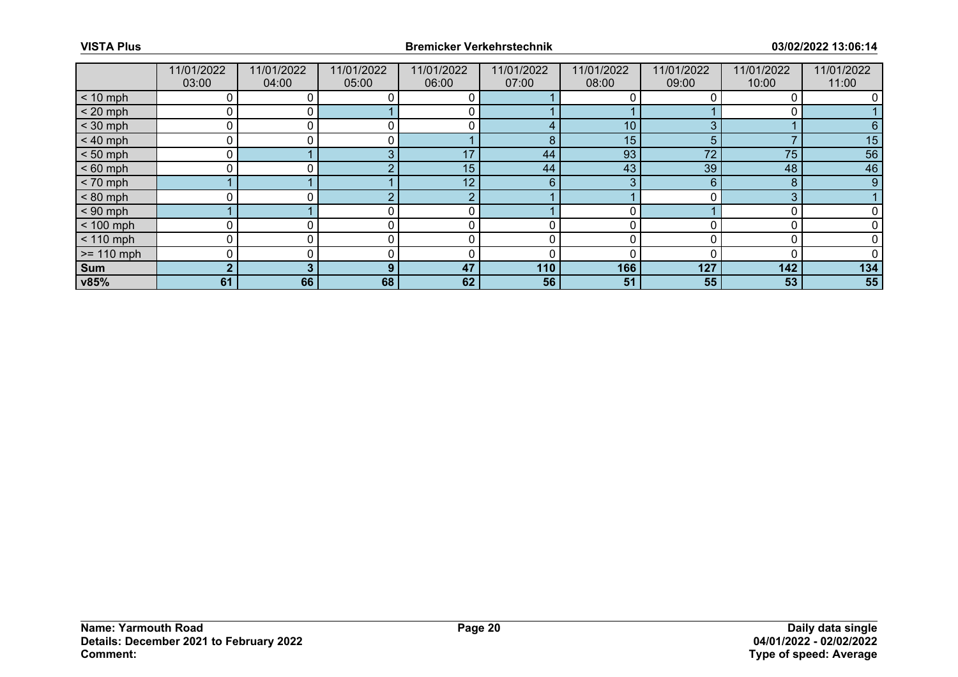|              | 11/01/2022<br>03:00 | 11/01/2022<br>04:00 | 11/01/2022<br>05:00 | 11/01/2022<br>06:00 | 11/01/2022<br>07:00 | 11/01/2022<br>08:00 | 11/01/2022<br>09:00 | 11/01/2022<br>10:00 | 11/01/2022<br>11:00 |
|--------------|---------------------|---------------------|---------------------|---------------------|---------------------|---------------------|---------------------|---------------------|---------------------|
| $< 10$ mph   |                     |                     |                     |                     |                     |                     |                     |                     |                     |
| $< 20$ mph   | 0                   | ΟI                  |                     |                     |                     |                     |                     |                     |                     |
| $<$ 30 mph   | n                   |                     |                     |                     |                     | 10                  |                     |                     |                     |
| $< 40$ mph   | 0                   |                     |                     |                     | 8                   | 15                  | 5                   |                     | 15                  |
| $< 50$ mph   | 0                   |                     |                     | 17                  | 44                  | 93                  | 72                  | 75                  | 56                  |
| $< 60$ mph   |                     |                     |                     | 15                  | 44                  | 43                  | 39                  | 48                  | 46                  |
| $< 70$ mph   |                     |                     |                     | 12                  | 6                   | 3                   | 6                   | 8                   | 9                   |
| $< 80$ mph   | n                   |                     |                     | $\bigcap$           |                     |                     |                     | 3                   |                     |
| $< 90$ mph   |                     |                     |                     |                     |                     |                     |                     |                     |                     |
| $< 100$ mph  | 0                   | 0                   | 0                   | 0                   | 0                   | U                   |                     |                     |                     |
| $< 110$ mph  | 0                   |                     |                     |                     |                     |                     |                     |                     |                     |
| $>= 110$ mph | 0                   |                     |                     |                     |                     |                     |                     |                     |                     |
| Sum          | $\overline{2}$      | 3                   | 9                   | 47                  | 110                 | 166                 | 127                 | 142                 | 134                 |
| v85%         | 61                  | 66                  | 68                  | 62                  | 56                  | 51                  | 55                  | 53                  | 55                  |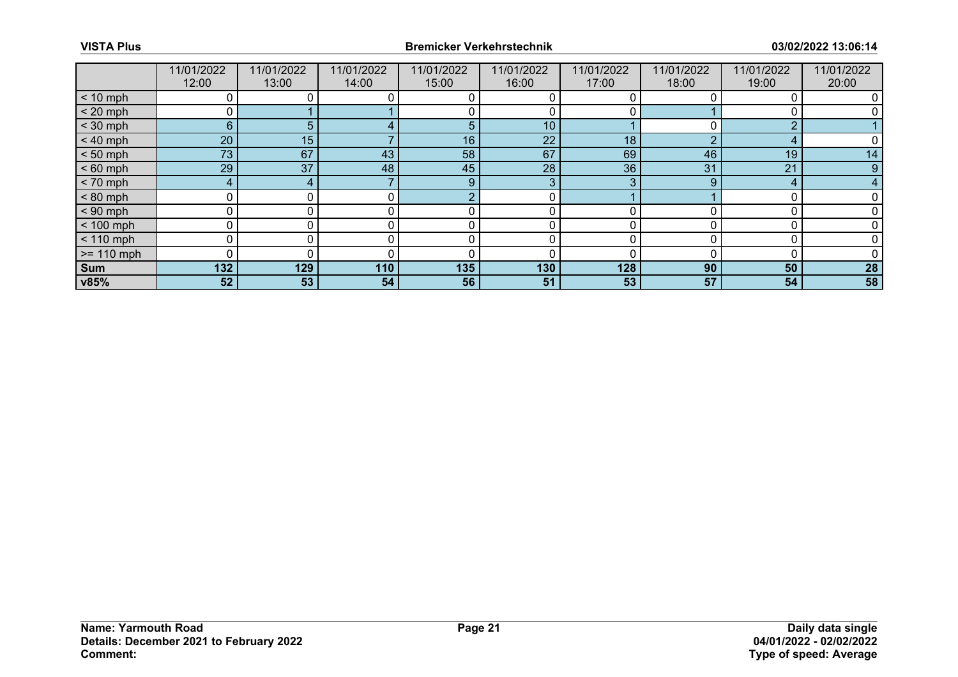|              | 11/01/2022<br>12:00 | 11/01/2022<br>13:00 | 11/01/2022<br>14:00 | 11/01/2022<br>15:00 | 11/01/2022<br>16:00 | 11/01/2022<br>17:00 | 11/01/2022<br>18:00 | 11/01/2022<br>19:00 | 11/01/2022<br>20:00 |
|--------------|---------------------|---------------------|---------------------|---------------------|---------------------|---------------------|---------------------|---------------------|---------------------|
| $< 10$ mph   | 0                   |                     |                     |                     |                     |                     |                     |                     |                     |
| $< 20$ mph   | 0                   |                     |                     |                     |                     |                     |                     |                     |                     |
| $<$ 30 mph   | 6                   | 5.                  |                     |                     | 10 <sub>1</sub>     |                     |                     | ◠                   |                     |
| $< 40$ mph   | 20                  | 15                  |                     | 16                  | 22                  | 18                  | ◠                   |                     |                     |
| $< 50$ mph   | 73                  | 67                  | 43                  | 58                  | 67                  | 69                  | 46                  | 19                  | 14                  |
| $< 60$ mph   | 29                  | 37                  | 48                  | 45                  | 28                  | 36                  | 31                  | 21                  | 9                   |
| $< 70$ mph   | 4                   | 4                   |                     | 9                   | 3                   | 3                   | 9                   | 4                   |                     |
| $< 80$ mph   | 0                   |                     |                     |                     | 0                   |                     |                     |                     |                     |
| $< 90$ mph   | 0                   |                     |                     |                     |                     |                     |                     |                     |                     |
| $< 100$ mph  | 0                   | 0                   |                     | C                   | 0                   | 0                   |                     |                     |                     |
| $< 110$ mph  | 0                   |                     |                     |                     |                     |                     |                     |                     |                     |
| $>= 110$ mph | 0                   |                     |                     |                     |                     |                     |                     |                     |                     |
| Sum          | 132                 | 129                 | 110                 | 135                 | 130                 | 128                 | 90                  | 50                  | 28                  |
| v85%         | 52                  | 53 <sub>1</sub>     | 54                  | 56                  | 51                  | 53                  | 57                  | 54                  | 58                  |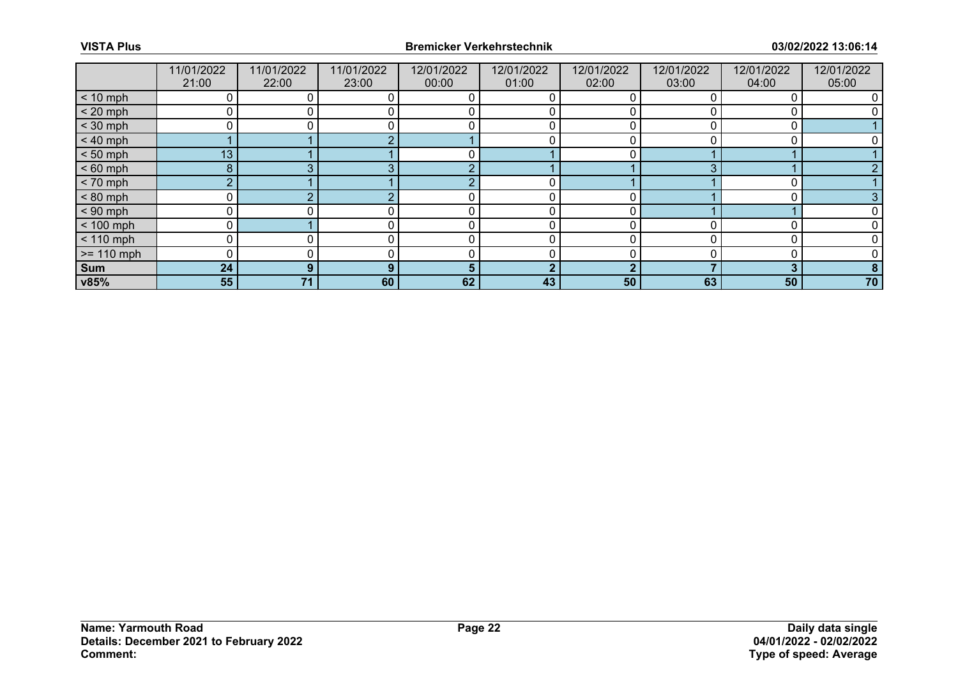|              | 11/01/2022<br>21:00 | 11/01/2022<br>22:00 | 11/01/2022<br>23:00 | 12/01/2022<br>00:00 | 12/01/2022<br>01:00 | 12/01/2022<br>02:00 | 12/01/2022<br>03:00 | 12/01/2022<br>04:00 | 12/01/2022<br>05:00 |
|--------------|---------------------|---------------------|---------------------|---------------------|---------------------|---------------------|---------------------|---------------------|---------------------|
| $< 10$ mph   | 0                   |                     |                     |                     |                     |                     |                     |                     |                     |
| $< 20$ mph   | 0                   |                     |                     |                     |                     |                     |                     |                     |                     |
| $<$ 30 mph   |                     |                     |                     |                     |                     |                     |                     |                     |                     |
| $< 40$ mph   |                     |                     |                     |                     |                     |                     |                     |                     |                     |
| $< 50$ mph   | 13 <sub>1</sub>     |                     |                     |                     |                     |                     |                     |                     |                     |
| $< 60$ mph   | 8                   |                     |                     |                     |                     |                     | ◠                   |                     |                     |
| $< 70$ mph   | $\overline{2}$      |                     |                     |                     | 0                   |                     |                     |                     |                     |
| $< 80$ mph   | 0                   |                     |                     |                     |                     |                     |                     |                     |                     |
| $< 90$ mph   | 0                   |                     |                     |                     |                     |                     |                     |                     |                     |
| $< 100$ mph  | 0                   |                     |                     |                     | 0                   |                     |                     |                     |                     |
| $< 110$ mph  | 0                   |                     |                     |                     |                     |                     |                     |                     |                     |
| $>= 110$ mph | 0                   |                     |                     |                     |                     |                     |                     |                     |                     |
| Sum          | 24                  | 9                   | $\bullet$           |                     | າ                   | ◠                   |                     | 3                   | 8                   |
| v85%         | 55                  | 71                  | 60                  | 62                  | 43                  | 50                  | 63                  | 50                  | 70                  |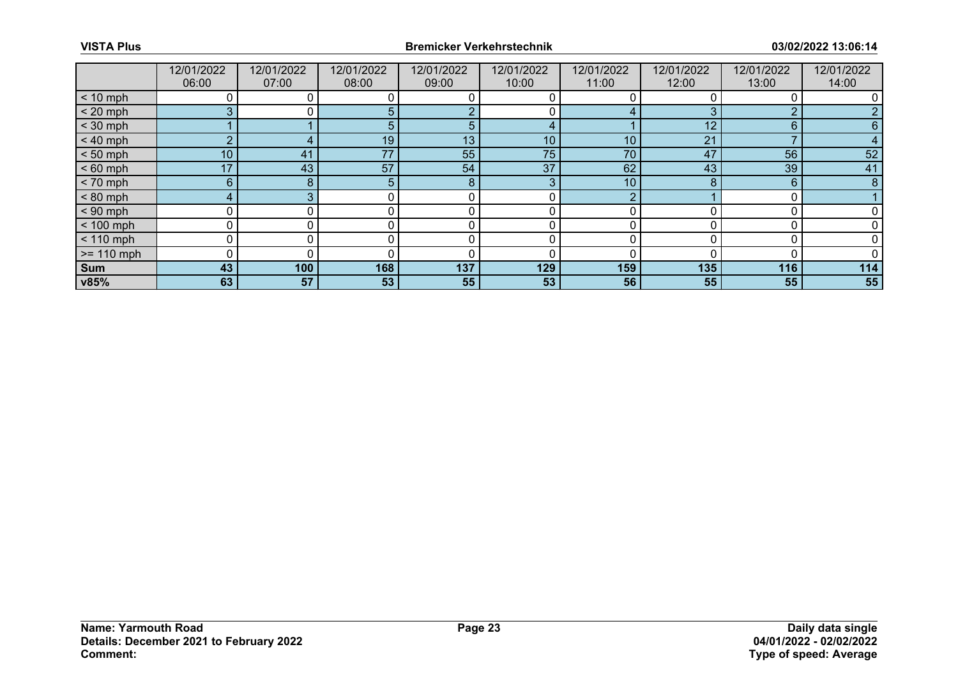|              | 12/01/2022<br>06:00 | 12/01/2022<br>07:00 | 12/01/2022<br>08:00 | 12/01/2022<br>09:00 | 12/01/2022<br>10:00 | 12/01/2022<br>11:00 | 12/01/2022<br>12:00 | 12/01/2022<br>13:00 | 12/01/2022<br>14:00 |
|--------------|---------------------|---------------------|---------------------|---------------------|---------------------|---------------------|---------------------|---------------------|---------------------|
| $< 10$ mph   |                     |                     |                     |                     |                     |                     |                     |                     |                     |
| $< 20$ mph   | 3                   |                     | 5.                  |                     |                     | 4                   |                     | ∩                   |                     |
| $<$ 30 mph   |                     |                     | 5                   | 5                   |                     |                     | 12                  | 6                   |                     |
| $< 40$ mph   | $\overline{2}$      |                     | 19                  | 13                  | 10                  | 10                  | 21                  |                     |                     |
| $< 50$ mph   | 10 <sup>1</sup>     | 41                  | 77                  | 55                  | 75                  | 70                  | 47                  | 56                  | 52                  |
| $< 60$ mph   | 17                  | 43                  | 57                  | 54                  | 37                  | 62                  | 43                  | 39                  | 41                  |
| $< 70$ mph   | 6 <sup>°</sup>      | 8                   | 5                   | 8                   | 3                   | 10                  |                     | 6                   | 8                   |
| $< 80$ mph   | 4                   |                     |                     |                     |                     |                     |                     |                     |                     |
| $< 90$ mph   | 0                   |                     |                     |                     |                     |                     |                     |                     |                     |
| $< 100$ mph  | 0                   | 0                   | 0                   | 0                   | 0                   | O                   |                     |                     |                     |
| $< 110$ mph  | 0                   |                     |                     |                     |                     |                     |                     |                     |                     |
| $>= 110$ mph | $\Omega$            |                     |                     |                     |                     |                     |                     |                     |                     |
| Sum          | 43                  | 100                 | 168                 | 137                 | 129                 | 159                 | 135                 | 116                 | 114                 |
| v85%         | 63                  | 57                  | 53                  | 55                  | 53                  | 56                  | 55                  | 55                  | 55                  |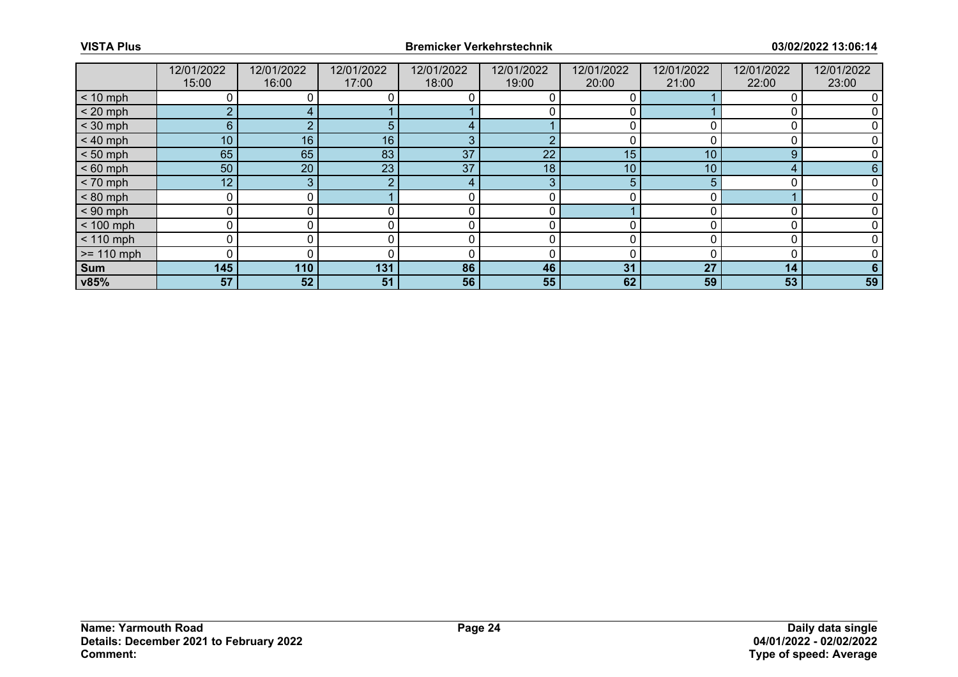|              | 12/01/2022<br>15:00 | 12/01/2022<br>16:00 | 12/01/2022<br>17:00 | 12/01/2022<br>18:00 | 12/01/2022<br>19:00 | 12/01/2022<br>20:00 | 12/01/2022<br>21:00 | 12/01/2022<br>22:00 | 12/01/2022<br>23:00 |
|--------------|---------------------|---------------------|---------------------|---------------------|---------------------|---------------------|---------------------|---------------------|---------------------|
| $< 10$ mph   |                     |                     |                     |                     |                     |                     |                     |                     |                     |
| $< 20$ mph   | $\overline{2}$      |                     |                     |                     |                     |                     |                     |                     |                     |
| $<$ 30 mph   | 6 <sup>°</sup>      |                     |                     |                     |                     |                     |                     |                     |                     |
| $< 40$ mph   | 10 <sup>°</sup>     | 16                  | 16                  | 3                   | $\Omega$            | ŋ                   |                     |                     |                     |
| $< 50$ mph   | 65                  | 65                  | 83                  | 37                  | 22                  | 15                  | 10                  | 9                   |                     |
| $< 60$ mph   | 50                  | 20                  | 23 <sup>°</sup>     | 37                  | 18 <sub>1</sub>     | 10                  | 10                  | Δ                   |                     |
| $< 70$ mph   | 12                  | 3                   |                     | 4                   | 3                   | 5                   |                     |                     |                     |
| $< 80$ mph   | 0                   |                     |                     | 0                   | 0                   |                     |                     |                     |                     |
| $< 90$ mph   |                     |                     |                     |                     |                     |                     |                     |                     |                     |
| $< 100$ mph  | 0                   |                     |                     | 0                   | 0                   | U                   |                     |                     |                     |
| $< 110$ mph  | O.                  |                     |                     |                     |                     |                     |                     |                     |                     |
| $>= 110$ mph |                     |                     |                     |                     |                     |                     |                     |                     |                     |
| <b>Sum</b>   | 145                 | 110                 | 131                 | 86                  | 46                  | 31                  | 27                  | 14                  |                     |
| v85%         | 57                  | 52                  | 51                  | 56                  | 55                  | 62                  | 59                  | 53                  | 59                  |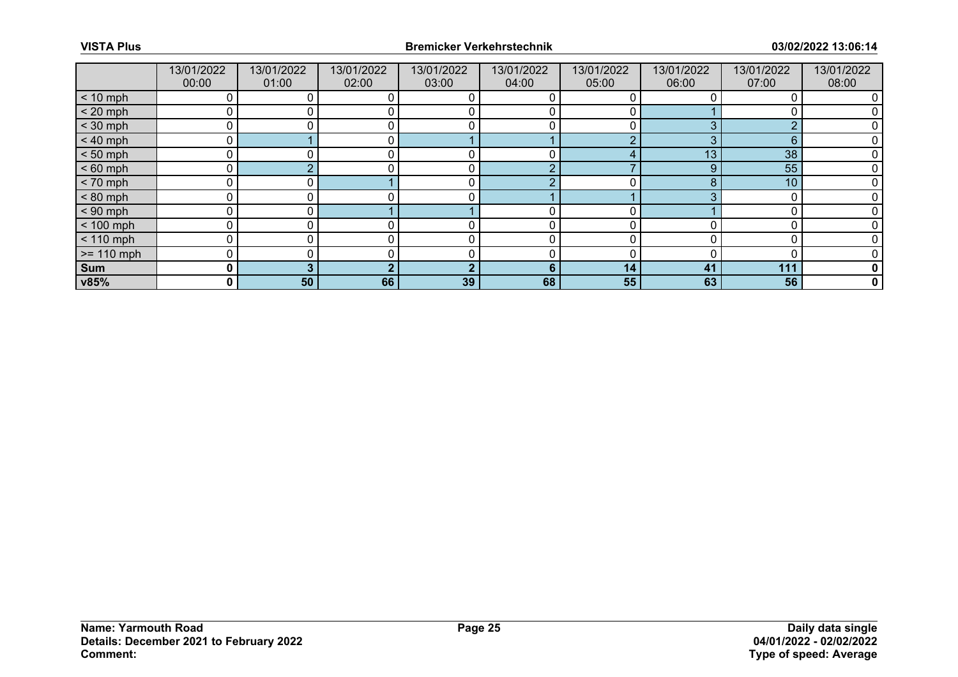|              | 13/01/2022<br>00:00 | 13/01/2022<br>01:00 | 13/01/2022<br>02:00 | 13/01/2022<br>03:00 | 13/01/2022<br>04:00 | 13/01/2022<br>05:00 | 13/01/2022<br>06:00 | 13/01/2022<br>07:00 | 13/01/2022<br>08:00 |
|--------------|---------------------|---------------------|---------------------|---------------------|---------------------|---------------------|---------------------|---------------------|---------------------|
| $< 10$ mph   | 0                   |                     |                     |                     |                     |                     |                     |                     |                     |
| $< 20$ mph   | 0                   |                     |                     |                     |                     |                     |                     |                     |                     |
| $<$ 30 mph   | 0                   |                     |                     |                     |                     |                     | ◠                   | $\Omega$            |                     |
| $< 40$ mph   | $\mathbf 0$         |                     | $\mathbf{0}$        |                     |                     | ∩                   | 3                   | 6                   |                     |
| $< 50$ mph   | 0                   |                     |                     |                     |                     |                     | 13                  | 38                  |                     |
| $< 60$ mph   | 0                   |                     |                     | r                   | $\epsilon$          |                     | 9                   | 55                  |                     |
| $< 70$ mph   | 0                   | 0 l                 |                     | 0                   | ∩                   | 0                   | 8                   | 10                  |                     |
| $< 80$ mph   | 0                   |                     |                     | C                   |                     |                     |                     | 0                   |                     |
| $< 90$ mph   | 0                   |                     |                     |                     |                     |                     |                     |                     |                     |
| $< 100$ mph  | 0                   | 0                   |                     |                     | 0                   |                     |                     |                     |                     |
| $< 110$ mph  | 0                   |                     |                     | C                   | 0                   |                     |                     | 0                   |                     |
| $>= 110$ mph | 0                   |                     |                     |                     |                     |                     |                     |                     |                     |
| Sum          | 0                   |                     |                     |                     | 6                   | 14                  | 41                  | 111                 | 0                   |
| v85%         | 0                   | 50                  | 66                  | 39                  | 68                  | 55                  | 63                  | 56                  | $\mathbf 0$         |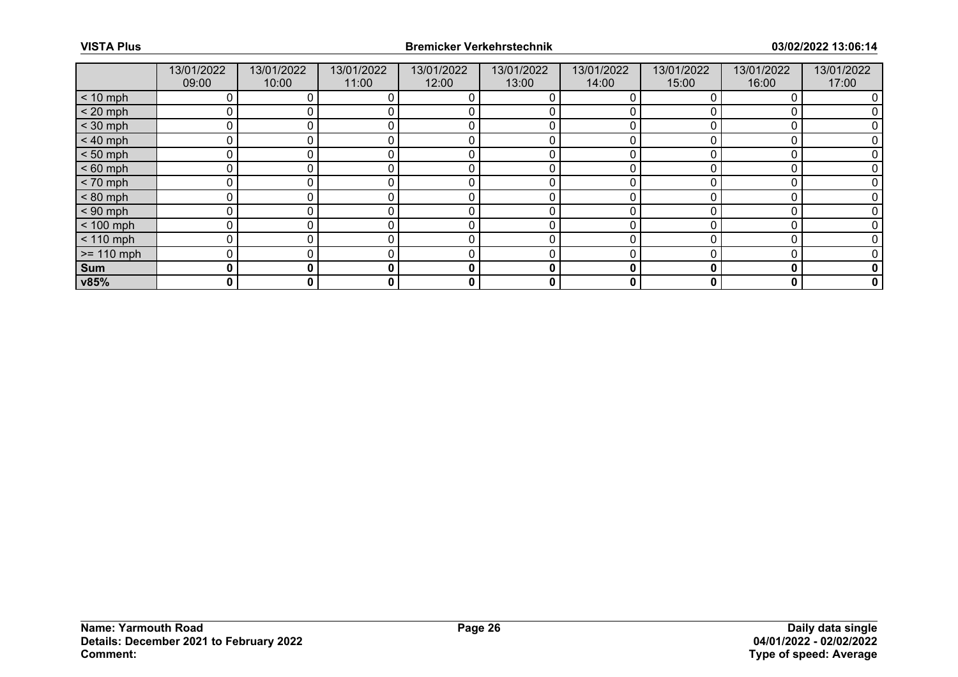|              | 13/01/2022<br>09:00 | 13/01/2022<br>10:00 | 13/01/2022<br>11:00 | 13/01/2022<br>12:00 | 13/01/2022<br>13:00 | 13/01/2022<br>14:00 | 13/01/2022<br>15:00 | 13/01/2022<br>16:00 | 13/01/2022<br>17:00 |
|--------------|---------------------|---------------------|---------------------|---------------------|---------------------|---------------------|---------------------|---------------------|---------------------|
| $< 10$ mph   | 0                   |                     |                     |                     | 0                   |                     |                     |                     |                     |
| $< 20$ mph   | 0                   |                     |                     |                     |                     |                     |                     |                     |                     |
| $<$ 30 mph   | 0                   |                     |                     |                     |                     |                     |                     |                     |                     |
| $< 40$ mph   | 0                   | 0                   |                     | c                   | 0                   |                     |                     |                     |                     |
| $< 50$ mph   | 0                   |                     |                     |                     |                     |                     |                     |                     |                     |
| $< 60$ mph   | 0                   |                     |                     |                     |                     |                     |                     |                     |                     |
| $< 70$ mph   | 0                   | 0                   |                     | $\Omega$            | 0                   |                     |                     |                     |                     |
| $< 80$ mph   | 0                   |                     |                     |                     |                     |                     |                     |                     |                     |
| $< 90$ mph   | 0                   |                     |                     |                     |                     |                     |                     |                     |                     |
| $< 100$ mph  | $\mathbf{0}$        | 0                   |                     | C                   | 0                   | O                   |                     | C                   |                     |
| $< 110$ mph  | 0                   |                     |                     |                     |                     |                     |                     |                     |                     |
| $>= 110$ mph | 0                   |                     |                     |                     |                     |                     |                     |                     |                     |
| Sum          | 0                   | 0                   | 0                   | $\bf{0}$            | 0                   | 0                   | 0                   | 0                   | 0                   |
| v85%         | 0                   | 0                   | 0                   | 0                   | 0                   | 0                   | 0                   | 0                   | 0                   |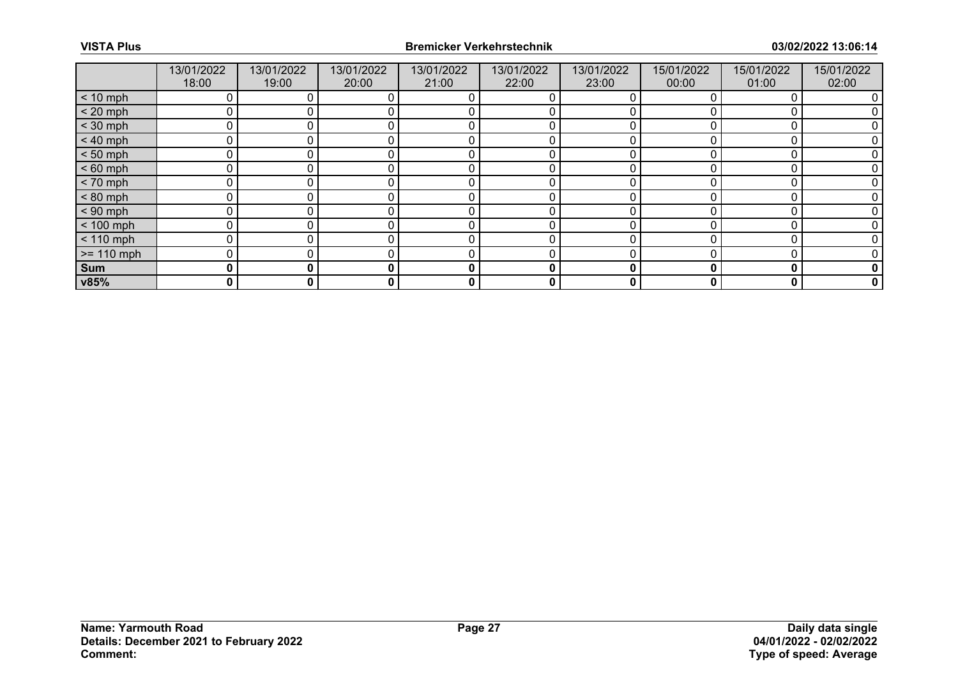|              | 13/01/2022<br>18:00 | 13/01/2022<br>19:00 | 13/01/2022<br>20:00 | 13/01/2022<br>21:00 | 13/01/2022<br>22:00 | 13/01/2022<br>23:00 | 15/01/2022<br>00:00 | 15/01/2022<br>01:00 | 15/01/2022<br>02:00 |
|--------------|---------------------|---------------------|---------------------|---------------------|---------------------|---------------------|---------------------|---------------------|---------------------|
| $< 10$ mph   | 0                   |                     |                     |                     | 0                   |                     |                     |                     |                     |
| $< 20$ mph   | 0                   |                     |                     |                     |                     |                     |                     |                     |                     |
| $<$ 30 mph   | 0                   |                     |                     |                     |                     |                     |                     |                     |                     |
| $< 40$ mph   | 0                   | 0                   |                     | c                   | 0                   |                     |                     |                     |                     |
| $< 50$ mph   | 0                   |                     |                     |                     |                     |                     |                     |                     |                     |
| $< 60$ mph   | 0                   |                     |                     |                     |                     |                     |                     |                     |                     |
| $< 70$ mph   | 0                   | 0                   |                     | C                   | 0                   |                     |                     |                     |                     |
| $< 80$ mph   | 0                   |                     |                     |                     |                     |                     |                     |                     |                     |
| $< 90$ mph   | 0                   |                     |                     |                     |                     |                     |                     |                     |                     |
| $< 100$ mph  | 0                   | 0                   |                     | C                   | 0                   | O                   |                     | C                   |                     |
| $< 110$ mph  | $\mathbf 0$         |                     |                     |                     |                     |                     |                     |                     |                     |
| $>= 110$ mph | 0                   |                     |                     |                     |                     |                     |                     |                     |                     |
| Sum          | 0                   | 0                   | 0                   | $\bf{0}$            | 0                   | 0                   | Ω                   | 0                   | 0                   |
| v85%         | 0                   | 0                   | 0                   | 0                   | 0                   | 0                   | 0                   | 0                   | 0                   |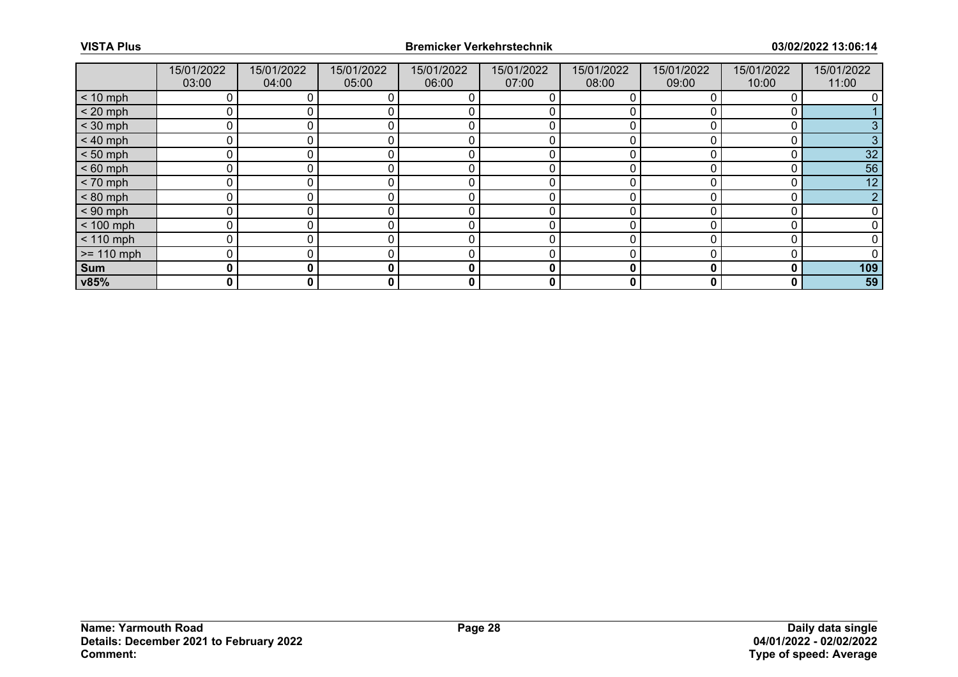|               | 15/01/2022<br>03:00 | 15/01/2022<br>04:00 | 15/01/2022<br>05:00 | 15/01/2022<br>06:00 | 15/01/2022<br>07:00 | 15/01/2022<br>08:00 | 15/01/2022<br>09:00 | 15/01/2022<br>10:00 | 15/01/2022<br>11:00 |
|---------------|---------------------|---------------------|---------------------|---------------------|---------------------|---------------------|---------------------|---------------------|---------------------|
| $< 10$ mph    |                     |                     |                     |                     |                     |                     |                     |                     |                     |
| $< 20$ mph    |                     |                     |                     |                     |                     |                     |                     |                     |                     |
| $<$ 30 mph    |                     |                     |                     |                     |                     |                     |                     |                     |                     |
| $< 40$ mph    | 0                   |                     |                     | 0                   | 0                   | 0                   |                     |                     |                     |
| $< 50$ mph    | U                   |                     |                     | $\Omega$            | 0                   | ∩                   |                     |                     | 32                  |
| $< 60$ mph    |                     |                     |                     |                     |                     |                     |                     |                     | 56                  |
| $< 70$ mph    | $\mathbf 0$         |                     |                     | 0                   | 0                   | 0                   |                     |                     | 12                  |
| $< 80$ mph    | $\Omega$            |                     |                     |                     | 0                   |                     |                     |                     |                     |
| $< 90$ mph    |                     |                     |                     |                     |                     |                     |                     |                     |                     |
| $< 100$ mph   | $\mathbf{0}$        |                     |                     | 0                   | 0                   | 0                   |                     |                     |                     |
| $< 110$ mph   |                     |                     |                     |                     |                     |                     |                     |                     |                     |
| $\ge$ 110 mph |                     |                     |                     |                     |                     |                     |                     |                     |                     |
| Sum           | 0                   | 0                   | $\mathbf{0}$        | 0                   | 0                   | 0                   |                     | 0                   | 109                 |
| v85%          | 0                   | 0                   | 0                   | 0                   | 0                   | 0                   |                     | 0                   | 59                  |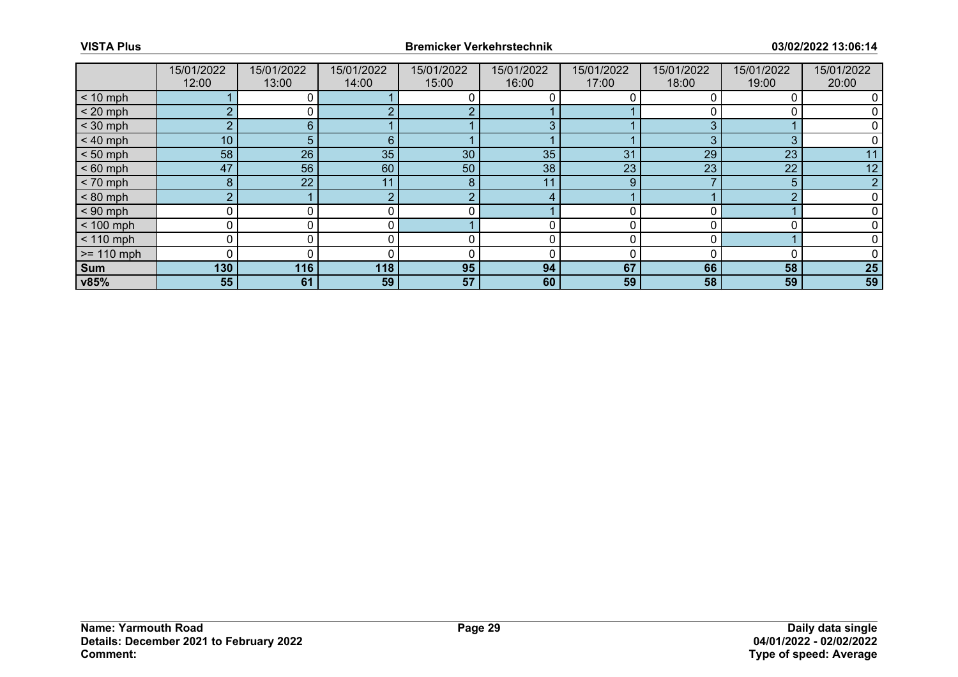|              | 15/01/2022<br>12:00 | 15/01/2022<br>13:00 | 15/01/2022<br>14:00 | 15/01/2022<br>15:00 | 15/01/2022<br>16:00 | 15/01/2022<br>17:00 | 15/01/2022<br>18:00 | 15/01/2022<br>19:00 | 15/01/2022<br>20:00 |
|--------------|---------------------|---------------------|---------------------|---------------------|---------------------|---------------------|---------------------|---------------------|---------------------|
| $< 10$ mph   |                     |                     |                     |                     |                     |                     |                     |                     |                     |
| $< 20$ mph   | 2                   |                     |                     | C                   |                     |                     |                     |                     |                     |
| $<$ 30 mph   | $\overline{2}$      | 6                   |                     |                     | 3                   |                     |                     |                     |                     |
| $< 40$ mph   | 10                  | 5                   | 6                   |                     |                     |                     | 3                   | 3                   |                     |
| $< 50$ mph   | 58                  | 26                  | 35                  | 30                  | 35                  | 31                  | 29                  | 23                  | 11                  |
| $< 60$ mph   | 47                  | 56                  | 60                  | 50                  | 38                  | 23                  | 23                  | 22                  | 12                  |
| $< 70$ mph   | 8                   | 22                  | 11                  | 8                   | 11                  | 9                   |                     | 5                   |                     |
| $< 80$ mph   | $\overline{2}$      |                     |                     | C                   | 4                   |                     |                     | ◠                   |                     |
| $< 90$ mph   | $\Omega$            |                     |                     |                     |                     | ∩                   |                     |                     |                     |
| $< 100$ mph  | 0                   |                     | 0                   |                     | 0                   | $\Omega$            |                     |                     |                     |
| $< 110$ mph  | 0                   |                     |                     | 0                   | 0                   | 0                   |                     |                     |                     |
| $>= 110$ mph | $\Omega$            |                     |                     |                     | 0                   |                     |                     |                     |                     |
| <b>Sum</b>   | 130                 | 116                 | 118                 | 95                  | 94                  | 67                  | 66                  | 58                  | 25                  |
| v85%         | 55                  | 61                  | 59                  | 57                  | 60                  | 59                  | 58                  | 59                  | 59                  |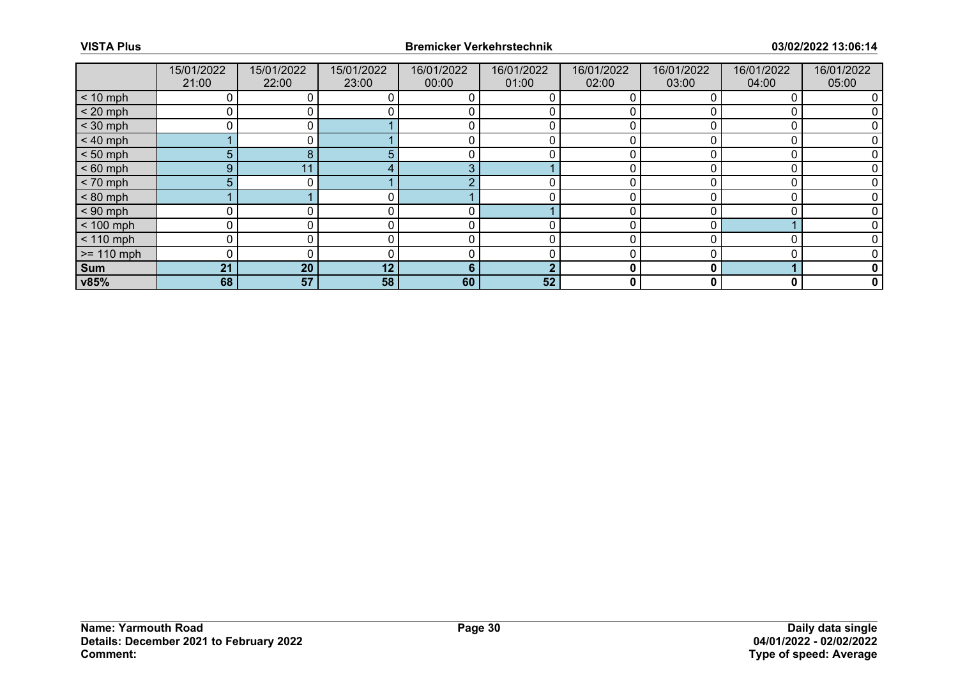|              | 15/01/2022<br>21:00 | 15/01/2022<br>22:00 | 15/01/2022<br>23:00 | 16/01/2022<br>00:00 | 16/01/2022<br>01:00 | 16/01/2022<br>02:00 | 16/01/2022<br>03:00 | 16/01/2022<br>04:00 | 16/01/2022<br>05:00 |
|--------------|---------------------|---------------------|---------------------|---------------------|---------------------|---------------------|---------------------|---------------------|---------------------|
| $< 10$ mph   |                     |                     |                     |                     |                     |                     |                     |                     |                     |
| $< 20$ mph   |                     |                     |                     |                     |                     |                     |                     |                     |                     |
| $<$ 30 mph   |                     |                     |                     |                     |                     |                     |                     |                     |                     |
| $< 40$ mph   |                     |                     |                     | 0                   | 0                   | 0                   |                     |                     |                     |
| $< 50$ mph   | 5                   | 8                   |                     |                     |                     |                     |                     |                     |                     |
| $< 60$ mph   | 9                   |                     |                     | 3                   |                     |                     |                     |                     |                     |
| $< 70$ mph   | 5                   |                     |                     | റ                   | 0                   | 0                   |                     |                     |                     |
| $< 80$ mph   |                     |                     |                     |                     |                     |                     |                     |                     |                     |
| $< 90$ mph   |                     |                     |                     |                     |                     |                     |                     |                     |                     |
| $< 100$ mph  | $\Omega$            |                     |                     | 0                   |                     | 0                   |                     |                     |                     |
| $< 110$ mph  |                     |                     |                     |                     |                     |                     |                     |                     |                     |
| $>= 110$ mph |                     |                     |                     |                     |                     |                     |                     |                     |                     |
| Sum          | 21                  | 20                  | 12                  | 6                   | ∩                   | 0                   | 0                   |                     |                     |
| v85%         | 68                  | 57                  | 58                  | 60                  | 52                  | 0                   |                     | 0                   | 0                   |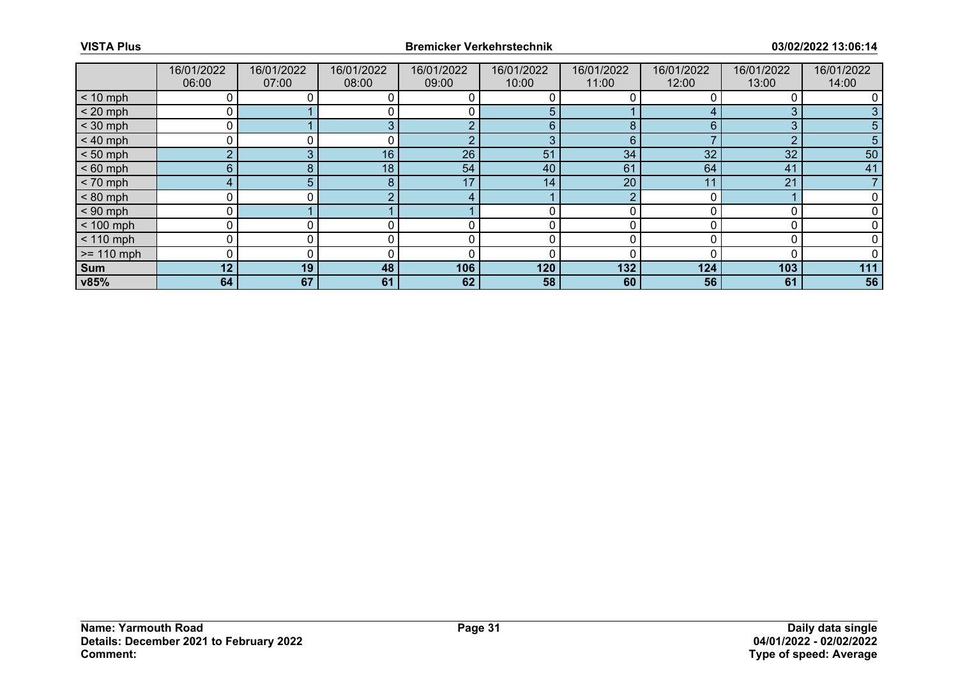|              | 16/01/2022<br>06:00 | 16/01/2022<br>07:00 | 16/01/2022<br>08:00 | 16/01/2022<br>09:00 | 16/01/2022<br>10:00 | 16/01/2022<br>11:00 | 16/01/2022<br>12:00 | 16/01/2022<br>13:00 | 16/01/2022<br>14:00 |
|--------------|---------------------|---------------------|---------------------|---------------------|---------------------|---------------------|---------------------|---------------------|---------------------|
| $< 10$ mph   |                     |                     |                     |                     |                     |                     |                     |                     |                     |
| $< 20$ mph   | 0                   |                     |                     |                     | 5                   |                     |                     | 3                   |                     |
| $<$ 30 mph   | 0                   |                     | 3                   | $\sqrt{2}$          | 6                   | 8                   | 6                   | 3                   |                     |
| $< 40$ mph   | 0                   |                     |                     | c                   | 3                   | 6                   |                     | ∩                   |                     |
| $< 50$ mph   | $\overline{2}$      | $\sim$              | 16                  | 26                  | 51                  | 34                  | 32                  | 32                  | 50                  |
| $< 60$ mph   | 6                   | 8                   | 18                  | 54                  | 40                  | 61                  | 64                  | 41                  | 41                  |
| $< 70$ mph   | 4                   | 5 <sup>1</sup>      | 8                   | 17                  | 14                  | 20                  | 11                  | 21                  |                     |
| $< 80$ mph   | 0                   | 0 l                 |                     | 4                   |                     | ∩                   |                     |                     |                     |
| $< 90$ mph   | $\mathbf{0}$        |                     |                     |                     |                     |                     |                     |                     |                     |
| $< 100$ mph  | 0                   |                     |                     | 0                   | 0                   |                     |                     |                     |                     |
| $< 110$ mph  | 0                   | 0                   |                     | 0                   | 0                   |                     |                     |                     |                     |
| $>= 110$ mph | 0                   |                     |                     |                     |                     |                     |                     |                     |                     |
| Sum          | 12                  | 19 <sup>1</sup>     | 48                  | 106                 | 120                 | 132                 | 124                 | 103                 | 111                 |
| v85%         | 64                  | 67                  | 61                  | 62                  | 58                  | 60                  | 56                  | 61                  | 56                  |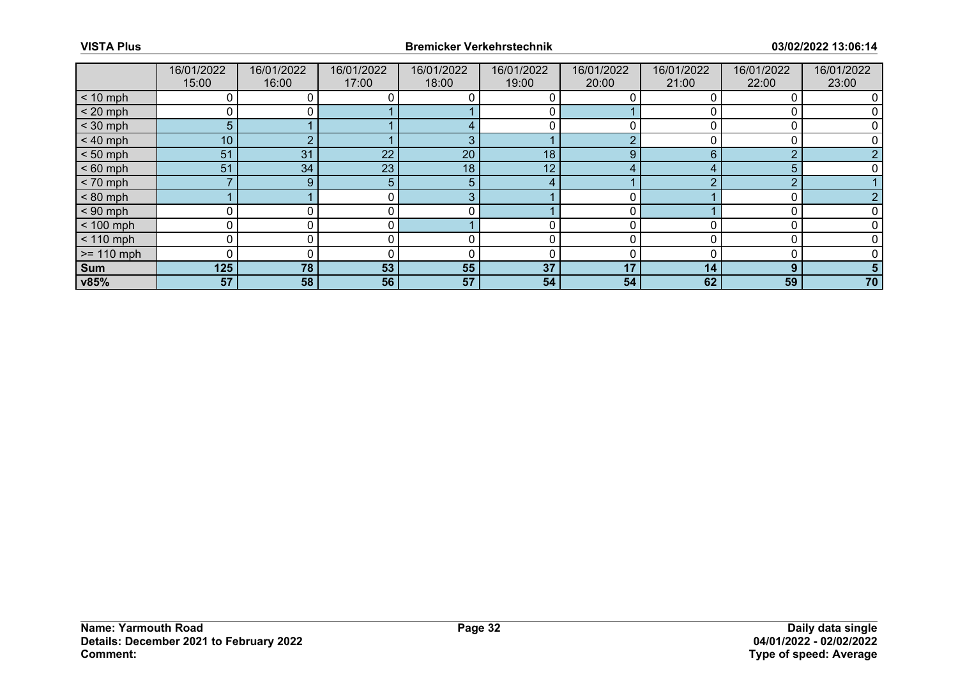|              | 16/01/2022<br>15:00 | 16/01/2022<br>16:00 | 16/01/2022<br>17:00 | 16/01/2022<br>18:00 | 16/01/2022<br>19:00 | 16/01/2022<br>20:00 | 16/01/2022<br>21:00 | 16/01/2022<br>22:00 | 16/01/2022<br>23:00 |
|--------------|---------------------|---------------------|---------------------|---------------------|---------------------|---------------------|---------------------|---------------------|---------------------|
| $< 10$ mph   |                     |                     |                     |                     |                     |                     |                     |                     |                     |
| $< 20$ mph   |                     |                     |                     |                     |                     |                     |                     |                     |                     |
| $<$ 30 mph   | 5                   |                     |                     |                     |                     |                     |                     |                     |                     |
| $< 40$ mph   | 10 <sup>°</sup>     |                     |                     | 3                   |                     | $\sim$              |                     |                     |                     |
| $< 50$ mph   | 51                  | 31                  | 22                  | 20                  | 18                  | 9                   | 6                   | ◠                   |                     |
| $< 60$ mph   | 51                  | 34                  | 23                  | 18                  | 12 <sub>1</sub>     | 4                   |                     | 5                   |                     |
| $< 70$ mph   | ⇁                   | 9                   | 5                   | 5                   | 4                   |                     |                     | <sup>o</sup>        |                     |
| $< 80$ mph   |                     |                     | 0.                  | 3                   |                     | ∩                   |                     |                     |                     |
| $< 90$ mph   |                     |                     |                     |                     |                     |                     |                     |                     |                     |
| $< 100$ mph  | 0                   |                     | 0                   |                     | 0                   | 0                   |                     |                     |                     |
| $< 110$ mph  | 0                   |                     |                     |                     |                     |                     |                     |                     |                     |
| $>= 110$ mph |                     |                     |                     |                     |                     |                     |                     |                     |                     |
| <b>Sum</b>   | 125                 | 78                  | 53                  | 55                  | 37                  | 17                  | 14                  | 9                   |                     |
| v85%         | 57                  | 58                  | 56                  | 57                  | 54                  | 54                  | 62                  | 59                  | 70                  |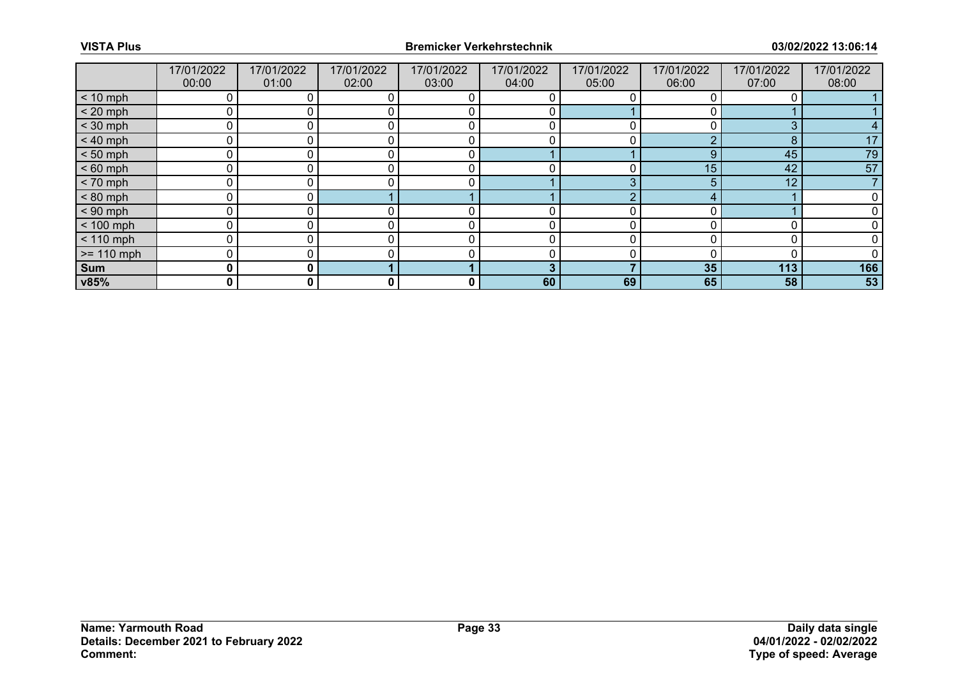|              | 17/01/2022<br>00:00 | 17/01/2022<br>01:00 | 17/01/2022<br>02:00 | 17/01/2022<br>03:00 | 17/01/2022<br>04:00 | 17/01/2022<br>05:00 | 17/01/2022<br>06:00 | 17/01/2022<br>07:00 | 17/01/2022<br>08:00 |
|--------------|---------------------|---------------------|---------------------|---------------------|---------------------|---------------------|---------------------|---------------------|---------------------|
| $< 10$ mph   | 0                   |                     |                     |                     |                     |                     |                     |                     |                     |
| $< 20$ mph   | 0                   |                     |                     |                     |                     |                     |                     |                     |                     |
| $<$ 30 mph   | 0                   |                     |                     |                     |                     |                     |                     | 3                   |                     |
| $< 40$ mph   | $\mathbf 0$         | 0                   |                     | 0                   | 0                   | 0                   | ◠                   | 8                   | 17                  |
| $< 50$ mph   | 0                   |                     |                     | C                   |                     |                     | 9                   | 45                  | 79                  |
| $< 60$ mph   | 0                   |                     |                     | r                   |                     |                     | 15                  | 42                  | 57                  |
| $< 70$ mph   | 0                   | 0                   |                     | 0                   |                     | 3                   | 5.                  | 12                  |                     |
| $< 80$ mph   | 0                   |                     |                     |                     |                     |                     | 4                   |                     |                     |
| $< 90$ mph   | 0                   |                     |                     |                     |                     |                     | n                   |                     |                     |
| $< 100$ mph  | 0                   | 0                   |                     | r                   | 0                   |                     |                     |                     |                     |
| $< 110$ mph  | 0                   |                     |                     | C                   | 0                   |                     |                     | 0                   |                     |
| $>= 110$ mph | 0                   |                     |                     |                     |                     |                     |                     |                     |                     |
| Sum          | 0                   | 0 I                 |                     |                     | 3                   |                     | 35 <sub>5</sub>     | 113                 | 166                 |
| v85%         | 0                   | 0                   | 0                   | 0                   | 60                  | 69                  | 65                  | 58                  | 53                  |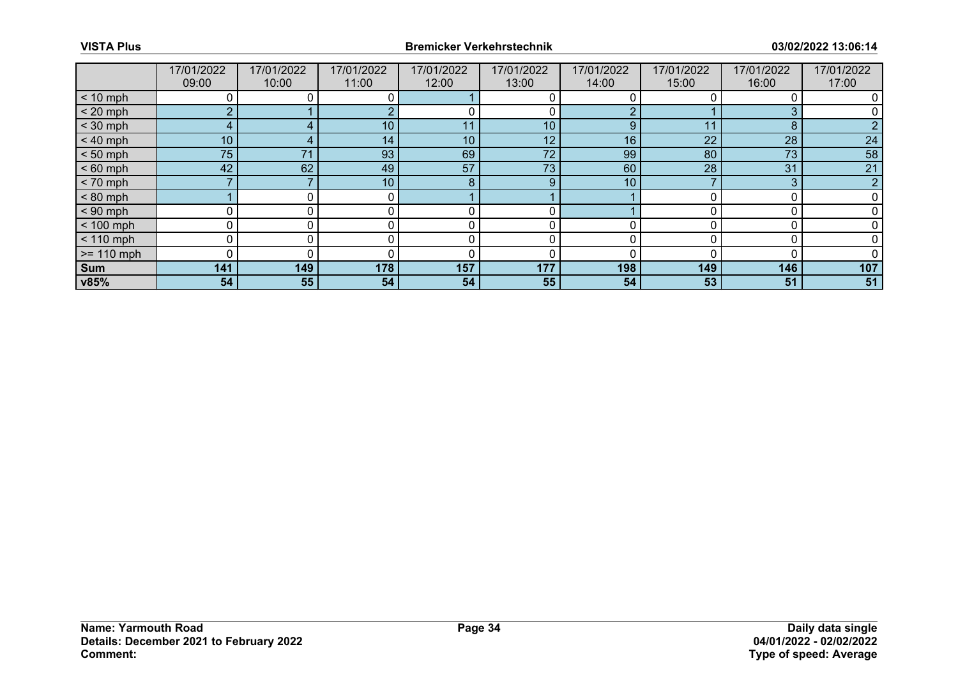|              | 17/01/2022<br>09:00 | 17/01/2022<br>10:00 | 17/01/2022<br>11:00 | 17/01/2022<br>12:00 | 17/01/2022<br>13:00 | 17/01/2022<br>14:00 | 17/01/2022<br>15:00 | 17/01/2022<br>16:00 | 17/01/2022<br>17:00 |
|--------------|---------------------|---------------------|---------------------|---------------------|---------------------|---------------------|---------------------|---------------------|---------------------|
|              |                     |                     |                     |                     |                     |                     |                     |                     |                     |
| $< 10$ mph   | 0                   |                     | 0                   |                     |                     |                     |                     |                     |                     |
| $< 20$ mph   | <sup>o</sup>        |                     |                     |                     |                     |                     |                     |                     |                     |
| $<$ 30 mph   | 4                   |                     | 10 <sup>1</sup>     | 11                  | 10                  | 9                   | 11                  | 8                   |                     |
| $< 40$ mph   | 10 <sup>°</sup>     |                     | 14                  | 10                  | 12 <sub>1</sub>     | 16                  | 22                  | 28                  | 24                  |
| $< 50$ mph   | 75                  | 71                  | 93                  | 69                  | 72                  | 99                  | 80                  | 73                  | 58                  |
| $< 60$ mph   | 42                  | 62                  | 49                  | 57                  | 73                  | 60                  | 28                  | 31                  | 21                  |
| $< 70$ mph   |                     |                     | 10                  | 8                   | 9                   | 10                  |                     | 3                   | っ                   |
| $< 80$ mph   |                     |                     |                     |                     |                     |                     |                     |                     |                     |
| $< 90$ mph   | O                   |                     |                     |                     |                     |                     |                     |                     |                     |
| $< 100$ mph  | 0                   | 0                   | 0                   | 0                   | 0                   |                     |                     |                     |                     |
| $< 110$ mph  | 0                   |                     |                     |                     |                     |                     |                     |                     |                     |
| $>= 110$ mph | 0                   |                     |                     | ſ                   |                     |                     |                     |                     |                     |
| Sum          | 141                 | 149                 | 178                 | 157                 | 177                 | 198                 | 149                 | 146                 | 107                 |
| v85%         | 54                  | 55                  | 54                  | 54                  | 55                  | 54                  | 53                  | 51                  | 51                  |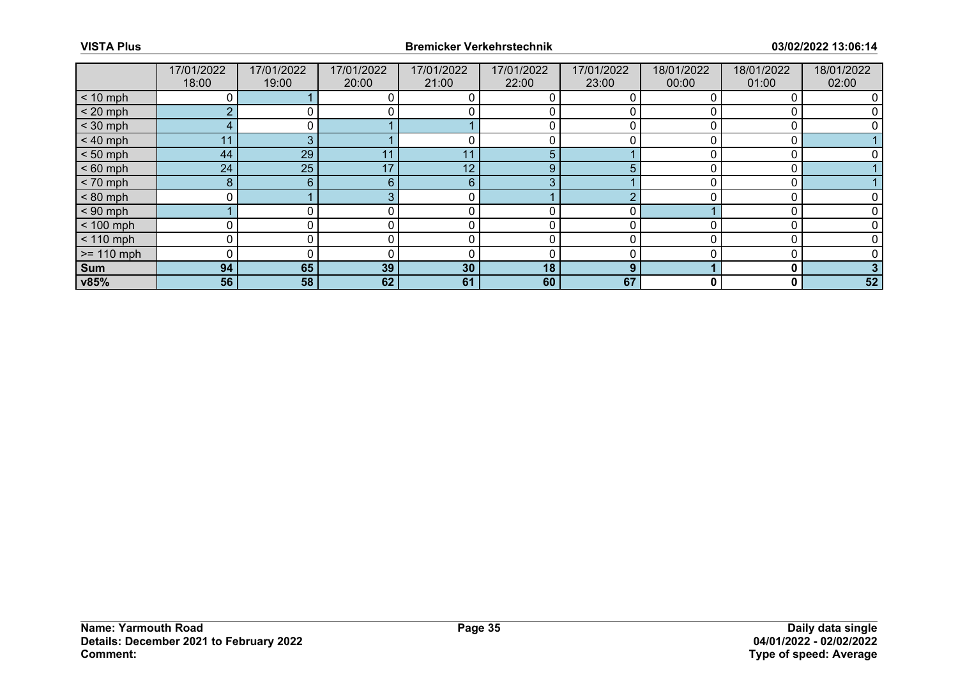|              | 17/01/2022<br>18:00 | 17/01/2022<br>19:00 | 17/01/2022<br>20:00 | 17/01/2022<br>21:00 | 17/01/2022<br>22:00 | 17/01/2022<br>23:00 | 18/01/2022<br>00:00 | 18/01/2022<br>01:00 | 18/01/2022<br>02:00 |
|--------------|---------------------|---------------------|---------------------|---------------------|---------------------|---------------------|---------------------|---------------------|---------------------|
| $< 10$ mph   |                     |                     |                     |                     |                     |                     |                     |                     |                     |
| $< 20$ mph   | $\Omega$            |                     |                     |                     |                     |                     |                     |                     |                     |
| $<$ 30 mph   | 4                   |                     |                     |                     |                     |                     |                     |                     |                     |
| $< 40$ mph   | 11                  | 3                   |                     |                     | 0                   |                     |                     | 0                   |                     |
| $< 50$ mph   | 44                  | 29                  | 11                  | 11                  | 5                   |                     |                     |                     |                     |
| $< 60$ mph   | 24                  | 25                  | 17                  | 12                  | 9                   |                     |                     | C                   |                     |
| $< 70$ mph   | 8                   | 6                   | 6                   | 6                   | 3                   |                     |                     | $\boldsymbol{0}$    |                     |
| $< 80$ mph   |                     |                     |                     |                     |                     |                     |                     |                     |                     |
| $< 90$ mph   |                     |                     |                     | C                   |                     |                     |                     |                     |                     |
| $< 100$ mph  | 0                   |                     | 0                   | 0                   | 0                   |                     |                     | C                   |                     |
| $< 110$ mph  |                     |                     |                     |                     | 0                   |                     |                     |                     |                     |
| $>= 110$ mph | $\Omega$            |                     |                     | C                   | 0                   |                     |                     |                     |                     |
| Sum          | 94                  | 65                  | 39                  | 30                  | 18                  | 9                   |                     | $\Omega$            |                     |
| v85%         | 56                  | 58                  | 62                  | 61                  | 60                  | 67                  | 0                   | 0                   | 52                  |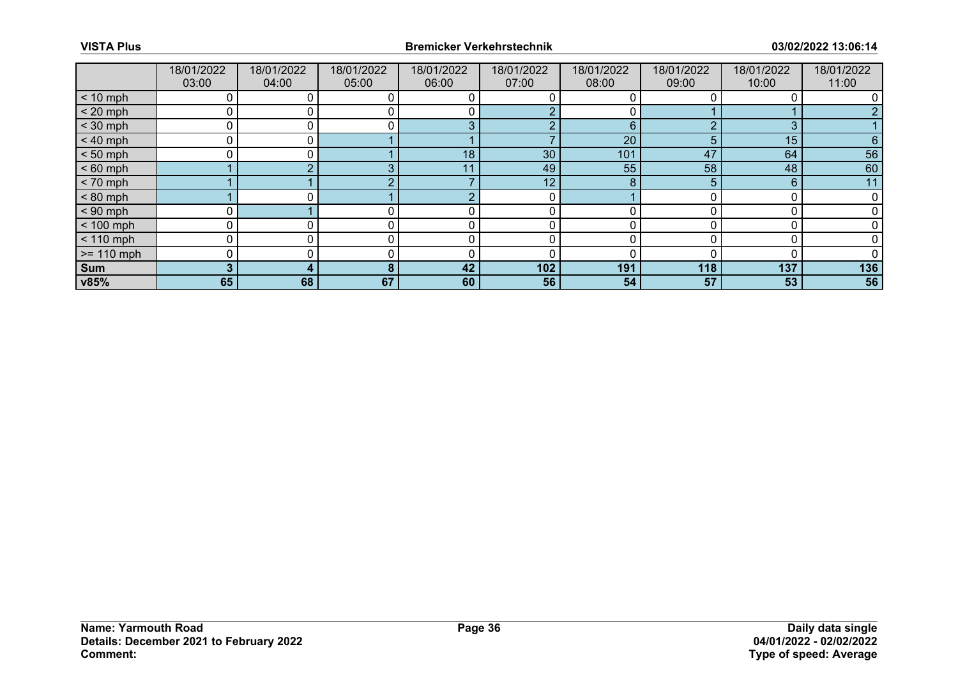|              | 18/01/2022<br>03:00 | 18/01/2022<br>04:00 | 18/01/2022<br>05:00 | 18/01/2022<br>06:00 | 18/01/2022<br>07:00 | 18/01/2022<br>08:00 | 18/01/2022<br>09:00 | 18/01/2022<br>10:00 | 18/01/2022<br>11:00 |
|--------------|---------------------|---------------------|---------------------|---------------------|---------------------|---------------------|---------------------|---------------------|---------------------|
| $< 10$ mph   | 0                   |                     |                     |                     |                     |                     |                     |                     |                     |
| $< 20$ mph   | 0                   |                     |                     |                     |                     |                     |                     |                     |                     |
| $<$ 30 mph   | 0                   |                     |                     | $\sqrt{2}$          | r                   | 6                   | $\sqrt{2}$          | 3                   |                     |
| $< 40$ mph   | 0                   | 0 I                 |                     |                     |                     | 20                  | 5                   | 15                  | 6                   |
| $< 50$ mph   | ∩                   |                     |                     | 18                  | 30                  | 101                 | 47                  | 64                  | 56                  |
| $< 60$ mph   |                     | $\sqrt{2}$          | $\sqrt{2}$          | 11                  | 49                  | 55                  | 58                  | 48                  | 60                  |
| $< 70$ mph   |                     |                     |                     |                     | 12 <sub>1</sub>     | 8                   | 5.                  | 6                   | 11                  |
| $< 80$ mph   |                     |                     |                     |                     |                     |                     |                     |                     |                     |
| $< 90$ mph   |                     |                     |                     |                     |                     |                     |                     |                     |                     |
| $< 100$ mph  | 0                   | 0                   |                     | r                   | 0                   | O                   |                     | C                   |                     |
| $< 110$ mph  | 0                   |                     |                     |                     |                     |                     |                     |                     |                     |
| $>= 110$ mph | 0                   |                     |                     |                     | 0                   |                     |                     |                     |                     |
| Sum          | 3                   | 4                   | 8                   | 42                  | 102                 | 191                 | 118                 | 137                 | 136                 |
| v85%         | 65                  | 68                  | 67                  | 60                  | 56                  | 54                  | 57                  | 53                  | 56                  |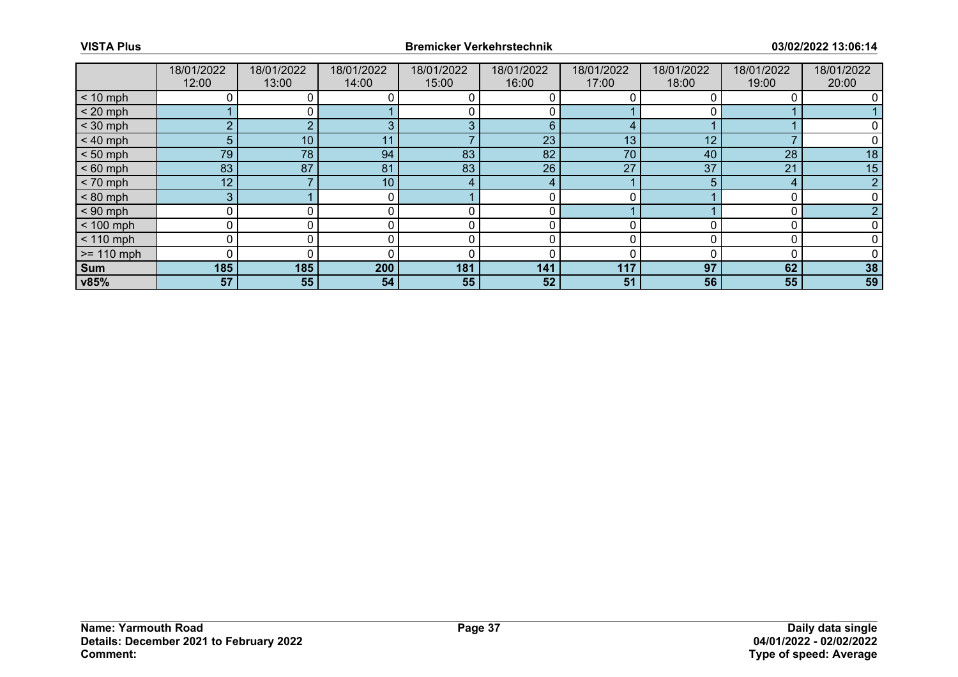|              | 18/01/2022<br>12:00 | 18/01/2022<br>13:00 | 18/01/2022<br>14:00 | 18/01/2022<br>15:00 | 18/01/2022<br>16:00 | 18/01/2022<br>17:00 | 18/01/2022<br>18:00 | 18/01/2022<br>19:00 | 18/01/2022<br>20:00 |
|--------------|---------------------|---------------------|---------------------|---------------------|---------------------|---------------------|---------------------|---------------------|---------------------|
| $< 10$ mph   |                     |                     |                     |                     |                     |                     |                     |                     |                     |
| $< 20$ mph   |                     |                     |                     |                     |                     |                     |                     |                     |                     |
| $<$ 30 mph   | $\sim$              |                     |                     | 3                   | 6                   | 4                   |                     |                     |                     |
| $< 40$ mph   | 5                   | 10                  |                     |                     | 23                  | 13                  | 12                  |                     |                     |
| $< 50$ mph   | 79                  | 78                  | 94                  | 83                  | 82                  | 70                  | 40                  | 28                  | 18                  |
| $< 60$ mph   | 83                  | 87                  | 81                  | 83                  | 26                  | 27                  | 37                  | 21                  | 15                  |
| $< 70$ mph   | 12 <sup>7</sup>     |                     | 10                  | 4                   | 4                   |                     | 5                   | 4                   | റ                   |
| $< 80$ mph   | 3                   |                     |                     |                     |                     |                     |                     |                     |                     |
| $< 90$ mph   |                     |                     |                     |                     |                     |                     |                     |                     |                     |
| $< 100$ mph  | $\Omega$            |                     |                     | 0                   | 0                   | 0                   |                     |                     |                     |
| $< 110$ mph  |                     |                     |                     |                     |                     |                     |                     |                     |                     |
| $>= 110$ mph | $\Omega$            |                     |                     |                     |                     |                     |                     |                     |                     |
| Sum          | 185                 | 185                 | 200                 | 181                 | 141                 | 117                 | 97                  | 62                  | 38                  |
| v85%         | 57                  | 55                  | 54                  | 55                  | 52                  | 51                  | 56                  | 55                  | 59                  |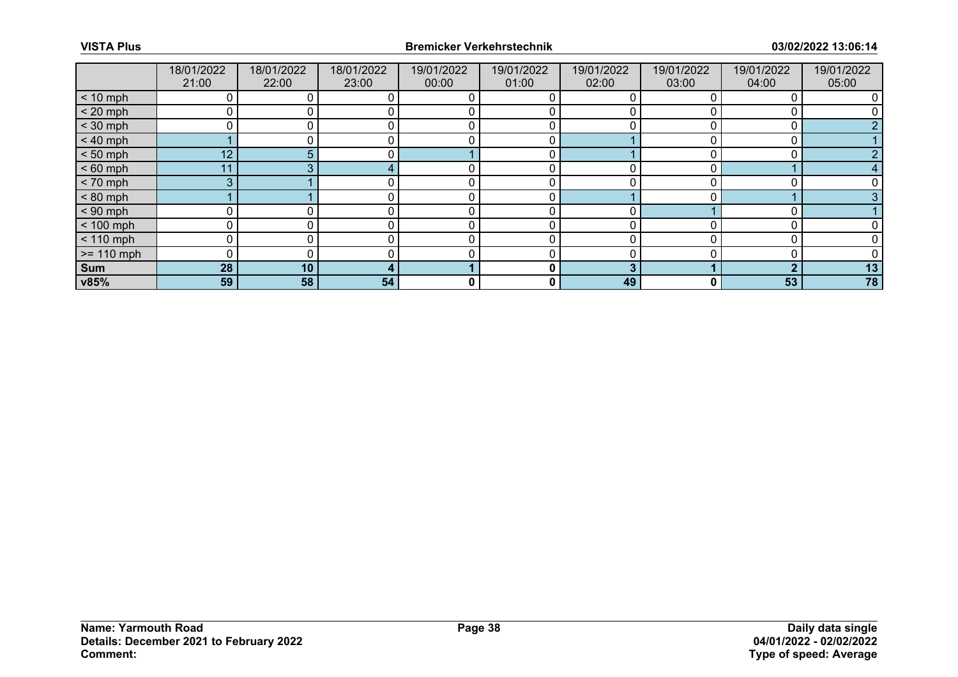|              | 18/01/2022<br>21:00 | 18/01/2022<br>22:00 | 18/01/2022<br>23:00 | 19/01/2022<br>00:00 | 19/01/2022<br>01:00 | 19/01/2022<br>02:00 | 19/01/2022<br>03:00 | 19/01/2022<br>04:00 | 19/01/2022<br>05:00 |
|--------------|---------------------|---------------------|---------------------|---------------------|---------------------|---------------------|---------------------|---------------------|---------------------|
| $< 10$ mph   |                     |                     |                     | 0                   | 0                   | 0                   |                     |                     |                     |
| $< 20$ mph   |                     |                     |                     |                     |                     |                     |                     |                     |                     |
| $<$ 30 mph   | ∩                   |                     |                     |                     |                     |                     |                     |                     |                     |
| $< 40$ mph   |                     |                     |                     | 0                   | 0                   |                     |                     | 0                   |                     |
| $< 50$ mph   | 12                  | 5                   |                     |                     | 0                   |                     |                     |                     |                     |
| $< 60$ mph   | 11                  |                     |                     |                     | 0                   | ∩                   |                     |                     |                     |
| $< 70$ mph   | 3                   |                     |                     | 0                   | 0                   | 0                   |                     |                     |                     |
| $< 80$ mph   |                     |                     |                     | $\Omega$            | 0                   |                     |                     |                     |                     |
| $< 90$ mph   |                     |                     |                     | C                   |                     | ∩                   |                     |                     |                     |
| $< 100$ mph  | 0                   |                     |                     | 0                   | 0                   | 0                   |                     |                     |                     |
| $< 110$ mph  | 0                   |                     |                     | $\Omega$            | 0                   | <sup>0</sup>        |                     |                     |                     |
| $>= 110$ mph | $\Omega$            |                     |                     |                     |                     |                     |                     |                     |                     |
| Sum          | 28                  | 10                  |                     |                     | 0                   | 3                   |                     | ◠                   | 13                  |
| v85%         | 59                  | 58                  | 54                  | 0                   | 0                   | 49                  | 0                   | 53                  | 78                  |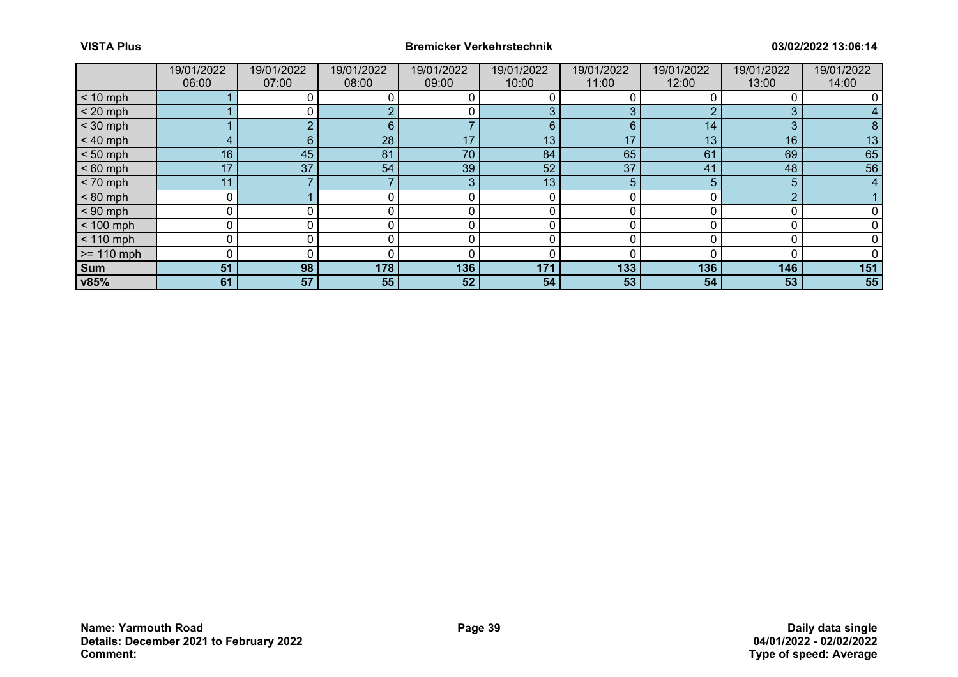|              | 19/01/2022<br>06:00 | 19/01/2022<br>07:00 | 19/01/2022<br>08:00 | 19/01/2022<br>09:00 | 19/01/2022<br>10:00 | 19/01/2022<br>11:00 | 19/01/2022<br>12:00 | 19/01/2022<br>13:00 | 19/01/2022<br>14:00 |
|--------------|---------------------|---------------------|---------------------|---------------------|---------------------|---------------------|---------------------|---------------------|---------------------|
| $< 10$ mph   |                     |                     |                     |                     |                     |                     |                     |                     |                     |
| $< 20$ mph   |                     |                     |                     |                     | 3                   | 3                   |                     | 3                   |                     |
| $<$ 30 mph   |                     |                     | 6.                  |                     | 6                   | 6                   | 14                  | 3                   |                     |
| $< 40$ mph   | 4                   | 6                   | 28                  | 17                  | 13                  | 17                  | 13                  | 16                  | 13                  |
| $< 50$ mph   | 16                  | 45                  | 81                  | 70                  | 84                  | 65                  | 61                  | 69                  | 65                  |
| $< 60$ mph   | 17                  | 37                  | 54                  | 39                  | 52                  | 37                  | 41                  | 48                  | 56                  |
| $< 70$ mph   | 11                  |                     |                     | 3                   | 13                  | 5                   | 5                   | 5                   | 4                   |
| $< 80$ mph   | 0                   |                     |                     |                     | 0                   |                     |                     | ∩                   |                     |
| $< 90$ mph   | 0                   |                     |                     |                     |                     |                     |                     |                     |                     |
| $< 100$ mph  | 0                   | 0                   | 0                   | 0                   | 0                   | O                   |                     |                     |                     |
| $< 110$ mph  | 0                   |                     |                     |                     |                     |                     |                     |                     |                     |
| $>= 110$ mph | 0                   |                     |                     |                     |                     |                     |                     |                     |                     |
| Sum          | 51                  | 98                  | 178                 | 136                 | 171                 | 133                 | 136                 | 146                 | 151                 |
| v85%         | 61                  | 57                  | 55                  | 52                  | 54                  | 53                  | 54                  | 53                  | 55                  |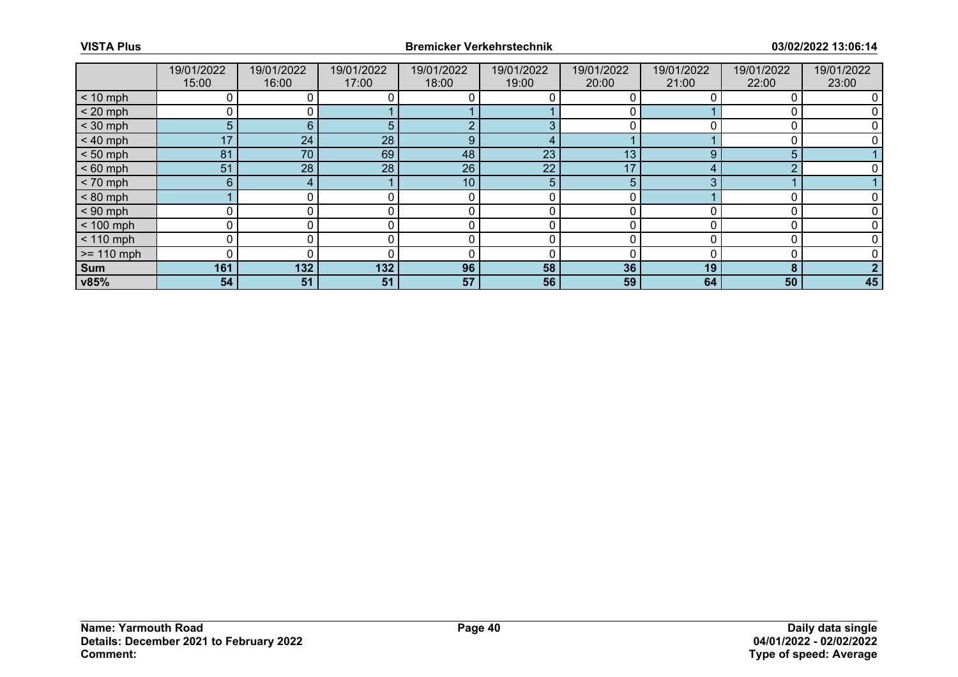|              | 19/01/2022<br>15:00 | 19/01/2022<br>16:00 | 19/01/2022<br>17:00 | 19/01/2022<br>18:00 | 19/01/2022<br>19:00 | 19/01/2022<br>20:00 | 19/01/2022<br>21:00 | 19/01/2022<br>22:00 | 19/01/2022<br>23:00 |
|--------------|---------------------|---------------------|---------------------|---------------------|---------------------|---------------------|---------------------|---------------------|---------------------|
| $< 10$ mph   |                     |                     |                     |                     |                     |                     |                     |                     |                     |
| $< 20$ mph   |                     |                     |                     |                     |                     |                     |                     |                     |                     |
| $<$ 30 mph   | 5                   | 6                   |                     | - 2                 | 3                   |                     |                     |                     |                     |
| $< 40$ mph   | 17                  | 24                  | 28                  | 9                   | 4                   |                     |                     |                     |                     |
| $< 50$ mph   | 81                  | 70                  | 69                  | 48                  | 23                  | 13                  | 9                   | 5                   |                     |
| $< 60$ mph   | 51                  | 28                  | 28                  | 26                  | 22                  | 17                  |                     | ⌒                   |                     |
| $< 70$ mph   | 6 <sup>1</sup>      | 4                   |                     | 10                  | 5 <sup>5</sup>      | 5                   |                     |                     |                     |
| $< 80$ mph   |                     |                     |                     | 0                   | 0                   | U                   |                     |                     |                     |
| $< 90$ mph   |                     |                     |                     |                     | 0                   |                     |                     |                     |                     |
| $< 100$ mph  | 0                   |                     |                     | 0                   | 0                   | 0                   |                     |                     |                     |
| $< 110$ mph  | 0                   |                     |                     | 0                   |                     |                     |                     |                     |                     |
| $>= 110$ mph |                     |                     |                     |                     |                     |                     |                     |                     |                     |
| <b>Sum</b>   | 161                 | 132                 | 132                 | 96                  | 58                  | 36                  | 19                  | 8                   |                     |
| v85%         | 54                  | 51                  | 51                  | 57                  | 56                  | 59                  | 64                  | 50                  | 45                  |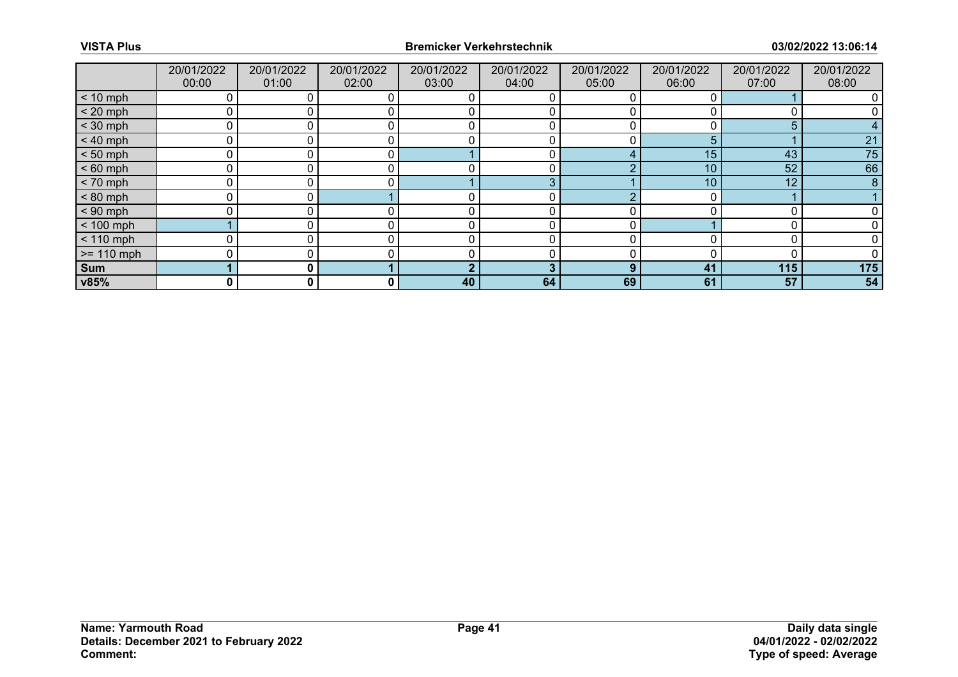|              | 20/01/2022<br>00:00 | 20/01/2022<br>01:00 | 20/01/2022<br>02:00 | 20/01/2022<br>03:00 | 20/01/2022<br>04:00 | 20/01/2022<br>05:00 | 20/01/2022<br>06:00 | 20/01/2022<br>07:00 | 20/01/2022<br>08:00 |
|--------------|---------------------|---------------------|---------------------|---------------------|---------------------|---------------------|---------------------|---------------------|---------------------|
| $< 10$ mph   | 0                   |                     |                     |                     | O                   |                     | 0                   |                     |                     |
| $< 20$ mph   | 0                   |                     |                     |                     |                     |                     |                     |                     |                     |
| $<$ 30 mph   | 0                   |                     |                     | r                   |                     |                     |                     | 5                   |                     |
| $< 40$ mph   | 0                   | 0                   |                     | r                   | 0                   |                     | 5                   |                     | 21                  |
| $< 50$ mph   | 0                   |                     |                     |                     | 0                   |                     | 15                  | 43                  | 75                  |
| $< 60$ mph   | 0                   | ∩                   |                     |                     | 0                   |                     | 10                  | 52                  | 66                  |
| $< 70$ mph   | $\mathbf 0$         | 0                   |                     |                     | 3                   |                     | 10 <sup>°</sup>     | 12                  | 8                   |
| $< 80$ mph   | 0                   |                     |                     |                     | 0                   |                     |                     |                     |                     |
| $< 90$ mph   | 0                   |                     |                     |                     |                     |                     |                     |                     |                     |
| $< 100$ mph  |                     | $\Omega$ .          |                     |                     | 0                   |                     |                     |                     |                     |
| $< 110$ mph  | 0                   |                     |                     |                     |                     |                     |                     |                     |                     |
| $>= 110$ mph | 0                   |                     |                     |                     |                     |                     |                     |                     |                     |
| Sum          |                     | $\mathbf{0}$        |                     |                     | 3                   | 9                   | 41                  | 115                 | 175                 |
| v85%         | 0                   | 0                   | 0                   | 40                  | 64                  | 69                  | 61                  | 57                  | 54                  |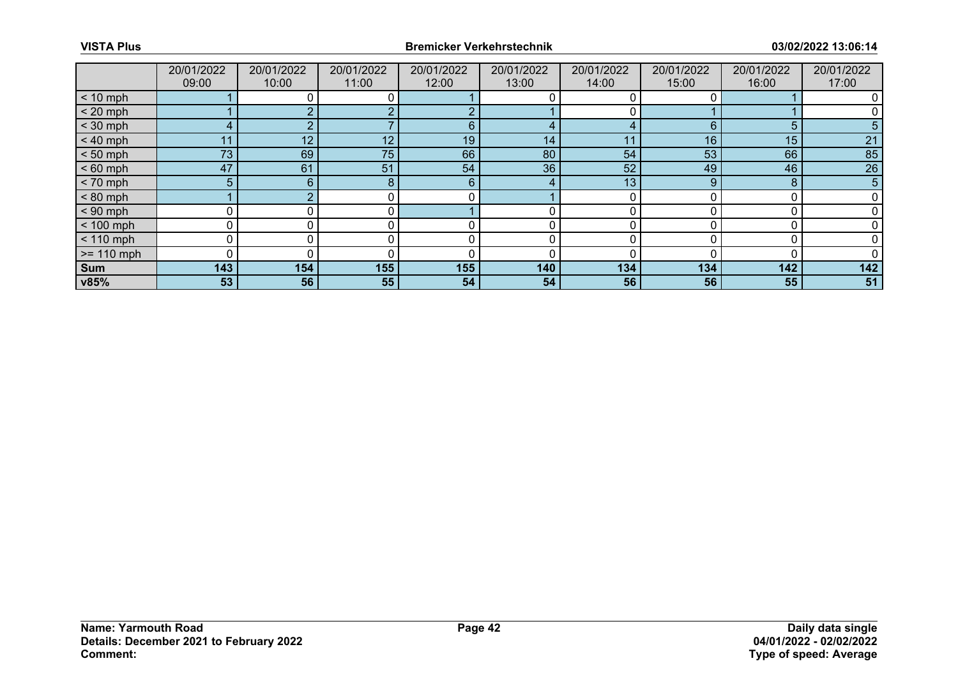|              | 20/01/2022     | 20/01/2022 | 20/01/2022 | 20/01/2022 | 20/01/2022 | 20/01/2022 | 20/01/2022 | 20/01/2022 | 20/01/2022 |
|--------------|----------------|------------|------------|------------|------------|------------|------------|------------|------------|
|              | 09:00          | 10:00      | 11:00      | 12:00      | 13:00      | 14:00      | 15:00      | 16:00      | 17:00      |
| $< 10$ mph   |                |            |            |            |            |            |            |            |            |
| $< 20$ mph   |                |            |            |            |            |            |            |            |            |
| $<$ 30 mph   | 4              |            |            | 6          |            |            | 6          | 5          |            |
| $< 40$ mph   | 11             | 12         | 12         | 19         | 14         | 11         | 16         | 15         | 21         |
| $< 50$ mph   | 73             | 69         | 75         | 66         | 80         | 54         | 53         | 66         | 85         |
| $< 60$ mph   | 47             | 61         | 51         | 54         | 36         | 52         | 49         | 46         | 26         |
| $< 70$ mph   | 5 <sup>5</sup> | 6          | 8          | 6          | 4          | 13         | 9          | 8          | 5          |
| $< 80$ mph   |                |            |            |            |            |            |            |            |            |
| $< 90$ mph   |                |            |            |            |            |            |            |            |            |
| $< 100$ mph  | 0              | 0          | 0          | 0          | 0          | O          |            |            |            |
| $< 110$ mph  | 0              |            |            |            |            |            |            |            |            |
| $>= 110$ mph | $\Omega$       |            |            |            |            |            |            |            |            |
| Sum          | 143            | 154        | 155        | 155        | 140        | 134        | 134        | 142        | 142        |
| v85%         | 53             | 56         | 55         | 54         | 54         | 56         | 56         | 55         | 51         |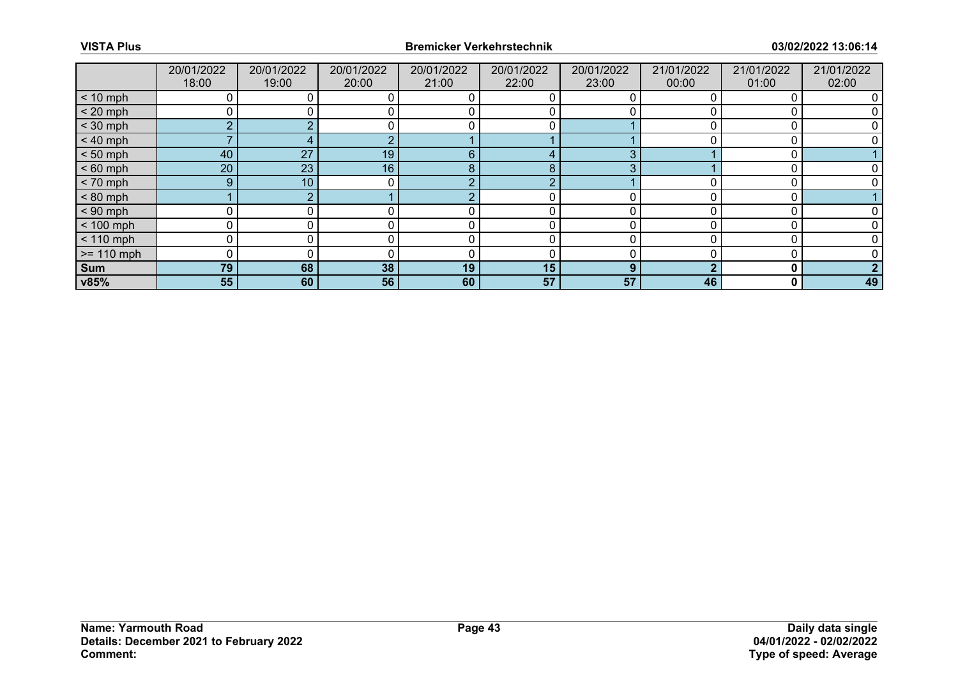|              | 20/01/2022<br>18:00 | 20/01/2022<br>19:00 | 20/01/2022<br>20:00 | 20/01/2022<br>21:00 | 20/01/2022<br>22:00 | 20/01/2022<br>23:00 | 21/01/2022<br>00:00 | 21/01/2022<br>01:00 | 21/01/2022<br>02:00 |
|--------------|---------------------|---------------------|---------------------|---------------------|---------------------|---------------------|---------------------|---------------------|---------------------|
| $< 10$ mph   | 0                   |                     |                     |                     | O                   |                     |                     |                     |                     |
| $< 20$ mph   | 0                   |                     |                     |                     |                     |                     |                     |                     |                     |
| $<$ 30 mph   | $\overline{2}$      |                     |                     |                     |                     |                     |                     |                     |                     |
| $< 40$ mph   |                     |                     |                     |                     |                     |                     |                     |                     |                     |
| $< 50$ mph   | 40                  | 27                  | 19                  | 6                   |                     |                     |                     |                     |                     |
| $< 60$ mph   | 20 <sup>°</sup>     | 23                  | 16 <sup>°</sup>     | 8                   | 8                   |                     |                     |                     |                     |
| $< 70$ mph   | 9                   | 10 <sup>°</sup>     | 0                   | റ                   | റ                   |                     |                     |                     |                     |
| $< 80$ mph   |                     |                     |                     |                     |                     |                     |                     |                     |                     |
| $< 90$ mph   | Ω                   |                     |                     |                     |                     |                     |                     |                     |                     |
| $< 100$ mph  | 0                   | 0                   |                     | r                   | 0                   |                     |                     |                     |                     |
| $< 110$ mph  | 0                   |                     |                     |                     |                     |                     |                     |                     |                     |
| $>= 110$ mph | 0                   |                     |                     |                     |                     |                     |                     |                     |                     |
| Sum          | 79                  | 68                  | 38                  | 19                  | 15                  | 9                   |                     | 0                   |                     |
| v85%         | 55                  | 60                  | 56                  | 60                  | 57                  | 57                  | 46                  | 0                   | 49                  |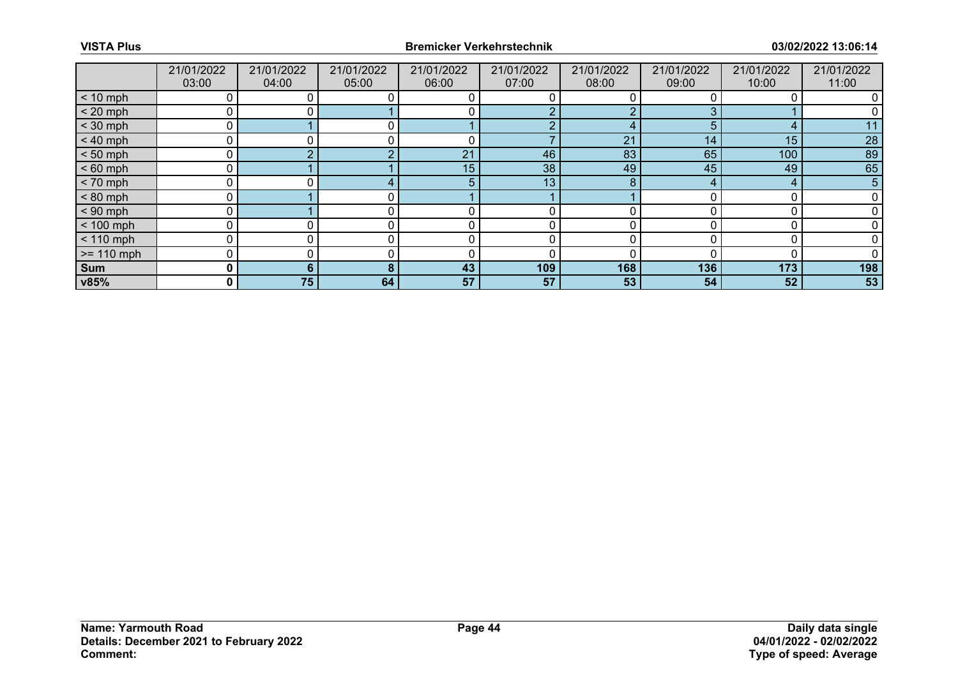|              | 21/01/2022<br>03:00 | 21/01/2022<br>04:00 | 21/01/2022<br>05:00 | 21/01/2022<br>06:00 | 21/01/2022<br>07:00 | 21/01/2022<br>08:00 | 21/01/2022<br>09:00 | 21/01/2022<br>10:00 | 21/01/2022<br>11:00 |
|--------------|---------------------|---------------------|---------------------|---------------------|---------------------|---------------------|---------------------|---------------------|---------------------|
| $< 10$ mph   |                     |                     |                     |                     |                     |                     |                     |                     |                     |
| $< 20$ mph   | 0                   |                     |                     |                     |                     |                     |                     |                     |                     |
| $<$ 30 mph   |                     |                     |                     |                     |                     |                     | 5                   | ◢                   |                     |
| $< 40$ mph   | 0                   |                     |                     | $\mathbf{C}$        |                     | 21                  | 14                  | 15                  | 28                  |
| $< 50$ mph   | 0                   |                     |                     | 21                  | 46                  | 83                  | 65                  | 100                 | 89                  |
| $< 60$ mph   |                     |                     |                     | 15                  | 38                  | 49                  | 45                  | 49                  | 65                  |
| $< 70$ mph   | 0                   |                     |                     |                     | 13                  | 8                   | 4                   | 4                   | 5                   |
| $< 80$ mph   | 0                   |                     |                     |                     |                     |                     |                     |                     |                     |
| $< 90$ mph   |                     |                     |                     |                     |                     |                     |                     |                     |                     |
| $< 100$ mph  | 0                   | 0                   |                     |                     | 0                   |                     |                     |                     |                     |
| $< 110$ mph  | 0                   |                     |                     |                     |                     |                     |                     |                     |                     |
| $>= 110$ mph | 0                   |                     |                     |                     |                     |                     |                     |                     |                     |
| Sum          | 0                   | 6                   | 8                   | 43                  | 109                 | 168                 | 136                 | 173                 | 198                 |
| v85%         | 0                   | 75                  | 64                  | 57                  | 57                  | 53                  | 54                  | 52                  | 53                  |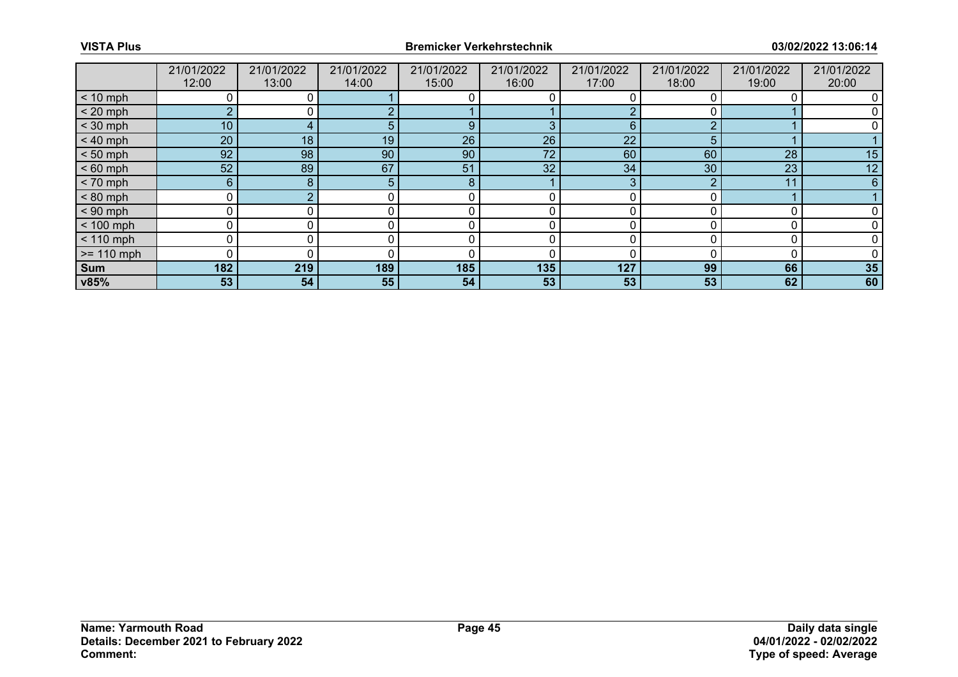|              | 21/01/2022<br>12:00 | 21/01/2022<br>13:00 | 21/01/2022<br>14:00 | 21/01/2022<br>15:00 | 21/01/2022<br>16:00 | 21/01/2022<br>17:00 | 21/01/2022<br>18:00 | 21/01/2022<br>19:00 | 21/01/2022<br>20:00 |
|--------------|---------------------|---------------------|---------------------|---------------------|---------------------|---------------------|---------------------|---------------------|---------------------|
| $< 10$ mph   |                     |                     |                     |                     |                     |                     |                     |                     |                     |
| $< 20$ mph   | $\overline{2}$      |                     |                     |                     |                     |                     |                     |                     |                     |
| $<$ 30 mph   | 10 <sub>1</sub>     |                     |                     | 9                   |                     | 6                   | ◠                   |                     |                     |
| $< 40$ mph   | 20                  | 18                  | 19                  | 26                  | 26                  | 22                  | 5                   |                     |                     |
| $< 50$ mph   | 92                  | 98                  | 90                  | 90                  | 72                  | 60                  | 60                  | 28                  | 15                  |
| $< 60$ mph   | 52                  | 89                  | 67                  | 51                  | 32 <sup>2</sup>     | 34                  | 30                  | 23                  | 12                  |
| $< 70$ mph   | $6\phantom{1}$      | 8                   | 5.                  | 8                   |                     | 3                   |                     | 11                  | 6                   |
| $< 80$ mph   | 0                   |                     |                     |                     |                     |                     |                     |                     |                     |
| $< 90$ mph   | 0                   |                     |                     |                     |                     |                     |                     |                     |                     |
| $< 100$ mph  | 0                   | 0                   |                     |                     | 0                   |                     |                     |                     |                     |
| $< 110$ mph  | 0                   |                     |                     |                     |                     |                     |                     |                     |                     |
| $>= 110$ mph | 0                   |                     |                     |                     |                     |                     |                     |                     |                     |
| Sum          | 182                 | 219                 | 189                 | 185                 | 135                 | 127                 | 99                  | 66                  | 35                  |
| v85%         | 53                  | 54                  | 55                  | 54                  | 53                  | 53                  | 53                  | 62                  | 60                  |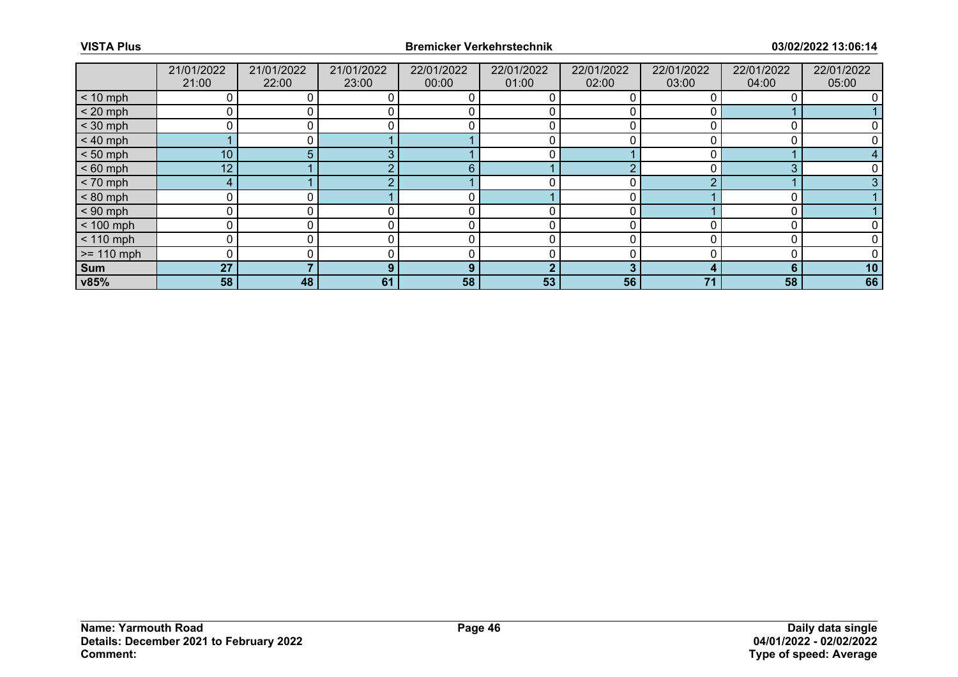|              | 21/01/2022<br>21:00 | 21/01/2022<br>22:00 | 21/01/2022<br>23:00 | 22/01/2022<br>00:00 | 22/01/2022<br>01:00 | 22/01/2022<br>02:00 | 22/01/2022<br>03:00 | 22/01/2022<br>04:00 | 22/01/2022<br>05:00 |
|--------------|---------------------|---------------------|---------------------|---------------------|---------------------|---------------------|---------------------|---------------------|---------------------|
| $< 10$ mph   | 0                   |                     |                     |                     |                     |                     |                     |                     |                     |
| $< 20$ mph   |                     |                     |                     |                     |                     |                     |                     |                     |                     |
| $<$ 30 mph   | 0                   |                     |                     |                     |                     |                     |                     |                     |                     |
| $< 40$ mph   |                     | $\Omega$            |                     |                     | 0                   |                     |                     |                     |                     |
| $< 50$ mph   | 10 <sup>1</sup>     | 5.                  |                     |                     |                     |                     |                     |                     |                     |
| $< 60$ mph   | 12 <sup>1</sup>     |                     |                     | 6                   |                     | $\sqrt{ }$          |                     | $\Omega$            |                     |
| $< 70$ mph   | 4                   |                     |                     |                     |                     |                     |                     |                     |                     |
| $< 80$ mph   | 0                   |                     |                     |                     |                     |                     |                     |                     |                     |
| $< 90$ mph   | 0                   |                     |                     |                     |                     |                     |                     |                     |                     |
| $< 100$ mph  | 0                   | 0                   |                     | 0                   | 0                   |                     |                     |                     |                     |
| $< 110$ mph  | 0                   |                     |                     |                     |                     |                     |                     |                     |                     |
| $>= 110$ mph | 0                   |                     |                     |                     |                     |                     |                     |                     |                     |
| Sum          | 27                  |                     | 9                   | 9                   | ◠                   | 3                   |                     | 6                   | 10                  |
| v85%         | 58                  | 48                  | 61                  | 58                  | 53                  | 56                  | 71                  | 58                  | 66                  |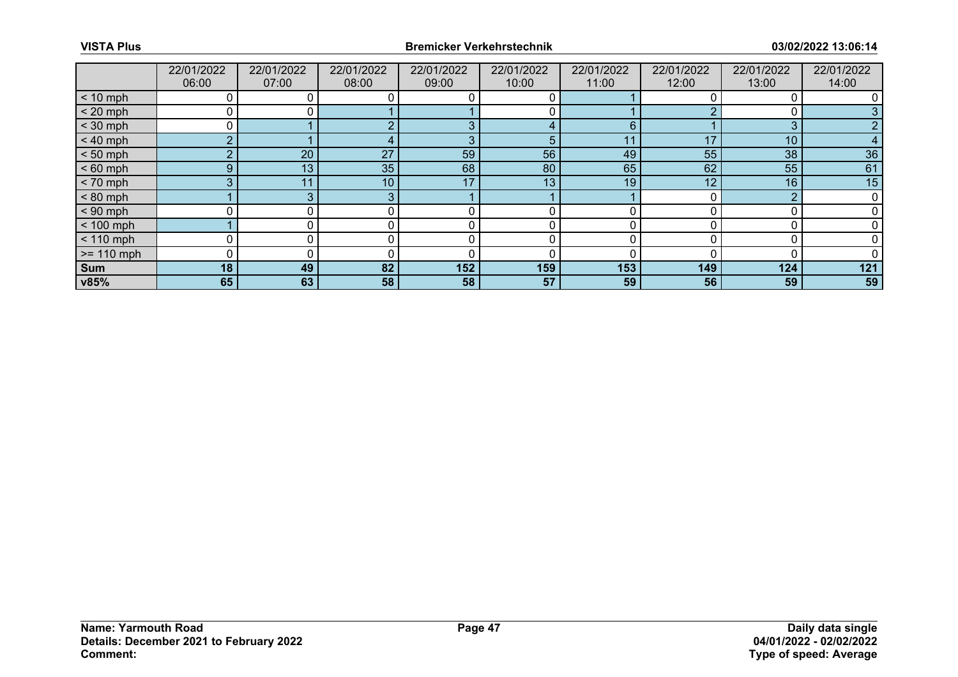|              | 22/01/2022<br>06:00 | 22/01/2022<br>07:00 | 22/01/2022<br>08:00 | 22/01/2022<br>09:00 | 22/01/2022<br>10:00 | 22/01/2022<br>11:00 | 22/01/2022<br>12:00 | 22/01/2022<br>13:00 | 22/01/2022<br>14:00 |
|--------------|---------------------|---------------------|---------------------|---------------------|---------------------|---------------------|---------------------|---------------------|---------------------|
| $< 10$ mph   | 0                   |                     |                     |                     |                     |                     |                     |                     |                     |
| $< 20$ mph   | ∩                   |                     |                     |                     |                     |                     |                     |                     |                     |
| $<$ 30 mph   | 0                   |                     |                     | $\Omega$            |                     | 6                   |                     | 3                   |                     |
| $< 40$ mph   | C.                  |                     |                     | 3                   | 5                   | 11                  | 17                  | 10 <sup>°</sup>     | 4                   |
| $< 50$ mph   | $\overline{2}$      | 20                  | 27                  | 59                  | 56                  | 49                  | 55                  | 38                  | 36                  |
| $< 60$ mph   | 9                   | 13                  | 35                  | 68                  | 80                  | 65                  | 62                  | 55                  | 61                  |
| $< 70$ mph   | 3                   | 11                  | 10 <sup>°</sup>     | 17                  | 13                  | 19                  | 12                  | 16                  | 15                  |
| $< 80$ mph   |                     | ≏                   |                     |                     |                     |                     |                     | ◠                   |                     |
| $< 90$ mph   | 0                   |                     |                     | ſ                   |                     |                     |                     |                     |                     |
| $< 100$ mph  |                     |                     |                     |                     | Ω                   |                     |                     |                     |                     |
| $< 110$ mph  |                     |                     |                     |                     |                     |                     |                     |                     |                     |
| $>= 110$ mph | 0                   |                     |                     | 0                   |                     |                     |                     |                     |                     |
| Sum          | 18                  | 49                  | 82                  | 152                 | 159                 | 153                 | 149                 | 124                 | 121                 |
| v85%         | 65                  | 63                  | 58                  | 58                  | 57                  | 59                  | 56                  | 59                  | 59                  |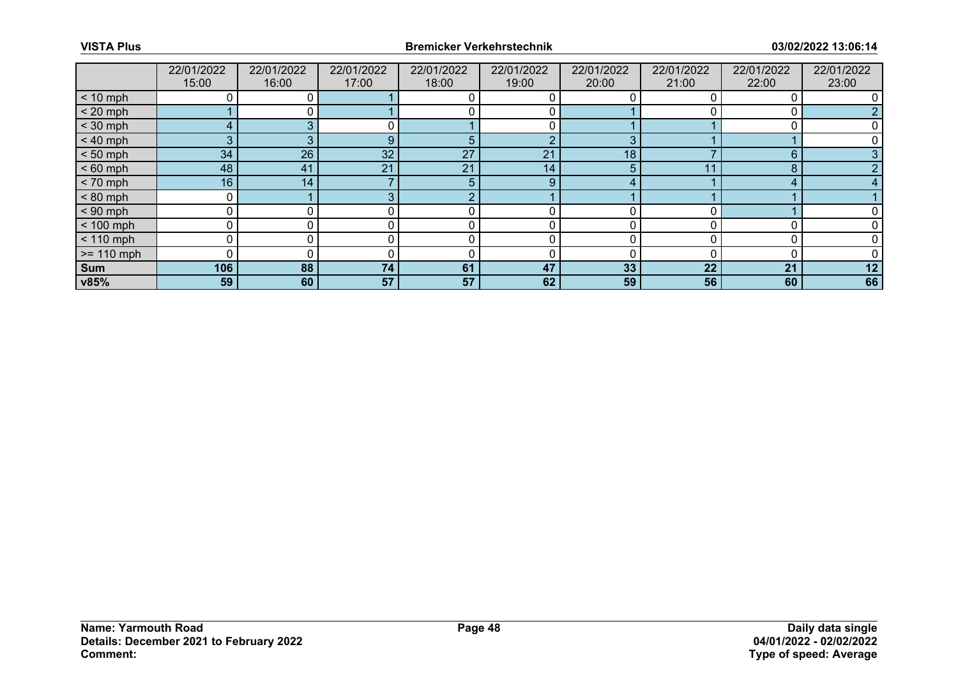|              | 22/01/2022     | 22/01/2022 | 22/01/2022      | 22/01/2022 | 22/01/2022 | 22/01/2022 | 22/01/2022 | 22/01/2022 | 22/01/2022 |
|--------------|----------------|------------|-----------------|------------|------------|------------|------------|------------|------------|
|              | 15:00          | 16:00      | 17:00           | 18:00      | 19:00      | 20:00      | 21:00      | 22:00      | 23:00      |
| $< 10$ mph   |                |            |                 |            |            |            |            |            |            |
| $< 20$ mph   |                |            |                 |            |            |            |            |            |            |
| $<$ 30 mph   | $\overline{4}$ |            |                 |            |            |            |            |            |            |
| $< 40$ mph   | 3              |            | 9               | 5          | റ          | 3          |            |            |            |
| $< 50$ mph   | 34             | 26         | 32 <sup>°</sup> | 27         | 21         | 18         |            | 6          |            |
| $< 60$ mph   | 48             | 41         | 21              | 21         | 14         | 5          |            | 8          |            |
| $< 70$ mph   | 16             | 14         |                 | 5          | 9          |            |            |            |            |
| $< 80$ mph   | 0              |            |                 | C.         |            |            |            |            |            |
| $< 90$ mph   | ი              |            |                 |            |            |            |            |            |            |
| $< 100$ mph  | $\mathbf 0$    |            |                 | r          | 0          | 0          |            |            |            |
| $< 110$ mph  | 0              |            |                 | $\Omega$   |            | 0          |            | C          |            |
| $>= 110$ mph | ი              |            |                 |            | O          | n          |            |            |            |
| Sum          | 106            | 88         | 74              | 61         | 47         | 33         | 22         | 21         | 12         |
| v85%         | 59             | 60         | 57              | 57         | 62         | 59         | 56         | 60         | 66         |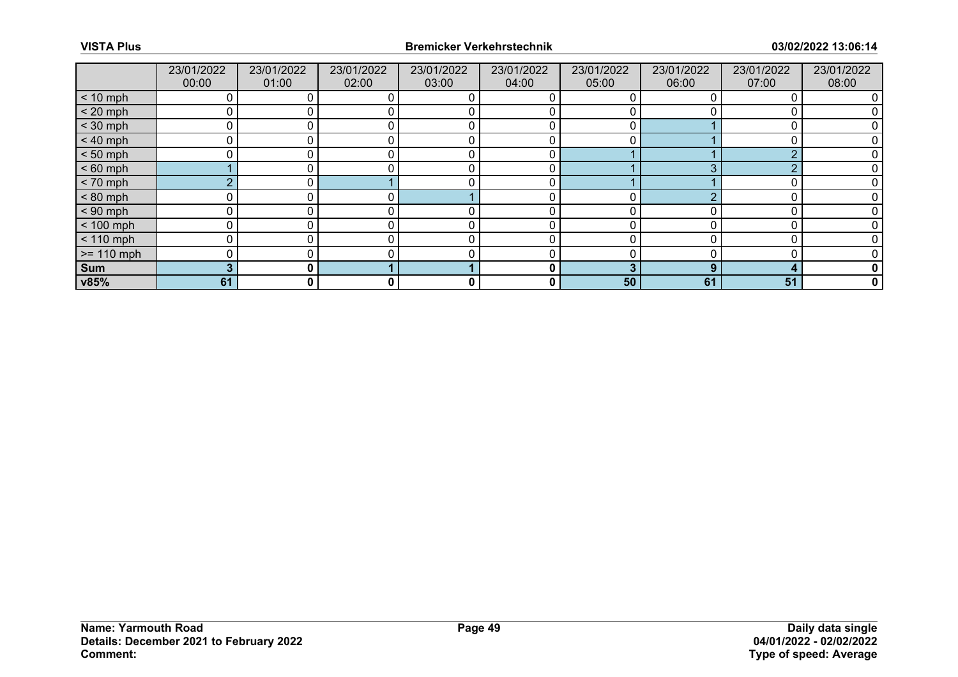|               | 23/01/2022<br>00:00 | 23/01/2022<br>01:00 | 23/01/2022<br>02:00 | 23/01/2022<br>03:00 | 23/01/2022<br>04:00 | 23/01/2022<br>05:00 | 23/01/2022<br>06:00 | 23/01/2022<br>07:00 | 23/01/2022<br>08:00 |
|---------------|---------------------|---------------------|---------------------|---------------------|---------------------|---------------------|---------------------|---------------------|---------------------|
| $< 10$ mph    | 0                   |                     |                     |                     |                     |                     |                     |                     |                     |
| $< 20$ mph    | 0                   |                     |                     |                     |                     |                     |                     |                     |                     |
| $<$ 30 mph    | 0                   |                     |                     |                     |                     |                     |                     |                     |                     |
| $< 40$ mph    | $\mathbf 0$         | 0                   |                     | C                   | 0                   | 0                   |                     |                     |                     |
| $< 50$ mph    | 0                   |                     |                     |                     | 0                   |                     |                     |                     |                     |
| $< 60$ mph    |                     |                     |                     |                     | 0                   |                     | ◠                   | ◠                   |                     |
| $< 70$ mph    | $\overline{2}$      | 0 <sup>1</sup>      |                     |                     | 0                   |                     |                     |                     |                     |
| $< 80$ mph    | 0                   |                     |                     |                     |                     |                     |                     |                     |                     |
| $< 90$ mph    | 0                   |                     |                     |                     |                     |                     |                     |                     |                     |
| $< 100$ mph   | 0                   | $\overline{0}$      |                     |                     | 0                   |                     |                     |                     |                     |
| $< 110$ mph   | 0                   |                     |                     | C                   | 0                   |                     |                     | O                   |                     |
| $\ge$ 110 mph | 0                   |                     |                     |                     |                     |                     |                     |                     |                     |
| Sum           | 3                   | 0 I                 |                     |                     | 0                   |                     | 9                   | ◢                   | 0                   |
| v85%          | 61                  | 0                   | 0                   | 0                   | 0                   | 50                  | 61                  | 51                  | $\mathbf 0$         |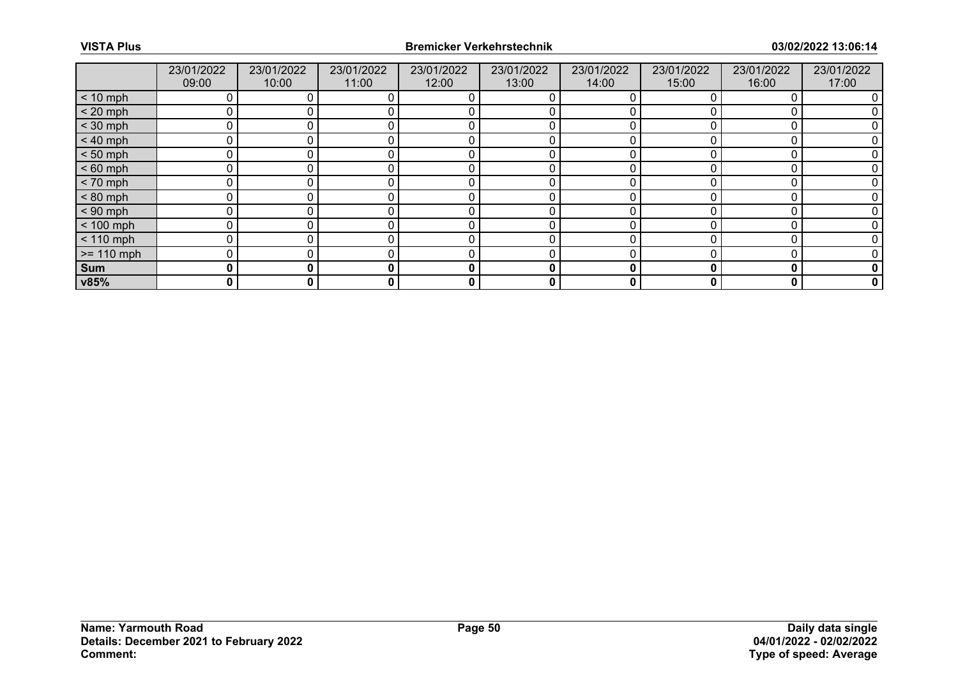|              | 23/01/2022<br>09:00 | 23/01/2022<br>10:00 | 23/01/2022<br>11:00 | 23/01/2022<br>12:00 | 23/01/2022<br>13:00 | 23/01/2022<br>14:00 | 23/01/2022<br>15:00 | 23/01/2022<br>16:00 | 23/01/2022<br>17:00 |
|--------------|---------------------|---------------------|---------------------|---------------------|---------------------|---------------------|---------------------|---------------------|---------------------|
| $< 10$ mph   |                     |                     |                     |                     |                     |                     |                     |                     |                     |
| $< 20$ mph   | 0                   |                     |                     |                     |                     |                     |                     |                     |                     |
| $<$ 30 mph   | 0                   |                     |                     |                     |                     |                     |                     |                     |                     |
| $< 40$ mph   | 0                   | 0                   |                     |                     | 0                   |                     |                     |                     |                     |
| $< 50$ mph   | 0                   |                     |                     |                     |                     |                     |                     |                     |                     |
| $< 60$ mph   | 0                   |                     |                     |                     |                     |                     |                     |                     |                     |
| $< 70$ mph   | 0                   | 0                   |                     | r                   | 0                   |                     |                     |                     |                     |
| $< 80$ mph   | 0                   |                     |                     |                     |                     |                     |                     |                     |                     |
| $< 90$ mph   | 0                   |                     |                     |                     |                     |                     |                     |                     |                     |
| $< 100$ mph  | $\mathbf{0}$        | 0                   |                     | C                   | 0                   | O                   |                     | 0                   |                     |
| $< 110$ mph  | 0                   |                     |                     |                     |                     |                     |                     |                     |                     |
| $>= 110$ mph | 0                   |                     |                     |                     |                     |                     |                     |                     |                     |
| Sum          | 0                   | 0                   | 0                   | $\mathbf{0}$        | 0                   | 0                   | 0                   | 0                   | 0                   |
| v85%         | 0                   | 0                   | 0                   | 0                   | 0                   | 0                   |                     | O                   | 0                   |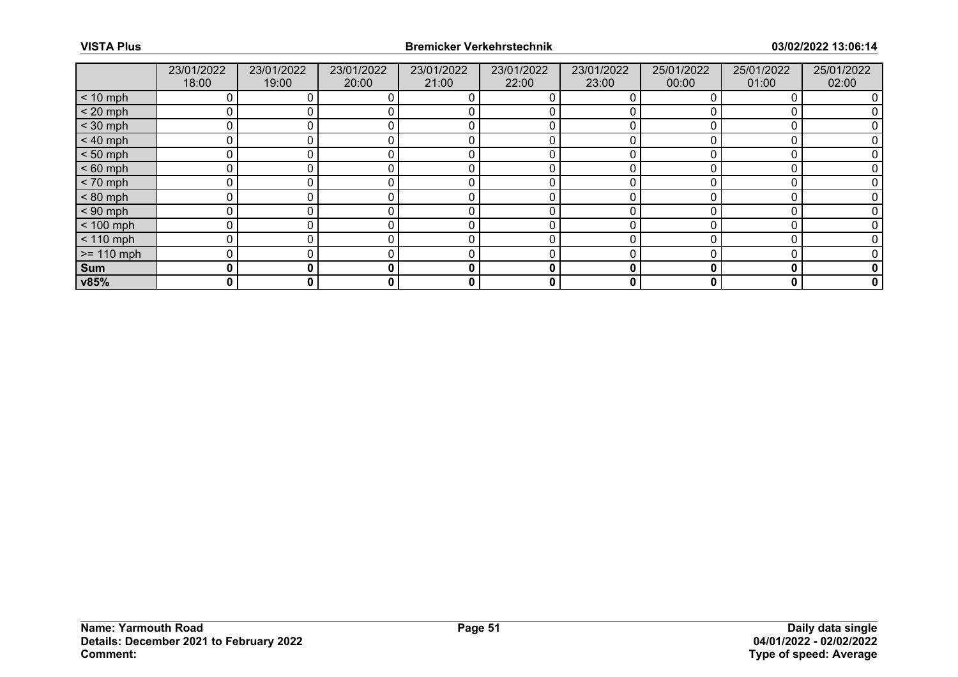|              | 23/01/2022<br>18:00 | 23/01/2022<br>19:00 | 23/01/2022<br>20:00 | 23/01/2022<br>21:00 | 23/01/2022<br>22:00 | 23/01/2022<br>23:00 | 25/01/2022<br>00:00 | 25/01/2022<br>01:00 | 25/01/2022<br>02:00 |
|--------------|---------------------|---------------------|---------------------|---------------------|---------------------|---------------------|---------------------|---------------------|---------------------|
| $< 10$ mph   | 0                   |                     |                     |                     |                     |                     |                     |                     |                     |
| $< 20$ mph   | 0                   |                     |                     |                     |                     |                     |                     |                     |                     |
| $<$ 30 mph   | 0                   |                     |                     |                     |                     |                     |                     |                     |                     |
| $< 40$ mph   | $\mathbf 0$         | 0                   |                     | C                   | 0                   |                     |                     | 0                   |                     |
| $< 50$ mph   | 0                   |                     |                     |                     |                     |                     |                     |                     |                     |
| $< 60$ mph   | 0                   |                     |                     |                     |                     |                     |                     |                     |                     |
| $< 70$ mph   | 0                   | 0                   |                     | $\Omega$            | 0                   | 0                   |                     | 0                   |                     |
| $< 80$ mph   | 0                   |                     |                     |                     |                     |                     |                     |                     |                     |
| $< 90$ mph   | 0                   |                     |                     |                     |                     |                     |                     |                     |                     |
| $< 100$ mph  | 0                   | 0                   |                     | r                   | 0                   |                     |                     |                     |                     |
| $< 110$ mph  | 0                   |                     |                     | C                   | 0                   |                     |                     | O                   |                     |
| $>= 110$ mph | 0                   |                     |                     |                     |                     |                     |                     |                     |                     |
| Sum          | 0                   | 0                   | ŋ                   | 0                   | 0                   | 0                   |                     | O                   | 0                   |
| v85%         | 0                   | 0                   | 0                   | 0                   | 0                   | 0                   | 0                   | 0                   | $\mathbf 0$         |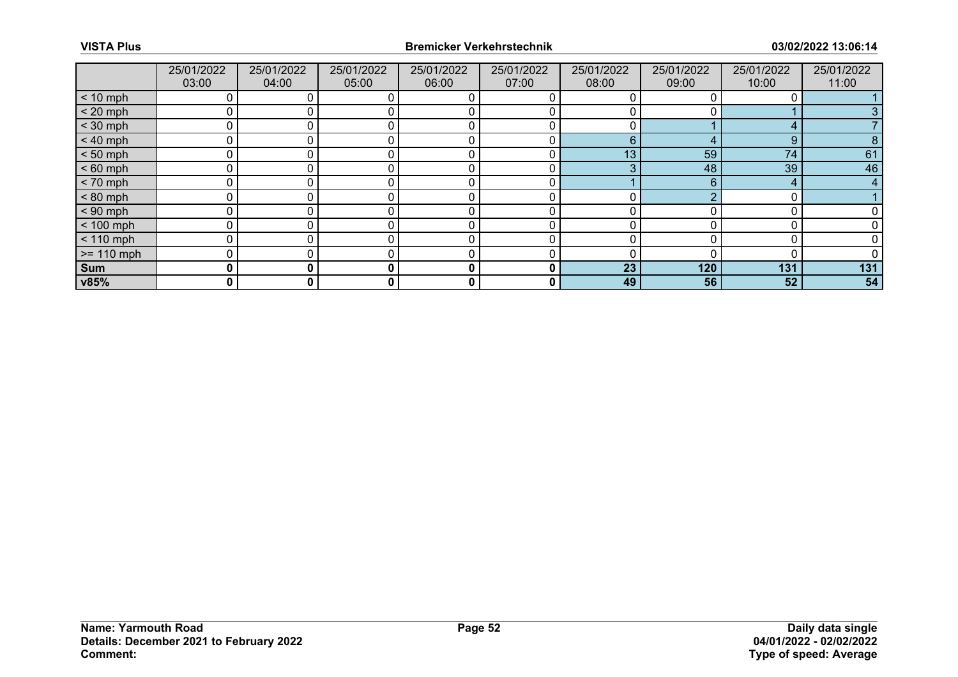|              | 25/01/2022<br>03:00 | 25/01/2022<br>04:00 | 25/01/2022<br>05:00 | 25/01/2022<br>06:00 | 25/01/2022<br>07:00 | 25/01/2022<br>08:00 | 25/01/2022<br>09:00 | 25/01/2022<br>10:00 | 25/01/2022<br>11:00 |
|--------------|---------------------|---------------------|---------------------|---------------------|---------------------|---------------------|---------------------|---------------------|---------------------|
| $< 10$ mph   |                     |                     | 0                   |                     |                     |                     |                     |                     |                     |
| $< 20$ mph   | 0                   |                     | 0                   |                     |                     |                     |                     |                     |                     |
| $<$ 30 mph   | $\Omega$            |                     |                     | C                   |                     |                     |                     | 4                   |                     |
| $< 40$ mph   | 0                   | 0                   | 0                   | 0                   | 0                   | 6                   | 4                   | 9                   | 8                   |
| $< 50$ mph   | 0                   |                     |                     |                     | 0                   | 13                  | 59                  | 74                  | 61                  |
| $< 60$ mph   | $\mathbf{0}$        |                     |                     | C                   | Ω                   | ◠                   | 48                  | 39                  | 46                  |
| $< 70$ mph   | 0                   | 0                   | 0                   | 0                   | 0                   |                     | 6                   | 4                   | 4                   |
| $< 80$ mph   | 0                   |                     | 0                   |                     | 0                   |                     |                     | C                   |                     |
| $< 90$ mph   | $\Omega$            |                     |                     |                     |                     |                     |                     |                     |                     |
| $< 100$ mph  | 0                   |                     | 0                   | 0                   | 0                   |                     |                     | C                   |                     |
| $< 110$ mph  | 0                   |                     | 0                   | 0                   | 0                   |                     |                     | 0                   |                     |
| $>= 110$ mph | $\Omega$            |                     |                     | ſ                   |                     |                     |                     |                     |                     |
| <b>Sum</b>   | 0                   | 0                   | 0                   | 0                   | 0                   | 23                  | 120                 | 131                 | 131                 |
| v85%         | 0                   | 0                   | $\mathbf{0}$        | 0                   | 0                   | 49                  | 56                  | 52                  | 54                  |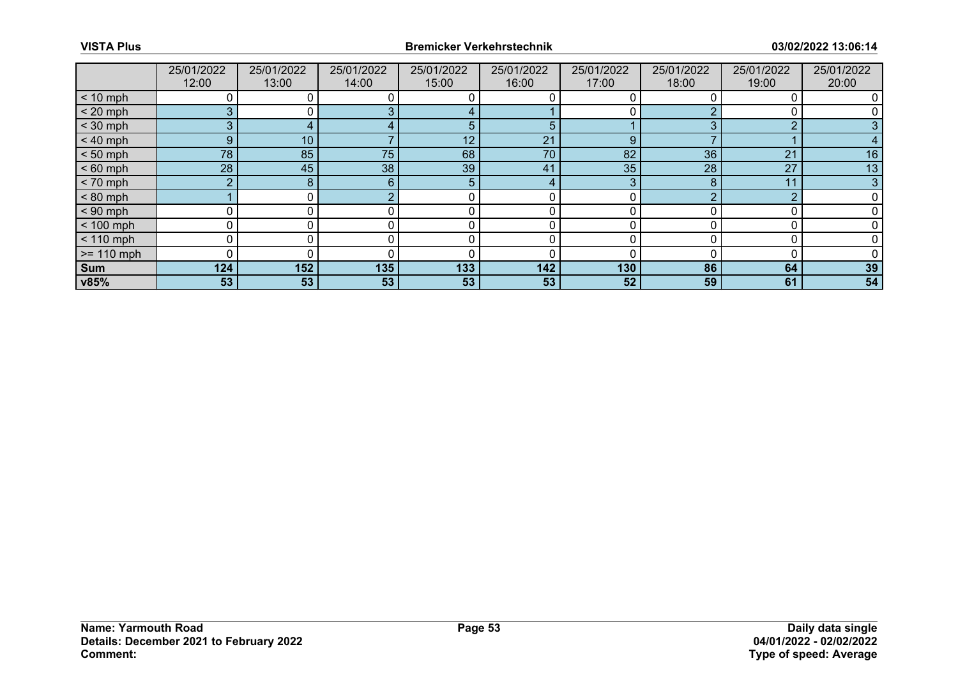|              | 25/01/2022<br>12:00 | 25/01/2022<br>13:00 | 25/01/2022<br>14:00 | 25/01/2022<br>15:00 | 25/01/2022<br>16:00 | 25/01/2022<br>17:00 | 25/01/2022<br>18:00 | 25/01/2022<br>19:00 | 25/01/2022<br>20:00 |
|--------------|---------------------|---------------------|---------------------|---------------------|---------------------|---------------------|---------------------|---------------------|---------------------|
| $< 10$ mph   |                     |                     |                     |                     |                     |                     |                     |                     |                     |
| $< 20$ mph   | 3                   |                     |                     |                     |                     |                     |                     |                     |                     |
|              | 3                   |                     |                     |                     |                     |                     |                     | ⌒                   |                     |
| $<$ 30 mph   |                     |                     |                     | 5                   | 5                   |                     |                     |                     |                     |
| $< 40$ mph   | 9 <sup>°</sup>      | 10 <sub>1</sub>     |                     | 12                  | 21                  | 9                   |                     |                     |                     |
| $< 50$ mph   | 78                  | 85                  | 75                  | 68                  | 70                  | 82                  | 36                  | 21                  | 16                  |
| $< 60$ mph   | 28 <sup>°</sup>     | 45                  | 38                  | 39                  | 41                  | 35                  | 28                  | 27                  | 13                  |
| $< 70$ mph   | $\overline{2}$      | 8                   | 6                   | 5                   | 4                   | 3                   |                     | 11                  |                     |
| $< 80$ mph   |                     |                     |                     |                     | 0                   | U                   |                     | ◠                   |                     |
| $< 90$ mph   |                     |                     |                     |                     |                     |                     |                     |                     |                     |
| $< 100$ mph  | 0                   |                     |                     | 0                   | 0                   | 0                   |                     |                     |                     |
| $< 110$ mph  |                     |                     |                     |                     |                     |                     |                     |                     |                     |
| $>= 110$ mph |                     |                     |                     |                     |                     |                     |                     |                     |                     |
| <b>Sum</b>   | 124                 | 152                 | 135                 | 133                 | 142                 | 130                 | 86                  | 64                  | 39                  |
| v85%         | 53                  | 53                  | 53                  | 53                  | 53                  | 52                  | 59                  | 61                  | 54                  |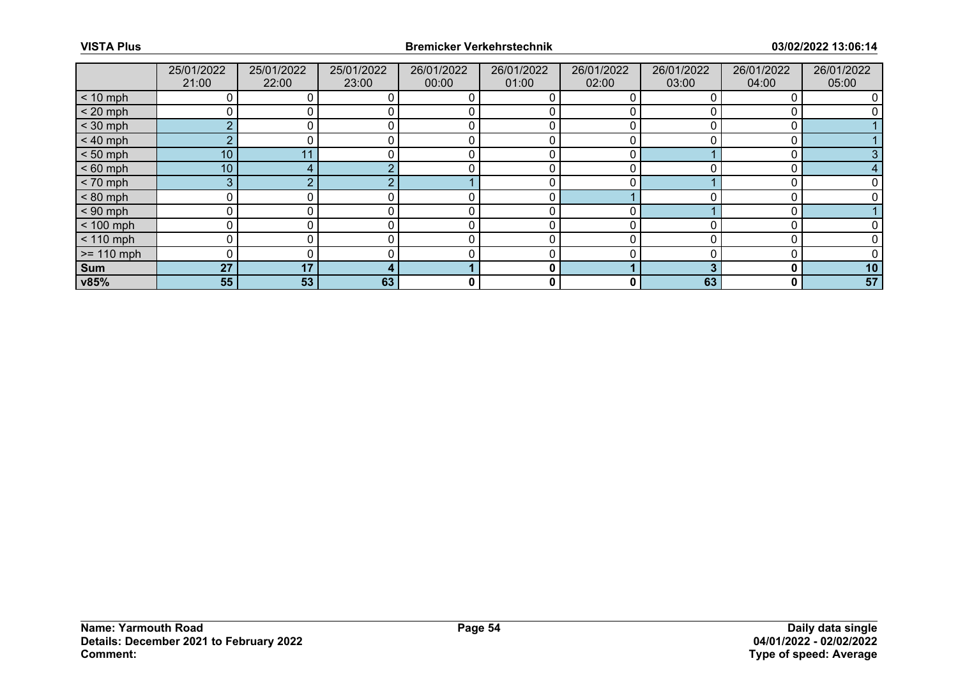|              | 25/01/2022<br>21:00 | 25/01/2022<br>22:00 | 25/01/2022<br>23:00 | 26/01/2022<br>00:00 | 26/01/2022<br>01:00 | 26/01/2022<br>02:00 | 26/01/2022<br>03:00 | 26/01/2022<br>04:00 | 26/01/2022<br>05:00 |
|--------------|---------------------|---------------------|---------------------|---------------------|---------------------|---------------------|---------------------|---------------------|---------------------|
| $< 10$ mph   |                     |                     |                     |                     |                     |                     |                     |                     |                     |
| $< 20$ mph   | 0                   |                     |                     |                     |                     |                     |                     |                     |                     |
| $<$ 30 mph   | $\Omega$            |                     |                     |                     |                     |                     |                     |                     |                     |
| $< 40$ mph   | $\overline{2}$      |                     |                     |                     |                     |                     |                     |                     |                     |
| $< 50$ mph   | 10 <sub>1</sub>     | 11                  |                     |                     |                     |                     |                     |                     |                     |
| $< 60$ mph   | 10 <sub>1</sub>     |                     |                     |                     |                     |                     |                     |                     |                     |
| $< 70$ mph   | 3                   |                     |                     |                     |                     |                     |                     |                     |                     |
| $< 80$ mph   | 0                   |                     |                     |                     | 0                   |                     |                     |                     |                     |
| $< 90$ mph   | 0                   |                     |                     |                     |                     |                     |                     |                     |                     |
| $< 100$ mph  | 0                   |                     |                     |                     | 0                   |                     |                     |                     |                     |
| $< 110$ mph  | 0                   |                     |                     |                     | 0                   |                     |                     |                     |                     |
| $>= 110$ mph | 0                   |                     |                     |                     |                     |                     |                     |                     |                     |
| Sum          | 27                  | 17                  |                     |                     | 0                   |                     |                     | 0                   | 10                  |
| v85%         | 55                  | 53                  | 63                  | 0                   | 0                   | 0                   | 63                  | 0                   | 57                  |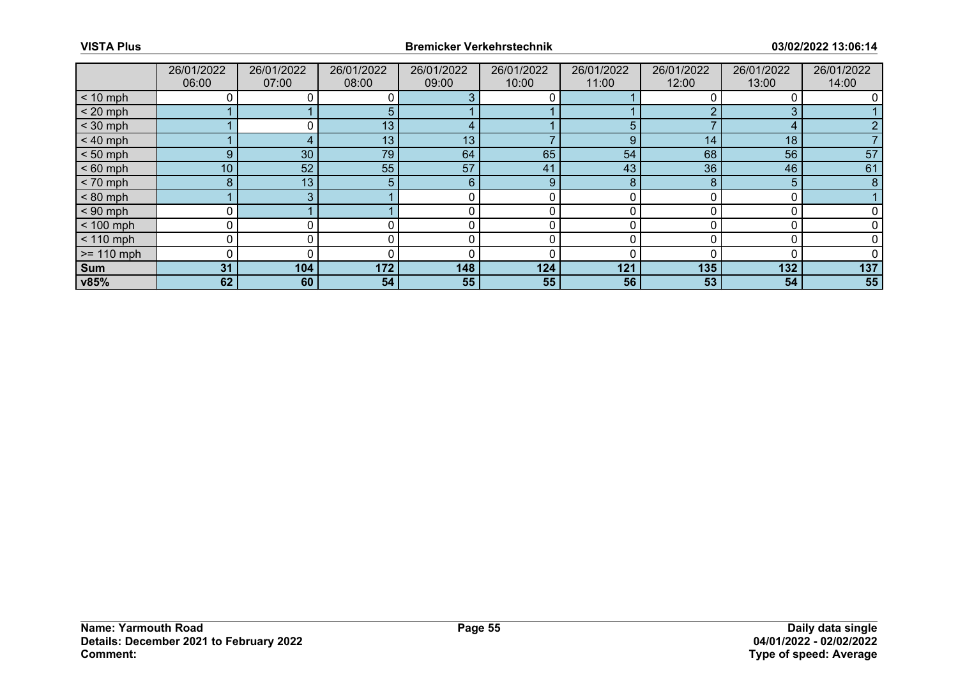|              | 26/01/2022<br>06:00 | 26/01/2022<br>07:00 | 26/01/2022<br>08:00 | 26/01/2022<br>09:00 | 26/01/2022<br>10:00 | 26/01/2022<br>11:00 | 26/01/2022<br>12:00 | 26/01/2022<br>13:00 | 26/01/2022<br>14:00 |
|--------------|---------------------|---------------------|---------------------|---------------------|---------------------|---------------------|---------------------|---------------------|---------------------|
| $< 10$ mph   | 0                   |                     |                     |                     |                     |                     |                     |                     |                     |
| $< 20$ mph   |                     |                     | 5.                  |                     |                     |                     |                     |                     |                     |
| $<$ 30 mph   |                     |                     | 13 <sub>1</sub>     |                     |                     | 5                   |                     | д                   |                     |
| $< 40$ mph   |                     |                     | 13 <sub>1</sub>     | 13                  |                     | 9                   | 14                  | 18                  |                     |
| $< 50$ mph   | 9                   | 30                  | 79                  | 64                  | 65                  | 54                  | 68                  | 56                  | 57                  |
| $< 60$ mph   | 10 <sub>1</sub>     | 52                  | 55                  | 57                  | 41                  | 43                  | 36                  | 46                  | 61                  |
| $< 70$ mph   | 8                   | 13 <sub>1</sub>     | 5.                  | 6                   | 9                   | 8                   | 8                   | 5                   | 8                   |
| $< 80$ mph   |                     | 3                   |                     |                     |                     |                     |                     |                     |                     |
| $< 90$ mph   |                     |                     |                     |                     |                     |                     |                     |                     |                     |
| $< 100$ mph  | 0                   | 0                   |                     | r                   | 0                   | O                   |                     |                     |                     |
| $< 110$ mph  | 0                   |                     |                     |                     |                     |                     |                     |                     |                     |
| $>= 110$ mph | 0                   |                     |                     |                     | 0                   |                     |                     |                     |                     |
| Sum          | 31                  | 104                 | 172                 | 148                 | 124                 | 121                 | 135                 | 132                 | 137                 |
| v85%         | 62                  | 60                  | 54                  | 55                  | 55                  | 56                  | 53                  | 54                  | 55                  |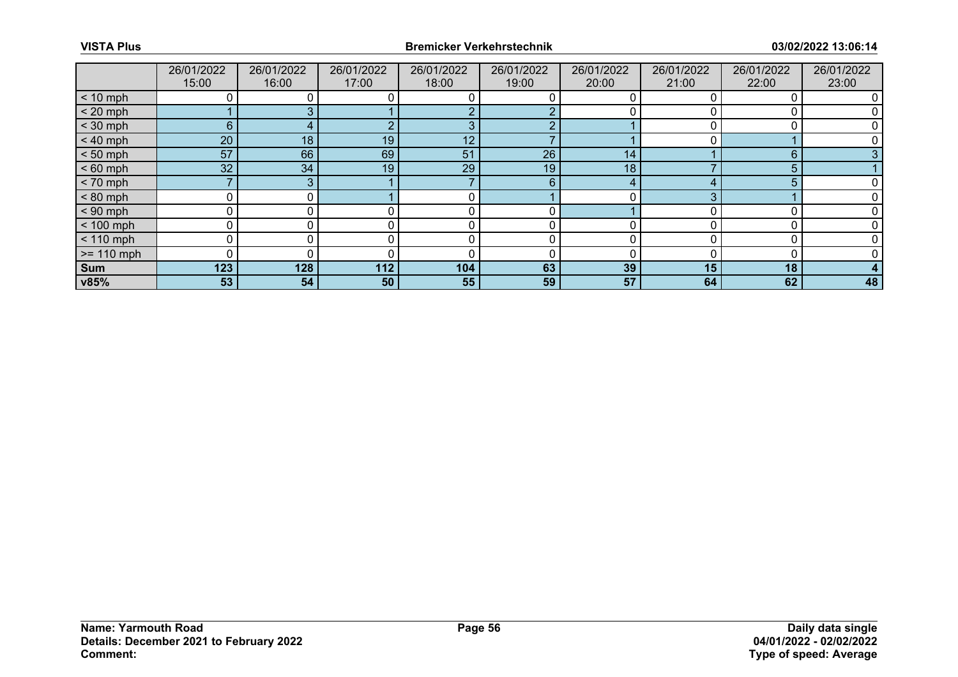|              | 26/01/2022      | 26/01/2022 | 26/01/2022 | 26/01/2022 | 26/01/2022 | 26/01/2022 | 26/01/2022 | 26/01/2022 | 26/01/2022 |
|--------------|-----------------|------------|------------|------------|------------|------------|------------|------------|------------|
|              | 15:00           | 16:00      | 17:00      | 18:00      | 19:00      | 20:00      | 21:00      | 22:00      | 23:00      |
| $< 10$ mph   |                 |            |            |            |            |            |            |            |            |
| $< 20$ mph   |                 |            |            |            |            |            |            |            |            |
| $<$ 30 mph   | 6               |            |            |            | ◠          |            |            |            |            |
| $< 40$ mph   | 20              | 18         | 19         | 12         |            |            |            |            |            |
| $< 50$ mph   | 57              | 66         | 69         | 51         | 26         | 14         |            | 6          |            |
| $< 60$ mph   | 32 <sup>°</sup> | 34         | 19         | 29         | 19         | 18         |            | 5          |            |
| $< 70$ mph   |                 |            |            |            | 6          | 4          |            | 5          |            |
| $< 80$ mph   | U               | 0 I        |            |            |            | 0          |            |            |            |
| $< 90$ mph   | ი               |            |            |            |            |            |            |            |            |
| $< 100$ mph  | 0               |            |            | C          | 0          | 0          |            | r          |            |
| $< 110$ mph  | 0               |            |            | $\Omega$   | 0          | 0          |            | C          |            |
| $>= 110$ mph | 0               |            |            |            | 0          | n          |            |            |            |
| Sum          | 123             | 128        | 112        | 104        | 63         | 39         | 15         | 18         |            |
| v85%         | 53              | 54         | 50         | 55         | 59         | 57         | 64         | 62         | 48         |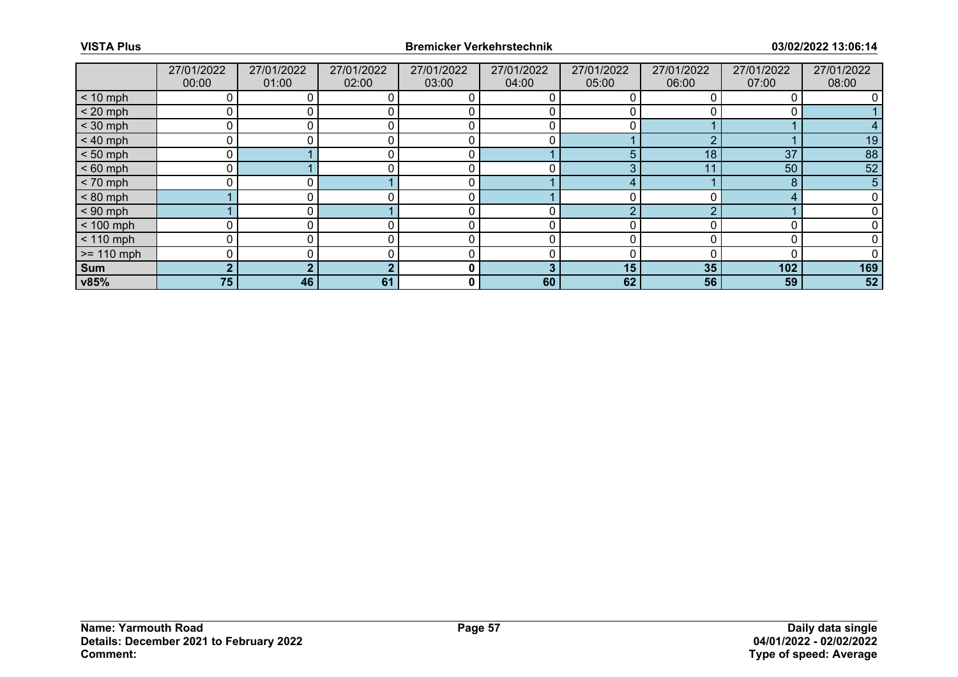|              | 27/01/2022<br>00:00 | 27/01/2022<br>01:00 | 27/01/2022<br>02:00 | 27/01/2022<br>03:00 | 27/01/2022<br>04:00 | 27/01/2022<br>05:00 | 27/01/2022<br>06:00 | 27/01/2022<br>07:00 | 27/01/2022<br>08:00 |
|--------------|---------------------|---------------------|---------------------|---------------------|---------------------|---------------------|---------------------|---------------------|---------------------|
| $< 10$ mph   | 0                   |                     |                     |                     |                     |                     |                     |                     |                     |
| $< 20$ mph   | 0                   |                     |                     |                     |                     |                     |                     |                     |                     |
| $<$ 30 mph   | 0                   |                     |                     |                     |                     |                     |                     |                     |                     |
| $< 40$ mph   | 0                   | 0                   |                     | 0                   | 0                   |                     | n                   |                     | 19                  |
| $< 50$ mph   | 0                   |                     |                     | C                   |                     | 5                   | 18                  | 37                  | 88                  |
| $< 60$ mph   | 0                   |                     |                     | r                   |                     |                     | 11                  | 50                  | 52                  |
| $< 70$ mph   | 0                   | 0 I                 |                     | 0                   |                     | 4                   |                     | 8                   | 5                   |
| $< 80$ mph   |                     |                     |                     | $\mathbf{C}$        |                     |                     |                     | Δ                   |                     |
| $< 90$ mph   |                     |                     |                     |                     |                     | $\sqrt{2}$          | $\sqrt{2}$          |                     |                     |
| $< 100$ mph  | 0                   | 0                   |                     | r                   | 0                   |                     |                     |                     |                     |
| $< 110$ mph  | 0                   |                     |                     | $\mathsf{C}$        | 0                   |                     |                     | 0                   |                     |
| $>= 110$ mph | 0                   |                     |                     |                     |                     |                     |                     |                     |                     |
| Sum          | $\overline{2}$      |                     |                     | 0                   | 3                   | 15                  | 35                  | 102                 | 169                 |
| v85%         | 75                  | 46                  | 61                  | 0                   | 60                  | 62                  | 56                  | 59                  | 52                  |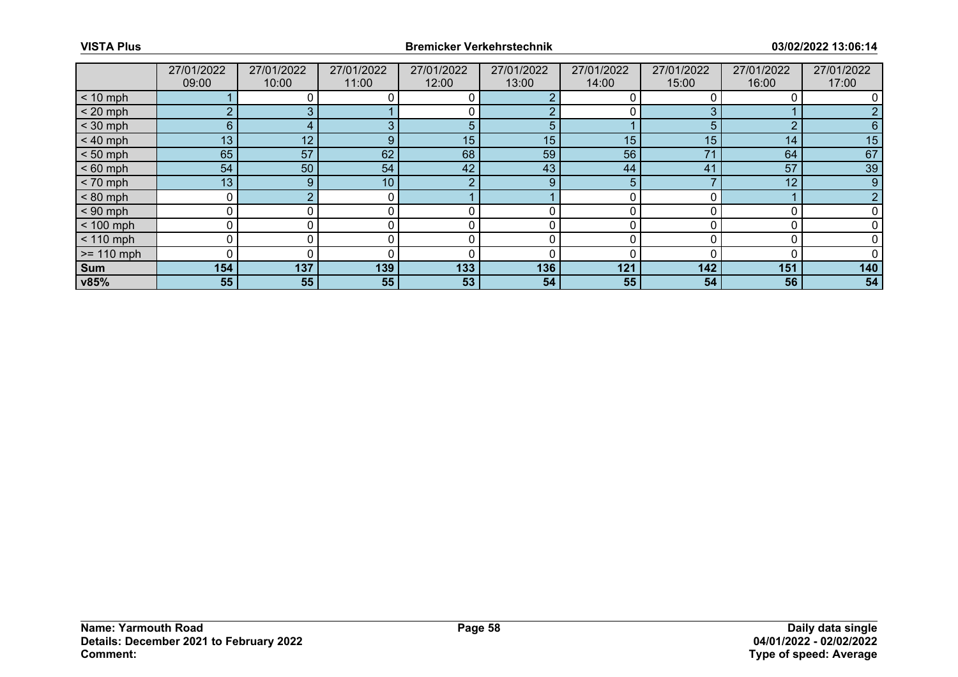|              | 27/01/2022 | 27/01/2022  | 27/01/2022 | 27/01/2022 | 27/01/2022 | 27/01/2022 | 27/01/2022 | 27/01/2022 | 27/01/2022 |
|--------------|------------|-------------|------------|------------|------------|------------|------------|------------|------------|
|              | 09:00      | 10:00       | 11:00      | 12:00      | 13:00      | 14:00      | 15:00      | 16:00      | 17:00      |
| $< 10$ mph   |            |             |            |            |            |            |            |            |            |
| $< 20$ mph   | 2          |             |            |            |            |            |            |            |            |
| $<$ 30 mph   | 6          |             |            | 5          | 5          |            | h.         | ◠          |            |
| $< 40$ mph   | 13         | 12          | 9          | 15         | 15         | 15         | 15         | 14         | 15         |
| $< 50$ mph   | 65         | 57          | 62         | 68         | 59         | 56         | 7'         | 64         | 67         |
| $< 60$ mph   | 54         | 50          | 54         | 42         | 43         | 44         | 41         | 57         | 39         |
| $< 70$ mph   | 13         | $9^{\circ}$ | 10         | - 2        | 9          | 5.         |            | 12         | 9          |
| $< 80$ mph   | 0          |             | 0          |            |            |            |            |            |            |
| $< 90$ mph   | 0          |             |            |            |            |            |            |            |            |
| $< 100$ mph  | 0          | 0           | 0          | 0          | 0          | O          |            |            |            |
| $< 110$ mph  | 0          |             |            |            |            |            |            |            |            |
| $>= 110$ mph | O          |             |            |            |            |            |            |            |            |
| Sum          | 154        | 137         | 139        | 133        | 136        | 121        | 142        | 151        | 140        |
| v85%         | 55         | 55          | 55         | 53         | 54         | 55         | 54         | 56         | 54         |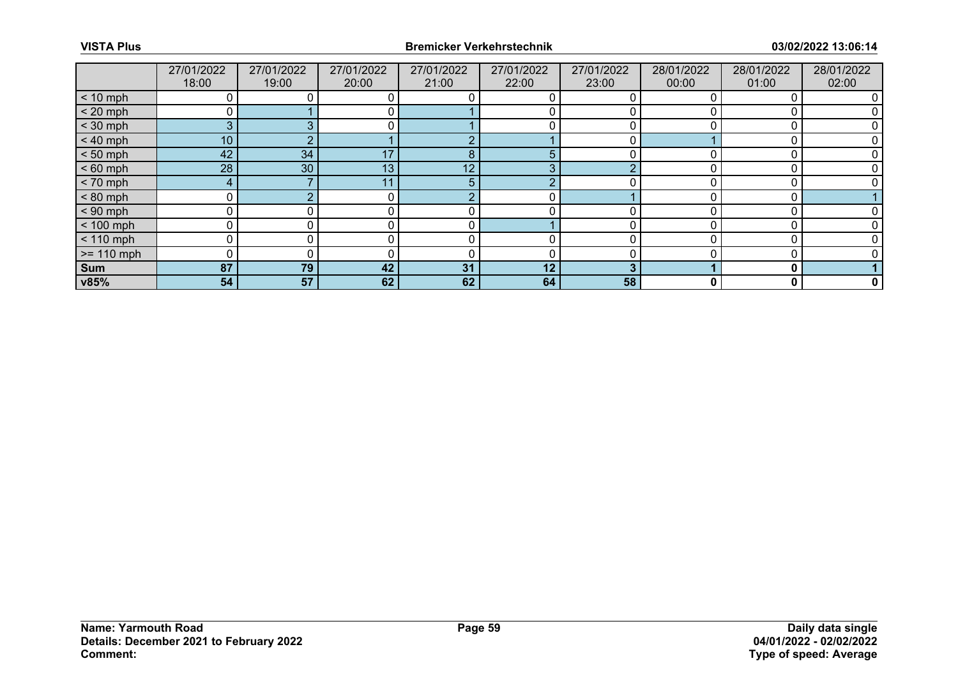|              | 27/01/2022<br>18:00 | 27/01/2022<br>19:00 | 27/01/2022<br>20:00 | 27/01/2022<br>21:00 | 27/01/2022<br>22:00 | 27/01/2022<br>23:00 | 28/01/2022<br>00:00 | 28/01/2022<br>01:00 | 28/01/2022<br>02:00 |
|--------------|---------------------|---------------------|---------------------|---------------------|---------------------|---------------------|---------------------|---------------------|---------------------|
| $< 10$ mph   |                     |                     |                     |                     |                     |                     |                     |                     |                     |
|              |                     |                     |                     |                     |                     |                     |                     |                     |                     |
| $< 20$ mph   | 0                   |                     | 0                   |                     |                     |                     |                     |                     |                     |
| $<$ 30 mph   | 3                   |                     |                     |                     |                     |                     |                     |                     |                     |
| $< 40$ mph   | 10 <sup>°</sup>     |                     |                     | $\bigcap$           |                     |                     |                     |                     |                     |
| $< 50$ mph   | 42                  | 34                  | 17                  | 8                   | 5                   |                     |                     |                     |                     |
| $< 60$ mph   | 28                  | 30                  | 13 <sub>1</sub>     | 12                  | З                   |                     |                     |                     |                     |
| $< 70$ mph   | 4                   |                     | 11                  | 5                   |                     |                     |                     |                     |                     |
| $< 80$ mph   | 0                   |                     | 0                   | $\bigcap$           |                     |                     |                     |                     |                     |
| $< 90$ mph   | 0                   |                     |                     |                     |                     |                     |                     |                     |                     |
| $< 100$ mph  | 0                   |                     |                     | 0                   |                     |                     |                     |                     |                     |
| $< 110$ mph  | 0                   | 0                   |                     | 0                   |                     |                     |                     |                     |                     |
| $>= 110$ mph | $\Omega$            |                     |                     |                     |                     |                     |                     |                     |                     |
| Sum          | 87                  | 79                  | 42                  | 31                  | 12                  | 3                   |                     | 0                   |                     |
| v85%         | 54                  | 57                  | 62                  | 62                  | 64                  | 58                  | 0                   | 0                   | 0                   |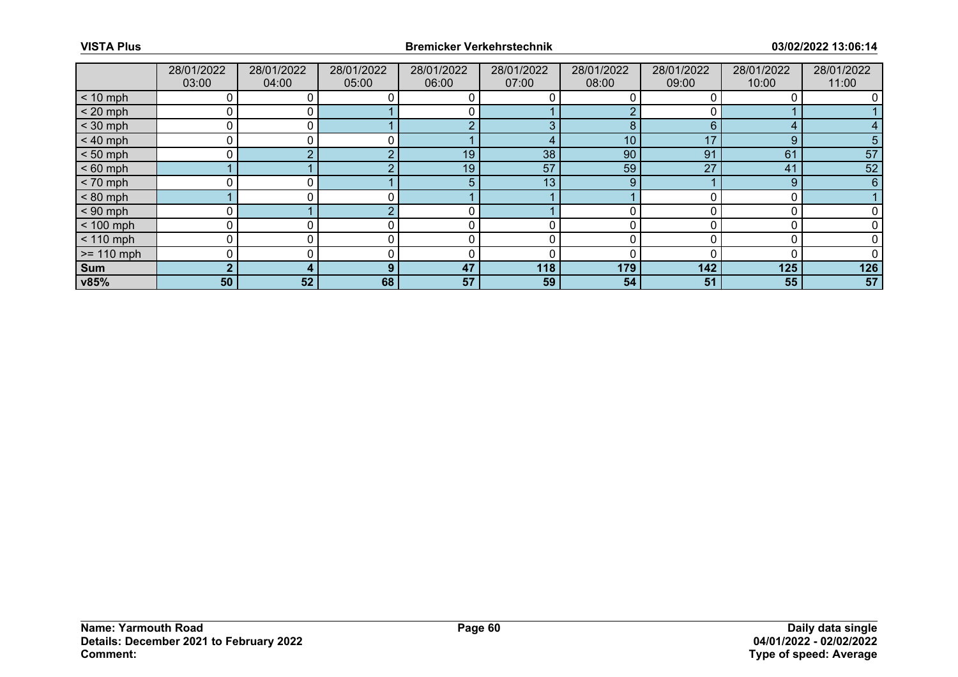|              | 28/01/2022<br>03:00 | 28/01/2022<br>04:00 | 28/01/2022<br>05:00 | 28/01/2022<br>06:00 | 28/01/2022<br>07:00 | 28/01/2022<br>08:00 | 28/01/2022<br>09:00 | 28/01/2022<br>10:00 | 28/01/2022<br>11:00 |
|--------------|---------------------|---------------------|---------------------|---------------------|---------------------|---------------------|---------------------|---------------------|---------------------|
| $< 10$ mph   | 0                   |                     |                     |                     |                     |                     |                     |                     |                     |
| $< 20$ mph   | 0                   |                     |                     |                     |                     |                     |                     |                     |                     |
| $<$ 30 mph   |                     |                     |                     |                     |                     | 8                   | 6                   | ◢                   |                     |
| $< 40$ mph   | 0                   |                     |                     |                     |                     | 10                  | 17                  | 9                   |                     |
| $< 50$ mph   | 0                   |                     |                     | 19                  | 38                  | 90                  | 91                  | 61                  | 57                  |
| $< 60$ mph   |                     |                     |                     | 19                  | 57                  | 59                  | 27                  | 41                  | 52                  |
| $< 70$ mph   | $\Omega$            |                     |                     |                     | 13                  | 9                   |                     | 9                   | 6                   |
| $< 80$ mph   |                     |                     |                     |                     |                     |                     |                     |                     |                     |
| $< 90$ mph   |                     |                     |                     |                     |                     |                     |                     |                     |                     |
| $< 100$ mph  | 0                   | 0                   |                     |                     |                     |                     |                     |                     |                     |
| $< 110$ mph  | 0                   |                     |                     |                     |                     |                     |                     |                     |                     |
| $>= 110$ mph | 0                   |                     |                     |                     |                     |                     |                     |                     |                     |
| Sum          | $\overline{2}$      | 4                   | $\Omega$            | 47                  | 118                 | 179                 | 142                 | 125                 | 126                 |
| v85%         | 50                  | 52                  | 68                  | 57                  | 59                  | 54                  | 51                  | 55                  | 57                  |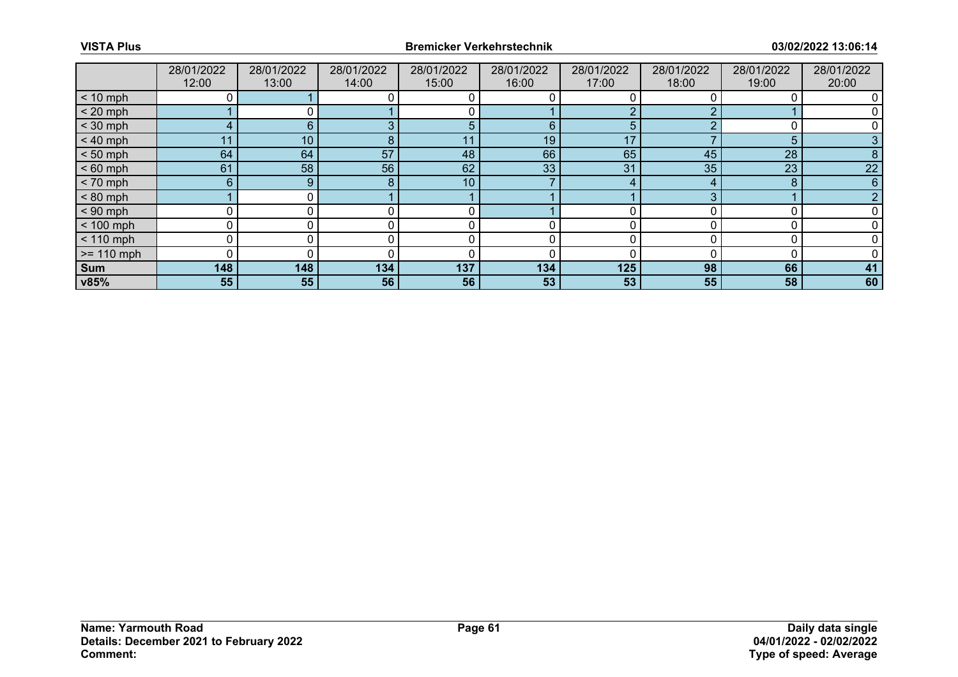|              | 28/01/2022<br>12:00 | 28/01/2022<br>13:00 | 28/01/2022<br>14:00 | 28/01/2022<br>15:00 | 28/01/2022<br>16:00 | 28/01/2022<br>17:00 | 28/01/2022<br>18:00 | 28/01/2022<br>19:00 | 28/01/2022<br>20:00 |
|--------------|---------------------|---------------------|---------------------|---------------------|---------------------|---------------------|---------------------|---------------------|---------------------|
| $< 10$ mph   |                     |                     |                     |                     |                     |                     |                     |                     |                     |
|              |                     |                     |                     |                     |                     |                     |                     |                     |                     |
| $< 20$ mph   |                     | 0 I                 |                     |                     |                     |                     |                     |                     |                     |
| $<$ 30 mph   | 4                   | 6                   |                     |                     | 6                   |                     |                     |                     |                     |
| $< 40$ mph   | 11                  | 10                  | 8                   | 11                  | 19                  | 17                  |                     | 5                   |                     |
| $< 50$ mph   | 64                  | 64                  | 57                  | 48                  | 66                  | 65                  | 45                  | 28                  |                     |
| $< 60$ mph   | 61                  | 58                  | 56                  | 62                  | 33                  | 31                  | 35                  | 23                  | 22                  |
| $< 70$ mph   | $6^{\circ}$         | 9                   | 8                   | 10                  |                     | 4                   |                     | 8                   | 6                   |
| $< 80$ mph   |                     | 0 I                 |                     |                     |                     |                     |                     |                     |                     |
| $< 90$ mph   | 0                   |                     |                     |                     |                     |                     |                     |                     |                     |
| $< 100$ mph  | 0                   | 0                   |                     | 0                   |                     |                     |                     |                     |                     |
| $< 110$ mph  | 0                   | 0                   |                     | 0                   | 0                   |                     |                     |                     |                     |
| $>= 110$ mph | 0                   |                     |                     |                     |                     |                     |                     |                     |                     |
| Sum          | 148                 | 148                 | 134                 | 137                 | 134                 | 125                 | 98                  | 66                  | 41                  |
| v85%         | 55                  | 55                  | 56                  | 56                  | 53                  | 53                  | 55                  | 58                  | 60                  |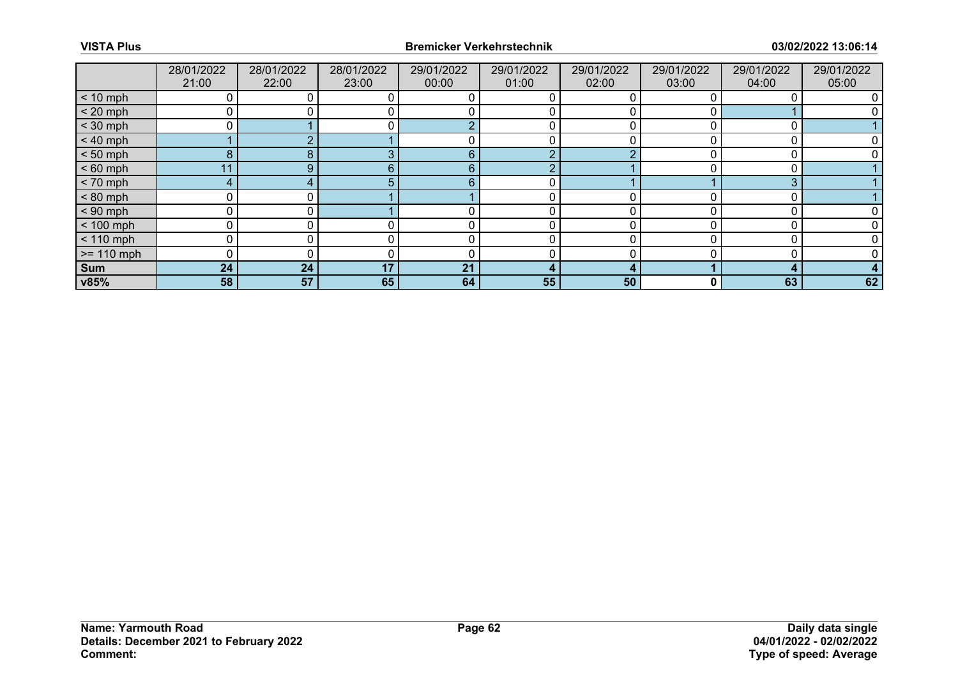|              | 28/01/2022<br>21:00 | 28/01/2022<br>22:00 | 28/01/2022<br>23:00 | 29/01/2022<br>00:00 | 29/01/2022<br>01:00 | 29/01/2022<br>02:00 | 29/01/2022<br>03:00 | 29/01/2022<br>04:00 | 29/01/2022<br>05:00 |
|--------------|---------------------|---------------------|---------------------|---------------------|---------------------|---------------------|---------------------|---------------------|---------------------|
| $< 10$ mph   |                     |                     |                     |                     |                     |                     |                     |                     |                     |
| $< 20$ mph   | 0                   |                     |                     |                     |                     |                     |                     |                     |                     |
| $<$ 30 mph   |                     |                     |                     |                     |                     |                     |                     |                     |                     |
| $< 40$ mph   |                     |                     |                     |                     |                     |                     |                     |                     |                     |
| $< 50$ mph   | 8                   | 8                   |                     | 6                   | C                   |                     |                     |                     |                     |
| $< 60$ mph   |                     | 9 <sub>1</sub>      | 6.                  | 6                   | ╭                   |                     |                     |                     |                     |
| $< 70$ mph   | 4                   |                     | 5.                  | 6                   |                     |                     |                     | 3                   |                     |
| $< 80$ mph   | 0                   |                     |                     |                     | 0                   |                     |                     |                     |                     |
| $< 90$ mph   | 0                   |                     |                     |                     |                     |                     |                     |                     |                     |
| $< 100$ mph  | 0                   |                     |                     |                     | 0                   |                     |                     |                     |                     |
| $< 110$ mph  | 0                   |                     |                     |                     | 0                   |                     |                     |                     |                     |
| $>= 110$ mph | 0                   |                     |                     |                     |                     |                     |                     |                     |                     |
| Sum          | 24                  | 24                  | 17                  | 21                  | 4                   |                     |                     | д                   |                     |
| v85%         | 58                  | 57                  | 65                  | 64                  | 55                  | 50                  | 0                   | 63                  | 62                  |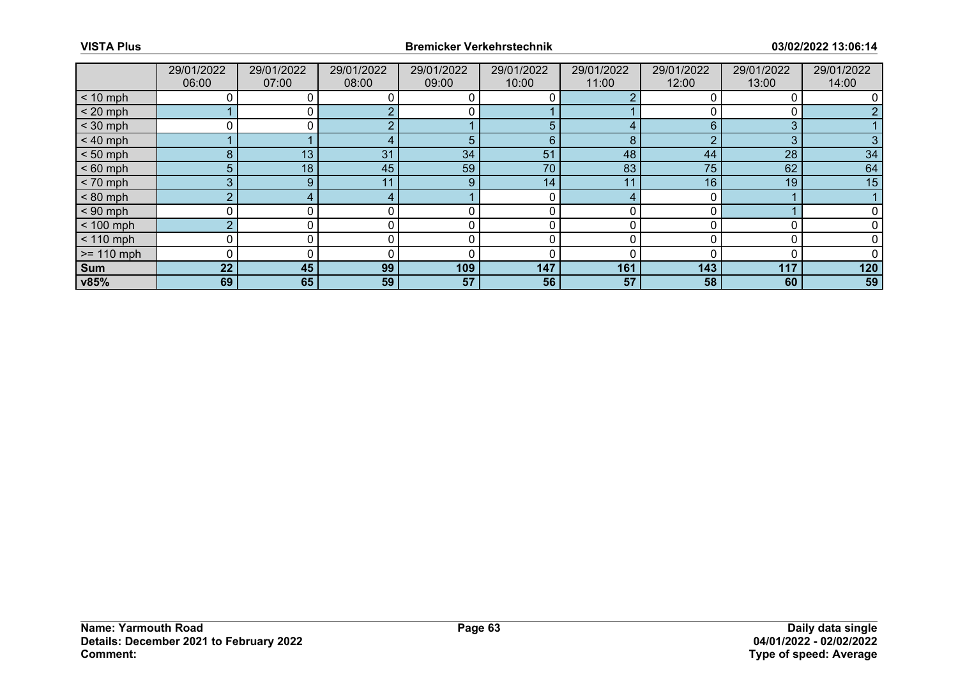|              | 29/01/2022<br>06:00 | 29/01/2022<br>07:00 | 29/01/2022<br>08:00 | 29/01/2022<br>09:00 | 29/01/2022<br>10:00 | 29/01/2022<br>11:00 | 29/01/2022<br>12:00 | 29/01/2022<br>13:00 | 29/01/2022<br>14:00 |
|--------------|---------------------|---------------------|---------------------|---------------------|---------------------|---------------------|---------------------|---------------------|---------------------|
| $< 10$ mph   |                     |                     |                     |                     |                     |                     |                     |                     |                     |
| $< 20$ mph   |                     |                     |                     |                     |                     |                     |                     |                     |                     |
| $<$ 30 mph   |                     |                     |                     |                     | 5                   |                     | հ                   | 3                   |                     |
| $< 40$ mph   |                     |                     |                     | 5                   | 6                   | 8                   |                     | 3                   |                     |
| $< 50$ mph   | 8                   | 13                  | 31                  | 34                  | 51                  | 48                  | 44                  | 28                  | 34                  |
| $< 60$ mph   | 5 <sup>5</sup>      | 18                  | 45                  | 59                  | 70                  | 83                  | 75                  | 62                  | 64                  |
| $< 70$ mph   | 3                   | $9^{\circ}$         | 11                  | 9                   | 14                  | 11                  | 16                  | 19                  | 15                  |
| $< 80$ mph   | $\overline{2}$      |                     |                     |                     | 0                   |                     |                     |                     |                     |
| $< 90$ mph   |                     |                     |                     |                     |                     |                     |                     |                     |                     |
| $< 100$ mph  | $\overline{2}$      | 0                   |                     |                     | 0                   | O                   |                     |                     |                     |
| $< 110$ mph  | 0                   |                     |                     |                     |                     |                     |                     |                     |                     |
| $>= 110$ mph | 0                   |                     |                     |                     |                     |                     |                     |                     |                     |
| Sum          | 22                  | 45                  | 99                  | 109                 | 147                 | 161                 | 143                 | 117                 | 120                 |
| v85%         | 69                  | 65                  | 59                  | 57                  | 56                  | 57                  | 58                  | 60                  | 59                  |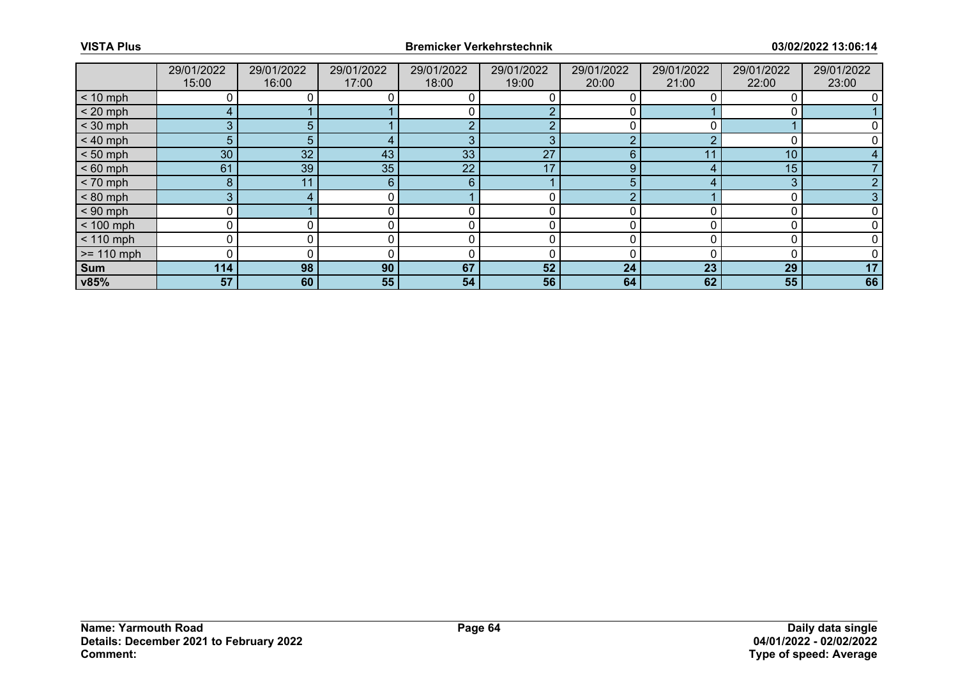|              | 29/01/2022<br>15:00 | 29/01/2022<br>16:00 | 29/01/2022<br>17:00 | 29/01/2022<br>18:00 | 29/01/2022<br>19:00 | 29/01/2022<br>20:00 | 29/01/2022<br>21:00 | 29/01/2022<br>22:00 | 29/01/2022<br>23:00 |
|--------------|---------------------|---------------------|---------------------|---------------------|---------------------|---------------------|---------------------|---------------------|---------------------|
| $< 10$ mph   |                     |                     |                     |                     |                     |                     |                     |                     |                     |
| $< 20$ mph   | 4                   |                     |                     |                     |                     |                     |                     |                     |                     |
| $<$ 30 mph   | 3                   | 5.                  |                     |                     |                     |                     |                     |                     |                     |
| $< 40$ mph   | 5                   | 5.                  |                     | 3                   | 3                   | $\sqrt{2}$          |                     |                     |                     |
| $< 50$ mph   | 30                  | 32 <sup>°</sup>     | 43                  | 33                  | 27                  | 6                   | -1-1                | 10 <sup>°</sup>     |                     |
| $< 60$ mph   | 61                  | 39                  | 35                  | 22                  | 17                  | Q                   |                     | 15                  |                     |
| $< 70$ mph   | 8                   | 11                  | 6                   | 6                   |                     | 5                   |                     | 3                   |                     |
| $< 80$ mph   | 3                   |                     |                     |                     |                     |                     |                     |                     |                     |
| $< 90$ mph   |                     |                     |                     |                     |                     |                     |                     |                     |                     |
| $< 100$ mph  | 0                   | 0                   |                     |                     | 0                   |                     |                     |                     |                     |
| $< 110$ mph  | 0                   |                     |                     |                     |                     |                     |                     |                     |                     |
| $>= 110$ mph | 0                   |                     |                     |                     |                     |                     |                     |                     |                     |
| Sum          | 114                 | 98                  | 90                  | 67                  | 52                  | 24                  | 23                  | 29                  | 17                  |
| v85%         | 57                  | 60                  | 55                  | 54                  | 56                  | 64                  | 62                  | 55                  | 66                  |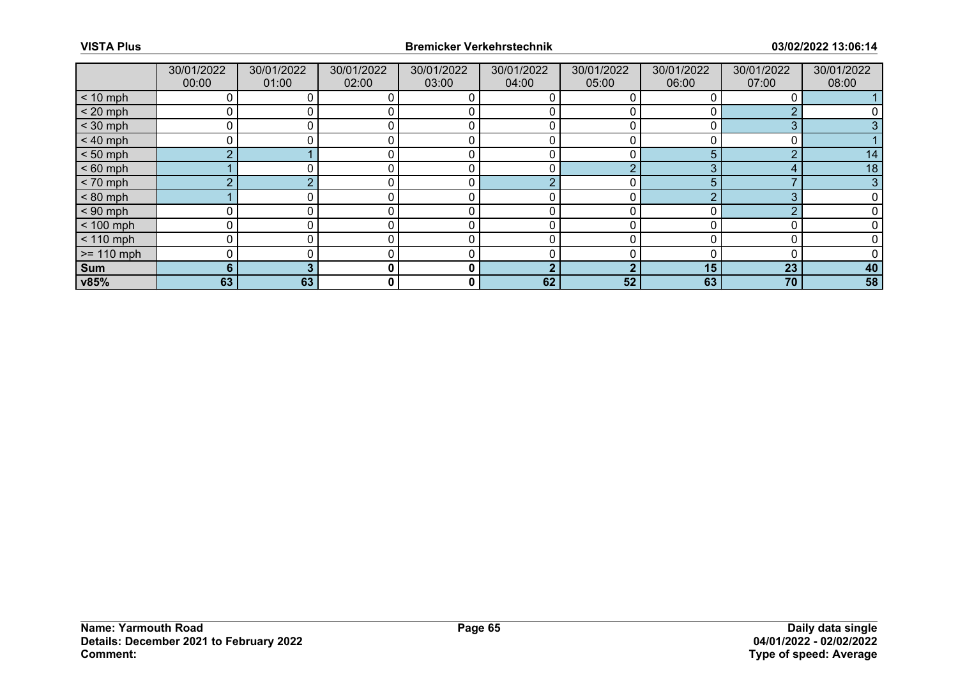|              | 30/01/2022<br>00:00 | 30/01/2022<br>01:00 | 30/01/2022<br>02:00 | 30/01/2022<br>03:00 | 30/01/2022<br>04:00 | 30/01/2022<br>05:00 | 30/01/2022<br>06:00 | 30/01/2022<br>07:00 | 30/01/2022<br>08:00 |
|--------------|---------------------|---------------------|---------------------|---------------------|---------------------|---------------------|---------------------|---------------------|---------------------|
| $< 10$ mph   | 0                   |                     |                     |                     |                     |                     |                     |                     |                     |
| $< 20$ mph   | 0                   |                     |                     |                     |                     |                     |                     |                     |                     |
| $<$ 30 mph   |                     |                     |                     |                     |                     |                     |                     | 3                   |                     |
| $< 40$ mph   | 0                   |                     |                     |                     | 0                   |                     |                     |                     |                     |
| $< 50$ mph   | $\overline{2}$      |                     |                     |                     |                     |                     | 5.                  | ◠                   | 14                  |
| $< 60$ mph   |                     |                     |                     |                     |                     |                     | ◠                   |                     | 18                  |
| $< 70$ mph   | C                   |                     |                     | C                   | ∩                   |                     | 5                   |                     | 3                   |
| $< 80$ mph   |                     |                     |                     |                     |                     |                     |                     | 3                   |                     |
| $< 90$ mph   |                     |                     |                     |                     |                     |                     |                     | ⌒                   |                     |
| $< 100$ mph  | 0                   | 0                   |                     |                     | 0                   |                     |                     |                     |                     |
| $< 110$ mph  | $\mathbf 0$         |                     |                     |                     |                     |                     |                     |                     |                     |
| $>= 110$ mph | 0                   |                     |                     |                     |                     |                     |                     |                     |                     |
| Sum          | 6                   |                     | 0                   | $\bf{0}$            | າ                   | ◠                   | 15                  | 23                  | 40                  |
| v85%         | 63                  | 63                  | 0                   | 0                   | 62                  | 52                  | 63                  | 70                  | 58                  |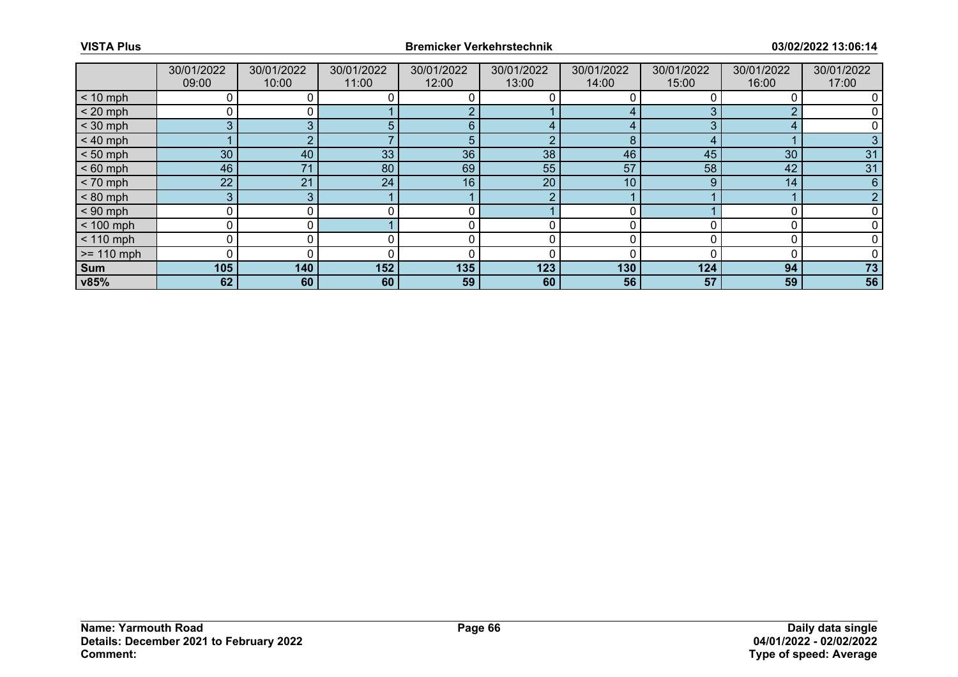|              | 30/01/2022<br>09:00 | 30/01/2022<br>10:00 | 30/01/2022<br>11:00 | 30/01/2022<br>12:00 | 30/01/2022<br>13:00 | 30/01/2022<br>14:00 | 30/01/2022<br>15:00 | 30/01/2022<br>16:00 | 30/01/2022<br>17:00 |
|--------------|---------------------|---------------------|---------------------|---------------------|---------------------|---------------------|---------------------|---------------------|---------------------|
| $< 10$ mph   |                     |                     |                     |                     |                     |                     |                     |                     |                     |
| $< 20$ mph   | 0                   |                     |                     |                     |                     |                     |                     |                     |                     |
| $<$ 30 mph   | 3                   | $\sqrt{2}$          |                     | 6                   |                     |                     |                     |                     |                     |
| $< 40$ mph   |                     |                     |                     | 5                   | ာ                   | 8                   |                     |                     |                     |
| $< 50$ mph   | 30 <sup>°</sup>     | 40                  | 33                  | 36                  | 38                  | 46                  | 45                  | 30                  | 31                  |
| $< 60$ mph   | 46                  | 71                  | 80                  | 69                  | 55                  | 57                  | 58                  | 42                  | 31                  |
| $< 70$ mph   | 22                  | 21                  | 24                  | 16                  | 20                  | 10                  | 9                   | 14                  | 6                   |
| $< 80$ mph   | 3 <sup>1</sup>      | 3                   |                     |                     | $\overline{2}$      |                     |                     |                     |                     |
| $< 90$ mph   | 0                   |                     |                     |                     |                     |                     |                     |                     |                     |
| $< 100$ mph  | 0                   |                     |                     |                     |                     |                     |                     |                     |                     |
| $< 110$ mph  | 0                   |                     |                     |                     | 0                   |                     |                     |                     |                     |
| $>= 110$ mph | 0                   |                     |                     |                     |                     |                     |                     |                     |                     |
| Sum          | 105                 | 140                 | 152                 | 135                 | 123                 | 130                 | 124                 | 94                  | 73                  |
| v85%         | 62                  | 60                  | 60                  | 59                  | 60                  | 56                  | 57                  | 59                  | 56                  |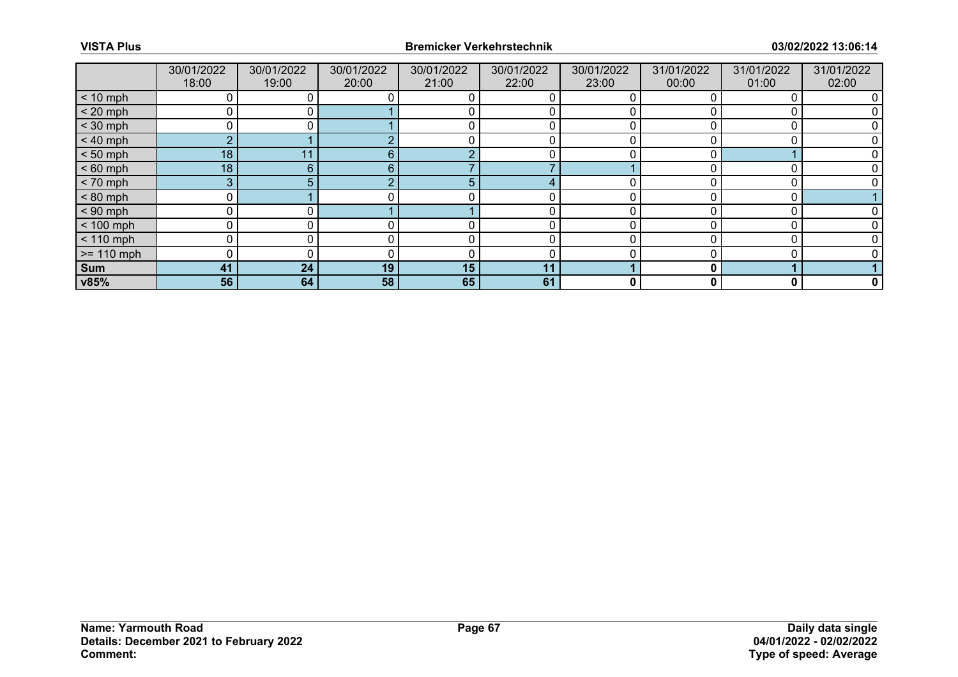|              | 30/01/2022<br>18:00 | 30/01/2022<br>19:00 | 30/01/2022<br>20:00 | 30/01/2022<br>21:00 | 30/01/2022<br>22:00 | 30/01/2022<br>23:00 | 31/01/2022<br>00:00 | 31/01/2022<br>01:00 | 31/01/2022<br>02:00 |
|--------------|---------------------|---------------------|---------------------|---------------------|---------------------|---------------------|---------------------|---------------------|---------------------|
| $< 10$ mph   |                     |                     |                     |                     |                     |                     |                     |                     |                     |
| $< 20$ mph   | 0                   |                     |                     |                     |                     |                     |                     |                     |                     |
| $<$ 30 mph   |                     |                     |                     |                     |                     |                     |                     |                     |                     |
| $< 40$ mph   | $\overline{2}$      |                     |                     |                     |                     |                     |                     |                     |                     |
| $< 50$ mph   | 18                  | 11                  | 6                   |                     |                     |                     |                     |                     |                     |
| $< 60$ mph   | 18                  | 6                   | 6.                  |                     |                     |                     |                     |                     |                     |
| $< 70$ mph   | 3                   | 5 <sub>1</sub>      |                     | $\mathbf{b}$        |                     |                     |                     |                     |                     |
| $< 80$ mph   | 0                   |                     |                     |                     |                     |                     |                     |                     |                     |
| $< 90$ mph   | 0                   |                     |                     |                     |                     |                     |                     |                     |                     |
| $< 100$ mph  | 0                   |                     |                     |                     | 0                   |                     |                     |                     |                     |
| $< 110$ mph  | 0                   |                     |                     |                     | 0                   |                     |                     |                     |                     |
| $>= 110$ mph | 0                   |                     |                     |                     |                     |                     |                     |                     |                     |
| Sum          | 41                  | 24                  | 19                  | 15                  | 11                  |                     | 0                   |                     |                     |
| v85%         | 56                  | 64                  | 58                  | 65                  | 61                  | 0                   | 0                   | 0                   | $\mathbf 0$         |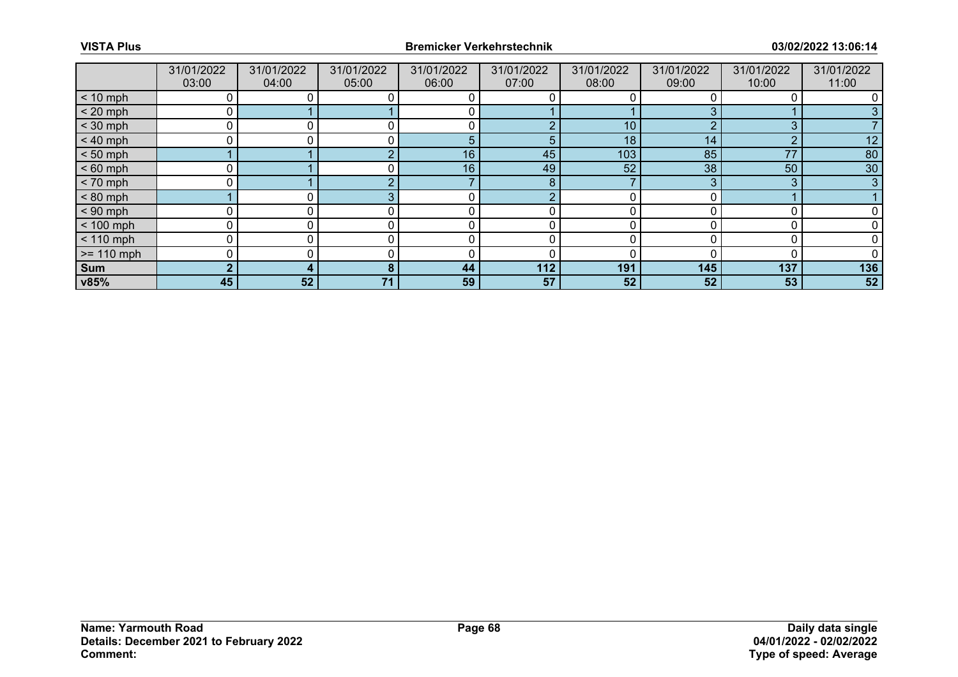|              | 31/01/2022<br>03:00 | 31/01/2022<br>04:00 | 31/01/2022<br>05:00 | 31/01/2022<br>06:00 | 31/01/2022<br>07:00 | 31/01/2022<br>08:00 | 31/01/2022<br>09:00 | 31/01/2022<br>10:00 | 31/01/2022<br>11:00 |
|--------------|---------------------|---------------------|---------------------|---------------------|---------------------|---------------------|---------------------|---------------------|---------------------|
| $< 10$ mph   | 0                   |                     |                     |                     |                     |                     |                     |                     |                     |
| $< 20$ mph   | 0                   |                     |                     |                     |                     |                     |                     |                     |                     |
| $<$ 30 mph   | Ω                   |                     |                     |                     |                     | 10                  | ◠                   | 3                   |                     |
| $< 40$ mph   | 0                   |                     |                     | 5                   | $\overline{5}$      | 18                  | 14                  | $\Omega$            | 12                  |
| $< 50$ mph   |                     |                     |                     | 16                  | 45                  | 103                 | 85                  | 77                  | 80                  |
| $< 60$ mph   |                     |                     |                     | 16                  | 49                  | 52                  | 38                  | 50                  | 30                  |
| $< 70$ mph   | 0                   |                     |                     |                     | 8                   |                     | 3                   | 3                   | 3                   |
| $< 80$ mph   |                     |                     |                     |                     | с                   |                     |                     |                     |                     |
| $< 90$ mph   | 0                   |                     |                     | ╭                   |                     |                     |                     |                     |                     |
| $< 100$ mph  | 0                   | U.                  |                     | r                   |                     |                     |                     |                     |                     |
| $< 110$ mph  | 0                   |                     |                     |                     |                     |                     |                     |                     |                     |
| $>= 110$ mph | 0                   |                     |                     | C                   |                     |                     |                     |                     |                     |
| Sum          | $\bullet$           |                     |                     | 44                  | 112                 | 191                 | 145                 | 137                 | 136                 |
| v85%         | 45                  | 52                  | 71                  | 59                  | 57                  | 52                  | 52                  | 53                  | 52                  |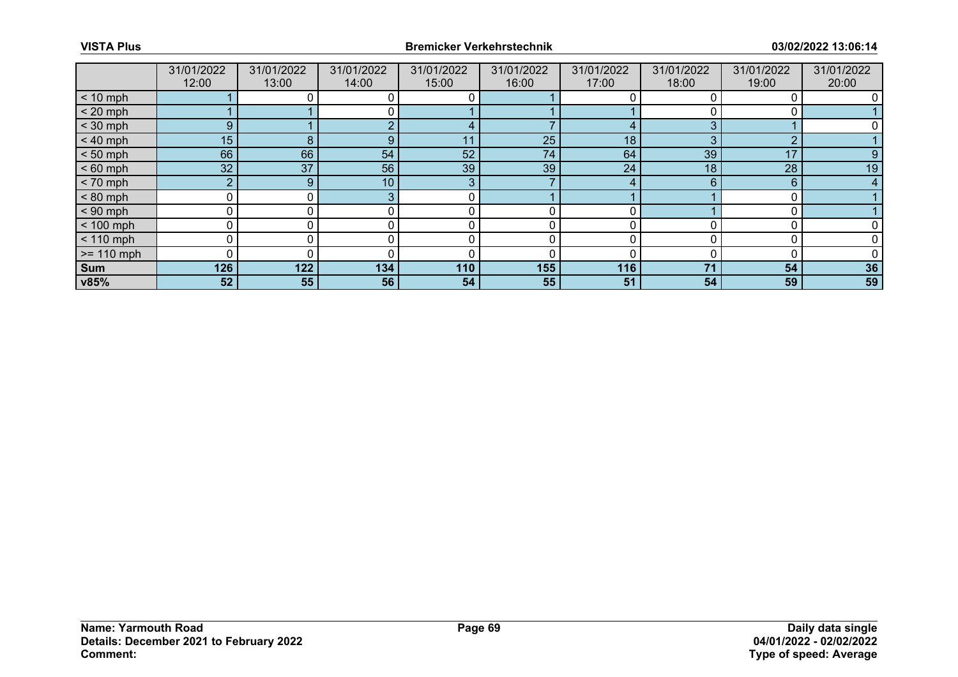|              | 31/01/2022<br>12:00 | 31/01/2022<br>13:00 | 31/01/2022<br>14:00 | 31/01/2022<br>15:00 | 31/01/2022<br>16:00 | 31/01/2022<br>17:00 | 31/01/2022<br>18:00 | 31/01/2022<br>19:00 | 31/01/2022<br>20:00 |
|--------------|---------------------|---------------------|---------------------|---------------------|---------------------|---------------------|---------------------|---------------------|---------------------|
| $< 10$ mph   |                     |                     |                     |                     |                     |                     |                     |                     |                     |
| $< 20$ mph   |                     |                     |                     |                     |                     |                     |                     |                     |                     |
| $<$ 30 mph   | 9                   |                     |                     |                     |                     |                     | ◠                   |                     |                     |
| $< 40$ mph   | 15 <sub>1</sub>     | 8                   | 9                   | 11                  | 25                  | 18                  | 3                   | $\Omega$            |                     |
| $< 50$ mph   | 66                  | 66                  | 54                  | 52                  | 74                  | 64                  | 39                  | 17                  | 9                   |
| $< 60$ mph   | 32                  | 37                  | 56                  | 39                  | 39                  | 24                  | 18                  | 28                  | 19                  |
| $< 70$ mph   | $\overline{2}$      | 9 <sup>1</sup>      | 10 <sub>1</sub>     | 3                   |                     |                     | 6                   | 6                   | 4                   |
| $< 80$ mph   | 0                   |                     |                     | C                   |                     |                     |                     |                     |                     |
| $< 90$ mph   | 0                   |                     |                     |                     |                     |                     |                     |                     |                     |
| $< 100$ mph  | 0                   | 0                   |                     |                     | 0                   |                     |                     |                     |                     |
| $< 110$ mph  | 0                   |                     |                     |                     |                     |                     |                     |                     |                     |
| $>= 110$ mph | 0                   |                     |                     |                     |                     |                     |                     |                     |                     |
| Sum          | 126                 | 122                 | 134                 | 110                 | 155                 | 116                 | 71                  | 54                  | 36                  |
| v85%         | 52                  | 55                  | 56                  | 54                  | 55                  | 51                  | 54                  | 59                  | 59                  |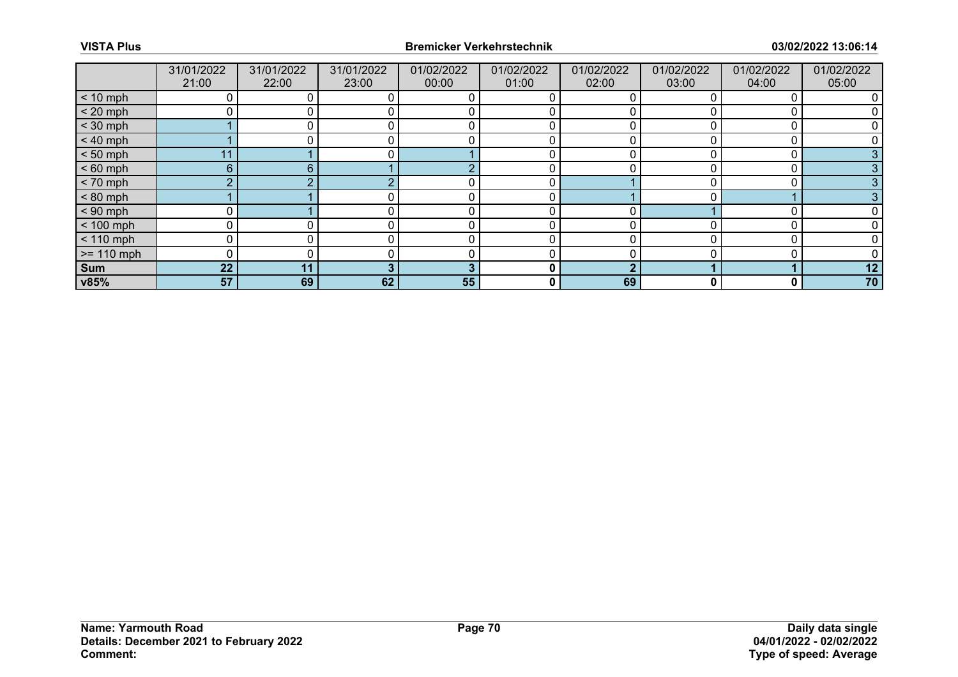|              | 31/01/2022<br>21:00 | 31/01/2022<br>22:00 | 31/01/2022<br>23:00 | 01/02/2022<br>00:00 | 01/02/2022<br>01:00 | 01/02/2022<br>02:00 | 01/02/2022<br>03:00 | 01/02/2022<br>04:00 | 01/02/2022<br>05:00 |
|--------------|---------------------|---------------------|---------------------|---------------------|---------------------|---------------------|---------------------|---------------------|---------------------|
| $< 10$ mph   |                     |                     |                     |                     |                     |                     |                     |                     |                     |
| $< 20$ mph   |                     |                     |                     |                     |                     |                     |                     |                     |                     |
| $<$ 30 mph   |                     |                     |                     |                     |                     |                     |                     |                     |                     |
| $< 40$ mph   |                     |                     |                     | 0                   | 0                   | 0                   |                     | C                   |                     |
| $< 50$ mph   | 11                  |                     |                     |                     |                     |                     |                     |                     |                     |
| $< 60$ mph   | $6^{\circ}$         | 6                   |                     | r                   |                     |                     |                     |                     |                     |
| $< 70$ mph   | $\overline{2}$      |                     |                     | 0                   | 0                   |                     |                     | 0                   |                     |
| $< 80$ mph   |                     |                     |                     |                     | 0                   |                     |                     |                     |                     |
| $< 90$ mph   |                     |                     |                     |                     |                     | ∩                   |                     |                     |                     |
| $< 100$ mph  | 0                   |                     |                     | 0                   | 0                   | 0                   |                     |                     |                     |
| $< 110$ mph  | 0                   |                     |                     | $\Omega$            | 0                   | U                   |                     |                     |                     |
| $>= 110$ mph | 0                   |                     |                     |                     |                     |                     |                     |                     |                     |
| <b>Sum</b>   | 22                  | 11                  |                     | - 2                 | 0                   | ◠                   |                     |                     | 12                  |
| v85%         | 57                  | 69                  | 62                  | 55                  | 0                   | 69                  | 0                   | 0                   | 70                  |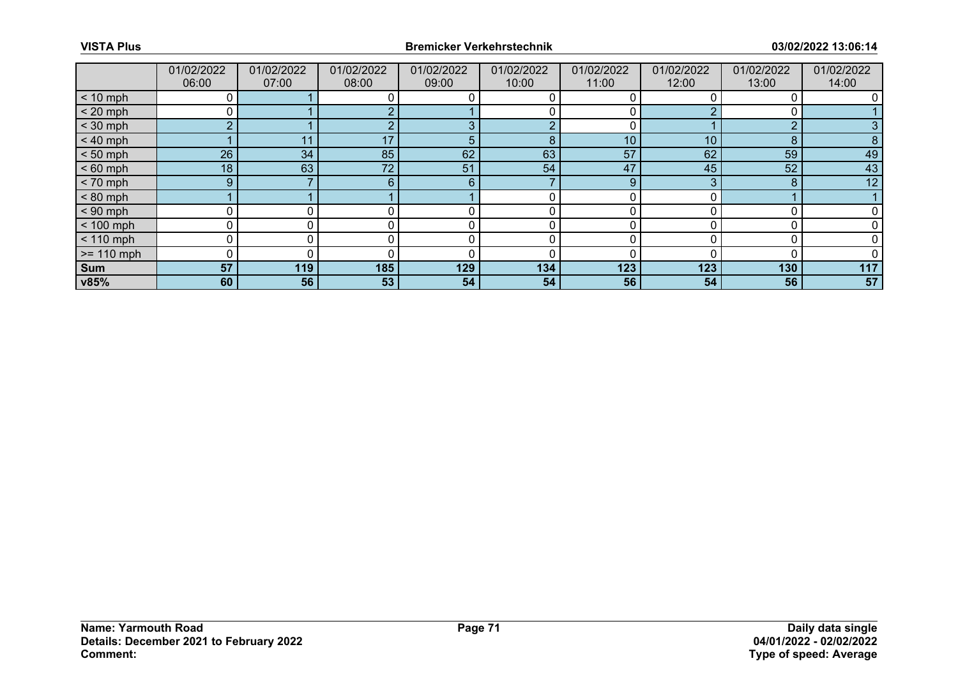|              | 01/02/2022<br>06:00 | 01/02/2022<br>07:00 | 01/02/2022<br>08:00 | 01/02/2022<br>09:00 | 01/02/2022<br>10:00 | 01/02/2022<br>11:00 | 01/02/2022<br>12:00 | 01/02/2022<br>13:00 | 01/02/2022<br>14:00 |
|--------------|---------------------|---------------------|---------------------|---------------------|---------------------|---------------------|---------------------|---------------------|---------------------|
| $< 10$ mph   | 0                   |                     |                     |                     |                     |                     |                     |                     |                     |
| $< 20$ mph   |                     |                     |                     |                     |                     |                     |                     |                     |                     |
| $<$ 30 mph   | $\overline{2}$      |                     |                     | c                   | r                   |                     |                     | $\Omega$            |                     |
| $< 40$ mph   |                     | 11                  | 17                  |                     | 8                   | 10                  | 10                  | 8                   | 8                   |
| $< 50$ mph   | 26                  | 34                  | 85                  | 62                  | 63                  | 57                  | 62                  | 59                  | 49                  |
| $< 60$ mph   | 18 <sub>1</sub>     | 63                  | 72 <sup>°</sup>     | 51                  | 54                  | 47                  | 45                  | 52                  | 43                  |
| $< 70$ mph   | 9                   |                     | 6                   | 6                   |                     | 9                   | 3                   | 8                   | 12                  |
| $< 80$ mph   |                     |                     |                     |                     |                     |                     |                     |                     |                     |
| $< 90$ mph   | 0                   |                     |                     |                     |                     |                     |                     |                     |                     |
| $< 100$ mph  | 0                   | 0                   |                     | r                   | 0                   | O                   |                     |                     |                     |
| $< 110$ mph  | 0                   |                     |                     |                     |                     |                     |                     |                     |                     |
| $>= 110$ mph | 0                   |                     |                     |                     | 0                   |                     |                     |                     |                     |
| Sum          | 57                  | 119                 | 185                 | 129                 | 134                 | 123                 | 123                 | 130                 | 117                 |
| v85%         | 60                  | 56                  | 53                  | 54                  | 54                  | 56                  | 54                  | 56                  | 57                  |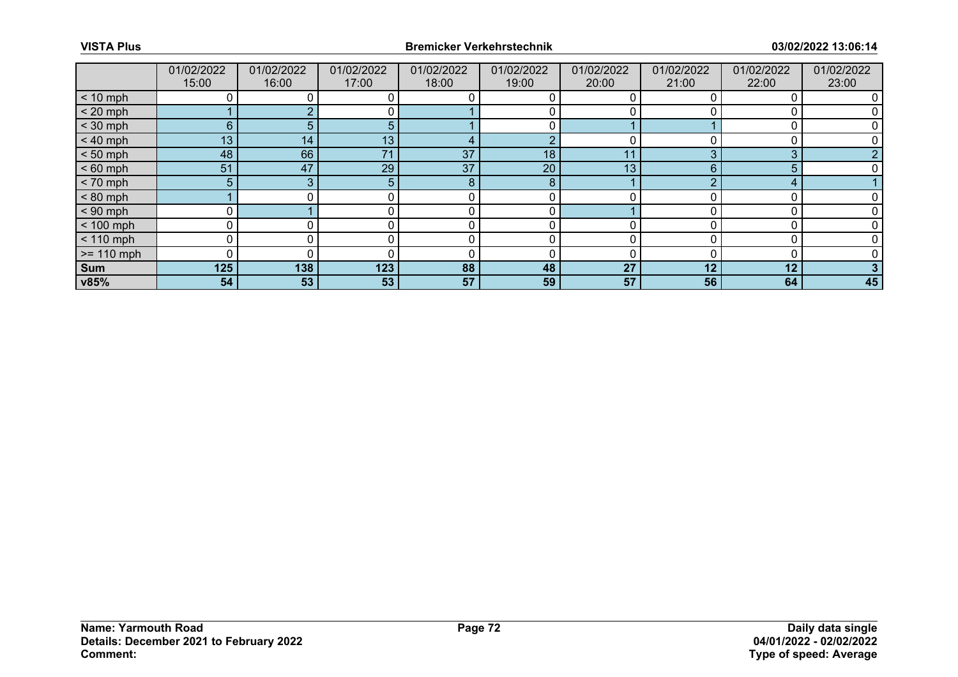|              | 01/02/2022<br>15:00 | 01/02/2022<br>16:00 | 01/02/2022<br>17:00 | 01/02/2022<br>18:00 | 01/02/2022<br>19:00 | 01/02/2022<br>20:00 | 01/02/2022<br>21:00 | 01/02/2022<br>22:00 | 01/02/2022<br>23:00 |
|--------------|---------------------|---------------------|---------------------|---------------------|---------------------|---------------------|---------------------|---------------------|---------------------|
| $< 10$ mph   |                     |                     |                     |                     |                     |                     |                     |                     |                     |
| $< 20$ mph   |                     |                     |                     |                     |                     |                     |                     |                     |                     |
| $<$ 30 mph   | 6                   |                     | ٠h                  |                     |                     |                     |                     |                     |                     |
| $< 40$ mph   | 13                  | 14                  | 13                  |                     | റ                   | 0                   |                     |                     |                     |
| $< 50$ mph   | 48                  | 66                  | 71                  | 37                  | 18                  | 11                  |                     | 3                   |                     |
| $< 60$ mph   | 51                  | 47                  | 29                  | 37                  | 20                  | 13                  | 6                   |                     |                     |
| $< 70$ mph   | 5                   | 3                   | 5.                  | 8                   | 8                   |                     |                     | 4                   |                     |
| $< 80$ mph   |                     |                     |                     |                     |                     |                     |                     |                     |                     |
| $< 90$ mph   |                     |                     |                     |                     |                     |                     |                     |                     |                     |
| $< 100$ mph  | 0                   |                     |                     | 0                   | 0                   | U                   |                     |                     |                     |
| $< 110$ mph  |                     |                     |                     |                     |                     |                     |                     |                     |                     |
| $>= 110$ mph | $\Omega$            |                     |                     |                     |                     |                     |                     |                     |                     |
| Sum          | 125                 | 138                 | 123                 | 88                  | 48                  | 27                  | 12                  | 12                  |                     |
| v85%         | 54                  | 53                  | 53                  | 57                  | 59                  | 57                  | 56                  | 64                  | 45                  |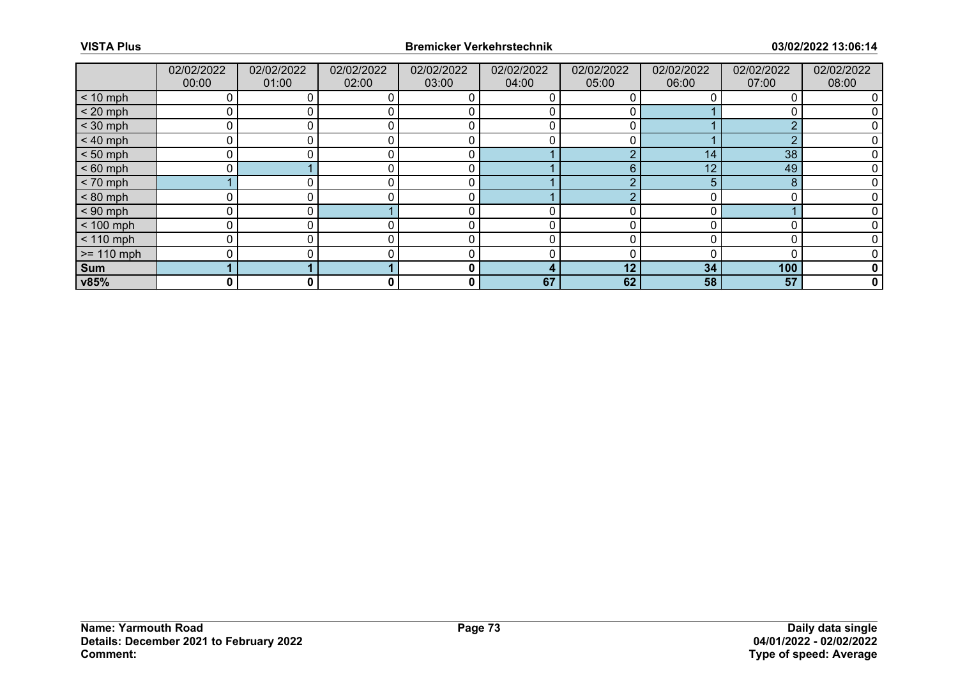|              | 02/02/2022<br>00:00 | 02/02/2022<br>01:00 | 02/02/2022<br>02:00 | 02/02/2022<br>03:00 | 02/02/2022<br>04:00 | 02/02/2022<br>05:00 | 02/02/2022<br>06:00 | 02/02/2022<br>07:00 | 02/02/2022<br>08:00 |
|--------------|---------------------|---------------------|---------------------|---------------------|---------------------|---------------------|---------------------|---------------------|---------------------|
| $< 10$ mph   |                     |                     | 0                   |                     |                     |                     |                     |                     |                     |
| $< 20$ mph   |                     |                     | $\Omega$            |                     |                     |                     |                     |                     |                     |
| $<$ 30 mph   | $\Omega$            |                     |                     | C                   |                     |                     |                     | $\Omega$            |                     |
| $< 40$ mph   | 0                   | 0                   | 0                   | 0                   | 0                   |                     |                     | $\Omega$            |                     |
| $< 50$ mph   | U                   |                     |                     |                     |                     |                     | 14                  | 38                  |                     |
| $< 60$ mph   |                     |                     |                     | C                   |                     | 6                   | 12                  | 49                  |                     |
| $< 70$ mph   |                     |                     | 0                   | 0                   |                     |                     | 5.                  | 8                   |                     |
| $< 80$ mph   |                     |                     |                     |                     |                     |                     |                     |                     |                     |
| $< 90$ mph   | $\Omega$            |                     |                     | ſ                   |                     |                     |                     |                     |                     |
| $< 100$ mph  | 0                   |                     | 0                   | 0                   | 0                   |                     |                     |                     |                     |
| $< 110$ mph  | 0                   |                     | 0                   | 0                   | 0                   |                     |                     | 0                   |                     |
| $>= 110$ mph | ∩                   |                     |                     | ſ                   |                     |                     |                     |                     |                     |
| <b>Sum</b>   |                     |                     |                     | 0                   |                     | 12                  | 34                  | 100                 | 0                   |
| v85%         | 0                   | 0                   | $\mathbf{0}$        | 0                   | 67                  | 62                  | 58                  | 57                  | $\mathbf 0$         |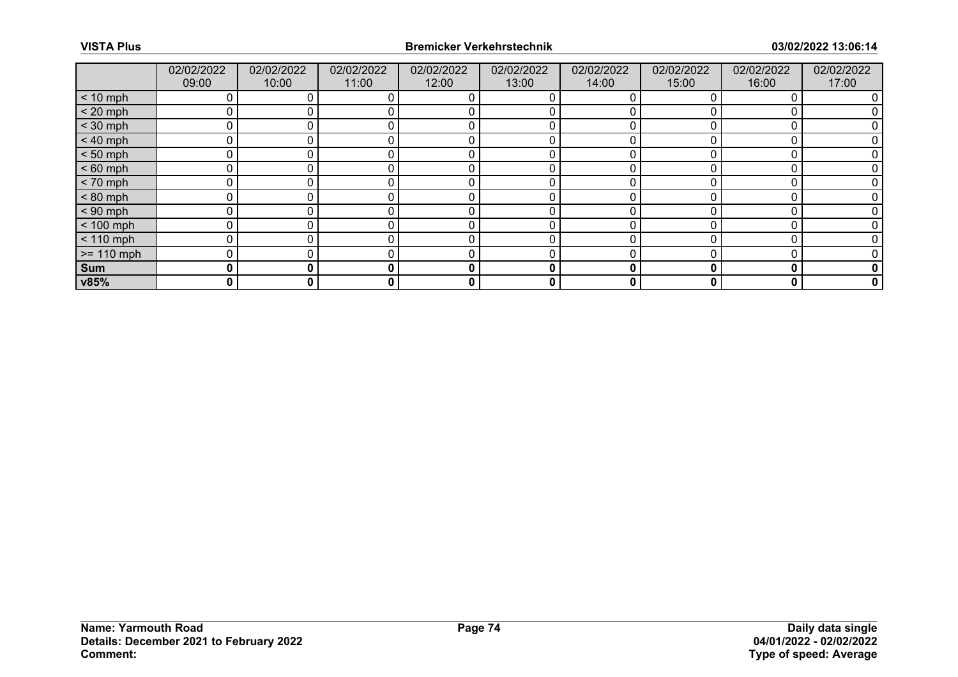|              | 02/02/2022<br>09:00 | 02/02/2022<br>10:00 | 02/02/2022<br>11:00 | 02/02/2022<br>12:00 | 02/02/2022<br>13:00 | 02/02/2022<br>14:00 | 02/02/2022<br>15:00 | 02/02/2022<br>16:00 | 02/02/2022<br>17:00 |
|--------------|---------------------|---------------------|---------------------|---------------------|---------------------|---------------------|---------------------|---------------------|---------------------|
| $< 10$ mph   |                     |                     |                     |                     |                     |                     |                     |                     |                     |
| $< 20$ mph   | 0                   |                     |                     |                     |                     |                     |                     |                     |                     |
| $<$ 30 mph   | 0                   |                     |                     |                     |                     |                     |                     |                     |                     |
| $< 40$ mph   | 0                   | 0                   |                     |                     | 0                   |                     |                     |                     |                     |
| $< 50$ mph   | 0                   |                     |                     |                     |                     |                     |                     |                     |                     |
| $< 60$ mph   | 0                   |                     |                     |                     |                     |                     |                     |                     |                     |
| $< 70$ mph   | 0                   | 0                   |                     | r                   | 0                   |                     |                     |                     |                     |
| $< 80$ mph   | 0                   |                     |                     |                     |                     |                     |                     |                     |                     |
| $< 90$ mph   | 0                   |                     |                     |                     |                     |                     |                     |                     |                     |
| $< 100$ mph  | $\mathbf{0}$        | 0                   |                     | $\Omega$            | 0                   | O                   |                     | O                   |                     |
| $< 110$ mph  | 0                   |                     |                     |                     |                     |                     |                     |                     |                     |
| $>= 110$ mph | 0                   |                     |                     |                     |                     |                     |                     |                     |                     |
| Sum          | 0                   | 0                   | 0                   | $\mathbf{0}$        | 0                   | 0                   | 0                   | 0                   | 0                   |
| v85%         | 0                   | 0                   | 0                   | 0                   | 0                   | 0                   |                     | O                   | 0                   |